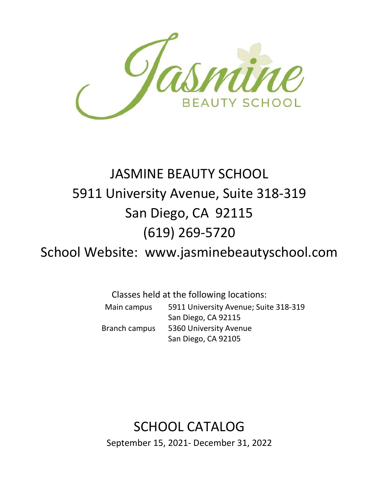

# JASMINE BEAUTY SCHOOL 5911 University Avenue, Suite 318-319 San Diego, CA 92115 (619) 269-5720

School Website: www.jasminebeautyschool.com

Classes held at the following locations: Main campus 5911 University Avenue; Suite 318-319 San Diego, CA 92115 Branch campus 5360 University Avenue San Diego, CA 92105

# SCHOOL CATALOG

September 15, 2021- December 31, 2022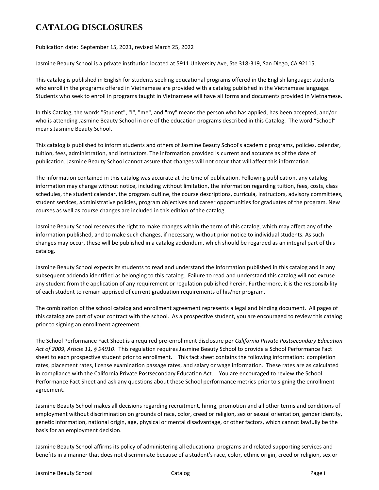# **CATALOG DISCLOSURES**

Publication date: September 15, 2021, revised March 25, 2022

Jasmine Beauty School is a private institution located at 5911 University Ave, Ste 318-319, San Diego, CA 92115.

This catalog is published in English for students seeking educational programs offered in the English language; students who enroll in the programs offered in Vietnamese are provided with a catalog published in the Vietnamese language. Students who seek to enroll in programs taught in Vietnamese will have all forms and documents provided in Vietnamese.

In this Catalog, the words "Student", "I", "me", and "my" means the person who has applied, has been accepted, and/or who is attending Jasmine Beauty School in one of the education programs described in this Catalog. The word "School" means Jasmine Beauty School.

This catalog is published to inform students and others of Jasmine Beauty School's academic programs, policies, calendar, tuition, fees, administration, and instructors. The information provided is current and accurate as of the date of publication. Jasmine Beauty School cannot assure that changes will not occur that will affect this information.

The information contained in this catalog was accurate at the time of publication. Following publication, any catalog information may change without notice, including without limitation, the information regarding tuition, fees, costs, class schedules, the student calendar, the program outline, the course descriptions, curricula, instructors, advisory committees, student services, administrative policies, program objectives and career opportunities for graduates of the program. New courses as well as course changes are included in this edition of the catalog.

Jasmine Beauty School reserves the right to make changes within the term of this catalog, which may affect any of the information published, and to make such changes, if necessary, without prior notice to individual students. As such changes may occur, these will be published in a catalog addendum, which should be regarded as an integral part of this catalog.

Jasmine Beauty School expects its students to read and understand the information published in this catalog and in any subsequent addenda identified as belonging to this catalog. Failure to read and understand this catalog will not excuse any student from the application of any requirement or regulation published herein. Furthermore, it is the responsibility of each student to remain apprised of current graduation requirements of his/her program.

The combination of the school catalog and enrollment agreement represents a legal and binding document. All pages of this catalog are part of your contract with the school. As a prospective student, you are encouraged to review this catalog prior to signing an enrollment agreement.

The School Performance Fact Sheet is a required pre-enrollment disclosure per *California Private Postsecondary Education Act of 2009, Article 11, § 94910*. This regulation requires Jasmine Beauty School to provide a School Performance Fact sheet to each prospective student prior to enrollment. This fact sheet contains the following information: completion rates, placement rates, license examination passage rates, and salary or wage information. These rates are as calculated in compliance with the California Private Postsecondary Education Act. You are encouraged to review the School Performance Fact Sheet and ask any questions about these School performance metrics prior to signing the enrollment agreement.

Jasmine Beauty School makes all decisions regarding recruitment, hiring, promotion and all other terms and conditions of employment without discrimination on grounds of race, color, creed or religion, sex or sexual orientation, gender identity, genetic information, national origin, age, physical or mental disadvantage, or other factors, which cannot lawfully be the basis for an employment decision.

Jasmine Beauty School affirms its policy of administering all educational programs and related supporting services and benefits in a manner that does not discriminate because of a student's race, color, ethnic origin, creed or religion, sex or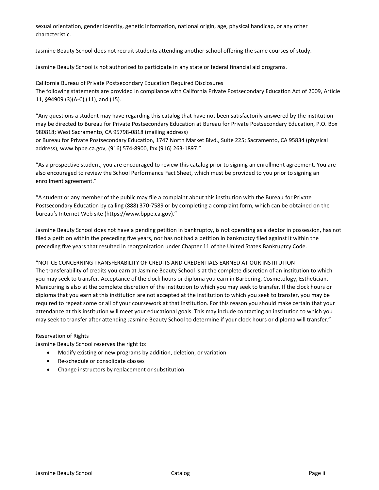sexual orientation, gender identity, genetic information, national origin, age, physical handicap, or any other characteristic.

Jasmine Beauty School does not recruit students attending another school offering the same courses of study.

Jasmine Beauty School is not authorized to participate in any state or federal financial aid programs.

California Bureau of Private Postsecondary Education Required Disclosures The following statements are provided in compliance with California Private Postsecondary Education Act of 2009, Article 11, §94909 (3)(A-C),(11), and (15).

"Any questions a student may have regarding this catalog that have not been satisfactorily answered by the institution may be directed to Bureau for Private Postsecondary Education at Bureau for Private Postsecondary Education, P.O. Box 980818; West Sacramento, CA 95798-0818 (mailing address)

or Bureau for Private Postsecondary Education, 1747 North Market Blvd., Suite 225; Sacramento, CA 95834 (physical address), www.bppe.ca.gov, (916) 574-8900, fax (916) 263-1897."

"As a prospective student, you are encouraged to review this catalog prior to signing an enrollment agreement. You are also encouraged to review the School Performance Fact Sheet, which must be provided to you prior to signing an enrollment agreement."

"A student or any member of the public may file a complaint about this institution with the Bureau for Private Postsecondary Education by calling (888) 370-7589 or by completing a complaint form, which can be obtained on the bureau's Internet Web site (https://www.bppe.ca.gov)."

Jasmine Beauty School does not have a pending petition in bankruptcy, is not operating as a debtor in possession, has not filed a petition within the preceding five years, nor has not had a petition in bankruptcy filed against it within the preceding five years that resulted in reorganization under Chapter 11 of the United States Bankruptcy Code.

## "NOTICE CONCERNING TRANSFERABILITY OF CREDITS AND CREDENTIALS EARNED AT OUR INSTITUTION

The transferability of credits you earn at Jasmine Beauty School is at the complete discretion of an institution to which you may seek to transfer. Acceptance of the clock hours or diploma you earn in Barbering, Cosmetology, Esthetician, Manicuring is also at the complete discretion of the institution to which you may seek to transfer. If the clock hours or diploma that you earn at this institution are not accepted at the institution to which you seek to transfer, you may be required to repeat some or all of your coursework at that institution. For this reason you should make certain that your attendance at this institution will meet your educational goals. This may include contacting an institution to which you may seek to transfer after attending Jasmine Beauty School to determine if your clock hours or diploma will transfer."

## Reservation of Rights

Jasmine Beauty School reserves the right to:

- Modify existing or new programs by addition, deletion, or variation
- Re-schedule or consolidate classes
- Change instructors by replacement or substitution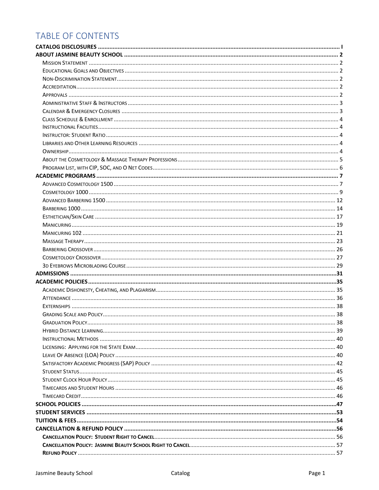# TABLE OF CONTENTS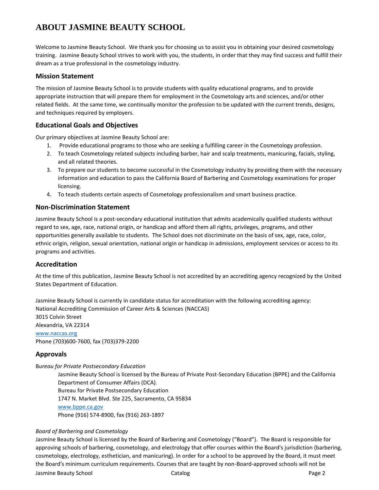# **ABOUT JASMINE BEAUTY SCHOOL**

Welcome to Jasmine Beauty School. We thank you for choosing us to assist you in obtaining your desired cosmetology training. Jasmine Beauty School strives to work with you, the students, in order that they may find success and fulfill their dream as a true professional in the cosmetology industry.

## **Mission Statement**

The mission of Jasmine Beauty School is to provide students with quality educational programs, and to provide appropriate instruction that will prepare them for employment in the Cosmetology arts and sciences, and/or other related fields. At the same time, we continually monitor the profession to be updated with the current trends, designs, and techniques required by employers.

## **Educational Goals and Objectives**

Our primary objectives at Jasmine Beauty School are:

- 1. Provide educational programs to those who are seeking a fulfilling career in the Cosmetology profession.
- 2. To teach Cosmetology related subjects including barber, hair and scalp treatments, manicuring, facials, styling, and all related theories.
- 3. To prepare our students to become successful in the Cosmetology industry by providing them with the necessary information and education to pass the California Board of Barbering and Cosmetology examinations for proper licensing.
- 4. To teach students certain aspects of Cosmetology professionalism and smart business practice.

## **Non-Discrimination Statement**

Jasmine Beauty School is a post-secondary educational institution that admits academically qualified students without regard to sex, age, race, national origin, or handicap and afford them all rights, privileges, programs, and other opportunities generally available to students. The School does not discriminate on the basis of sex, age, race, color, ethnic origin, religion, sexual orientation, national origin or handicap in admissions, employment services or access to its programs and activities.

## **Accreditation**

At the time of this publication, Jasmine Beauty School is not accredited by an accrediting agency recognized by the United States Department of Education.

Jasmine Beauty School is currently in candidate status for accreditation with the following accrediting agency: National Accrediting Commission of Career Arts & Sciences (NACCAS) 3015 Colvin Street Alexandria, VA 22314 [www.naccas.org](http://www.naccas.org/) Phone (703)600-7600, fax (703)379-2200

## **Approvals**

B*ureau for Private Postsecondary Education*

Jasmine Beauty School is licensed by the Bureau of Private Post-Secondary Education (BPPE) and the California Department of Consumer Affairs (DCA). Bureau for Private Postsecondary Education 1747 N. Market Blvd. Ste 225, Sacramento, CA 95834 [www.bppe.ca.gov](http://www.bppe.ca.gov/) Phone (916) 574-8900, fax (916) 263-1897

## *Board of Barbering and Cosmetology*

Jasmine Beauty School is licensed by the Board of Barbering and Cosmetology ("Board"). The Board is responsible for approving schools of barbering, cosmetology, and electrology that offer courses within the Board's jurisdiction (barbering, cosmetology, electrology, esthetician, and manicuring). In order for a school to be approved by the Board, it must meet the Board's minimum curriculum requirements. Courses that are taught by non-Board-approved schools will not be

Jasmine Beauty School Catalog Page 2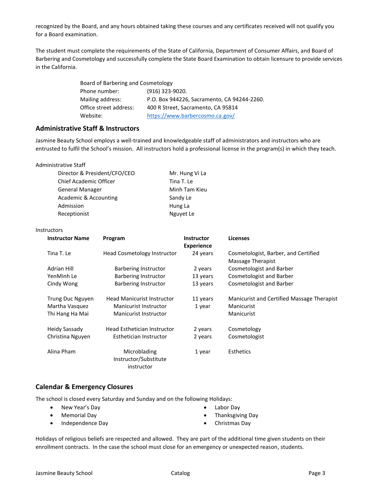recognized by the Board, and any hours obtained taking these courses and any certificates received will not qualify you for a Board examination.

The student must complete the requirements of the State of California, Department of Consumer Affairs, and Board of Barbering and Cosmetology and successfully complete the State Board Examination to obtain licensure to provide services in the California.

| Board of Barbering and Cosmetology |                                             |
|------------------------------------|---------------------------------------------|
| Phone number:                      | $(916)$ 323-9020.                           |
| Mailing address:                   | P.O. Box 944226, Sacramento, CA 94244-2260. |
| Office street address:             | 400 R Street, Sacramento, CA 95814          |
| Website:                           | https://www.barbercosmo.ca.gov/             |
|                                    |                                             |

## **Administrative Staff & Instructors**

Jasmine Beauty School employs a well-trained and knowledgeable staff of administrators and instructors who are entrusted to fulfil the School's mission. All instructors hold a professional license in the program(s) in which they teach.

| Administrative Staff |  |
|----------------------|--|
|----------------------|--|

| Director & President/CFO/CEO  | Mr. Hung Vi La |
|-------------------------------|----------------|
| <b>Chief Academic Officer</b> | Tina T. Le     |
| General Manager               | Minh Tam Kieu  |
| Academic & Accounting         | Sandy Le       |
| Admission                     | Hung La        |
| Receptionist                  | Nguyet Le      |

#### **Instructors**

| <b>Instructor Name</b> | Program                                             | <b>Instructor</b><br><b>Experience</b> | <b>Licenses</b>                                           |
|------------------------|-----------------------------------------------------|----------------------------------------|-----------------------------------------------------------|
| Tina T. Le             | Head Cosmetology Instructor                         | 24 years                               | Cosmetologist, Barber, and Certified<br>Massage Therapist |
| Adrian Hill            | Barbering Instructor                                | 2 years                                | Cosmetologist and Barber                                  |
| YenMinh Le             | Barbering Instructor                                | 13 years                               | Cosmetologist and Barber                                  |
| Cindy Wong             | Barbering Instructor                                | 13 years                               | Cosmetologist and Barber                                  |
| Trung Duc Nguyen       | <b>Head Manicurist Instructor</b>                   | 11 years                               | <b>Manicurist and Certified Massage Therapist</b>         |
| Martha Vasquez         | Manicurist Instructor                               | 1 year                                 | Manicurist                                                |
| Thi Hang Ha Mai        | Manicurist Instructor                               |                                        | Manicurist                                                |
| Heidy Sassady          | Head Esthetician Instructor                         | 2 years                                | Cosmetology                                               |
| Christina Nguyen       | Esthetician Instructor                              | 2 years                                | Cosmetologist                                             |
| Alina Pham             | Microblading<br>Instructor/Substitute<br>instructor | 1 year                                 | <b>Esthetics</b>                                          |

## **Calendar & Emergency Closures**

• Memorial Day

The school is closed every Saturday and Sunday and on the following Holidays:

• New Year's Day

- Labor Day
- Thanksgiving Day
- Independence Day
- 
- Christmas Day

Holidays of religious beliefs are respected and allowed. They are part of the additional time given students on their enrollment contracts. In the case the school must close for an emergency or unexpected reason, students.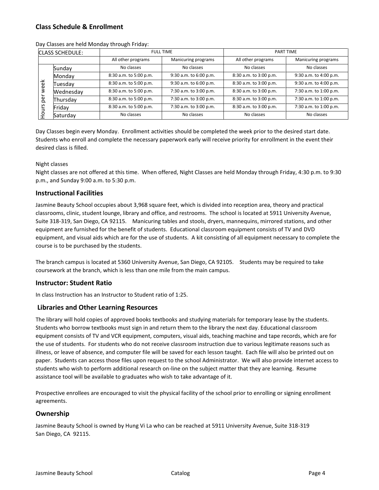## **Class Schedule & Enrollment**

|     | <b>CLASS SCHEDULE:</b> |                        | <b>FULL TIME</b>       | PART TIME              |                        |
|-----|------------------------|------------------------|------------------------|------------------------|------------------------|
|     |                        | All other programs     | Manicuring programs    | All other programs     | Manicuring programs    |
|     | Sunday                 | No classes             | No classes             | No classes             | No classes             |
|     | Monday                 | 8:30 a.m. to 5:00 p.m. | 9:30 a.m. to 6:00 p.m. | 8:30 a.m. to 3:00 p.m. | 9:30 a.m. to 4:00 p.m. |
| φě  | Tuesdav                | 8:30 a.m. to 5:00 p.m. | 9:30 a.m. to 6:00 p.m. | 8:30 a.m. to 3:00 p.m. | 9:30 a.m. to 4:00 p.m. |
| 3   | Wednesday              | 8:30 a.m. to 5:00 p.m. | 7:30 a.m. to 3:00 p.m. | 8:30 a.m. to 3:00 p.m. | 7:30 a.m. to 1:00 p.m. |
| ပ္တ | Thursday               | 8:30 a.m. to 5:00 p.m. | 7:30 a.m. to 3:00 p.m. | 8:30 a.m. to 3:00 p.m. | 7:30 a.m. to 1:00 p.m. |
| S   | Friday                 | 8:30 a.m. to 5:00 p.m. | 7:30 a.m. to 3:00 p.m. | 8:30 a.m. to 3:00 p.m. | 7:30 a.m. to 1:00 p.m. |
| o   | Saturday               | No classes             | No classes             | No classes             | No classes             |

Day Classes are held Monday through Friday:

Day Classes begin every Monday. Enrollment activities should be completed the week prior to the desired start date. Students who enroll and complete the necessary paperwork early will receive priority for enrollment in the event their desired class is filled.

## Night classes

Night classes are not offered at this time. When offered, Night Classes are held Monday through Friday, 4:30 p.m. to 9:30 p.m., and Sunday 9:00 a.m. to 5:30 p.m.

## **Instructional Facilities**

Jasmine Beauty School occupies about 3,968 square feet, which is divided into reception area, theory and practical classrooms, clinic, student lounge, library and office, and restrooms. The school is located at 5911 University Avenue, Suite 318-319, San Diego, CA 92115. Manicuring tables and stools, dryers, mannequins, mirrored stations, and other equipment are furnished for the benefit of students. Educational classroom equipment consists of TV and DVD equipment, and visual aids which are for the use of students. A kit consisting of all equipment necessary to complete the course is to be purchased by the students.

The branch campus is located at 5360 University Avenue, San Diego, CA 92105. Students may be required to take coursework at the branch, which is less than one mile from the main campus.

#### **Instructor: Student Ratio**

In class Instruction has an Instructor to Student ratio of 1:25.

## **Libraries and Other Learning Resources**

The library will hold copies of approved books textbooks and studying materials for temporary lease by the students. Students who borrow textbooks must sign in and return them to the library the next day. Educational classroom equipment consists of TV and VCR equipment, computers, visual aids, teaching machine and tape records, which are for the use of students. For students who do not receive classroom instruction due to various legitimate reasons such as illness, or leave of absence, and computer file will be saved for each lesson taught. Each file will also be printed out on paper. Students can access those files upon request to the school Administrator. We will also provide internet access to students who wish to perform additional research on-line on the subject matter that they are learning. Resume assistance tool will be available to graduates who wish to take advantage of it.

Prospective enrollees are encouraged to visit the physical facility of the school prior to enrolling or signing enrollment agreements.

## **Ownership**

Jasmine Beauty School is owned by Hung Vi La who can be reached at 5911 University Avenue, Suite 318-319 San Diego, CA 92115.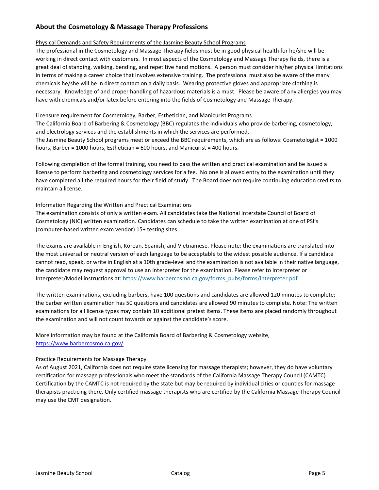## **About the Cosmetology & Massage Therapy Professions**

## Physical Demands and Safety Requirements of the Jasmine Beauty School Programs

The professional in the Cosmetology and Massage Therapy fields must be in good physical health for he/she will be working in direct contact with customers. In most aspects of the Cosmetology and Massage Therapy fields, there is a great deal of standing, walking, bending, and repetitive hand motions. A person must consider his/her physical limitations in terms of making a career choice that involves extensive training. The professional must also be aware of the many chemicals he/she will be in direct contact on a daily basis. Wearing protective gloves and appropriate clothing is necessary. Knowledge of and proper handling of hazardous materials is a must. Please be aware of any allergies you may have with chemicals and/or latex before entering into the fields of Cosmetology and Massage Therapy.

## Licensure requirement for Cosmetology, Barber, Esthetician, and Manicurist Programs

The California Board of Barbering & Cosmetology (BBC) regulates the individuals who provide barbering, cosmetology, and electrology services and the establishments in which the services are performed. The Jasmine Beauty School programs meet or exceed the BBC requirements, which are as follows: Cosmetologist = 1000 hours, Barber = 1000 hours, Esthetician = 600 hours, and Manicurist = 400 hours.

Following completion of the formal training, you need to pass the written and practical examination and be issued a license to perform barbering and cosmetology services for a fee. No one is allowed entry to the examination until they have completed all the required hours for their field of study. The Board does not require continuing education credits to maintain a license.

## Information Regarding the Written and Practical Examinations

The examination consists of only a written exam. All candidates take the National Interstate Council of Board of Cosmetology (NIC) written examination. Candidates can schedule to take the written examination at one of PSI's (computer-based written exam vendor) 15+ testing sites.

The exams are available in English, Korean, Spanish, and Vietnamese. Please note: the examinations are translated into the most universal or neutral version of each language to be acceptable to the widest possible audience. If a candidate cannot read, speak, or write in English at a 10th grade-level and the examination is not available in their native language, the candidate may request approval to use an interpreter for the examination. Please refer to Interpreter or Interpreter/Model instructions at: [https://www.barbercosmo.ca.gov/forms\\_pubs/forms/interpreter.pdf](https://www.barbercosmo.ca.gov/forms_pubs/forms/interpreter.pdf)

The written examinations, excluding barbers, have 100 questions and candidates are allowed 120 minutes to complete; the barber written examination has 50 questions and candidates are allowed 90 minutes to complete. Note: The written examinations for all license types may contain 10 additional pretest items. These items are placed randomly throughout the examination and will not count towards or against the candidate's score.

More information may be found at the California Board of Barbering & Cosmetology website, <https://www.barbercosmo.ca.gov/>

## Practice Requirements for Massage Therapy

As of August 2021, California does not require state licensing for massage therapists; however, they do have voluntary certification for massage professionals who meet the standards of the California Massage Therapy Council (CAMTC). Certification by the CAMTC is not required by the state but may be required by individual cities or counties for massage therapists practicing there. Only certified massage therapists who are certified by the California Massage Therapy Council may use the CMT designation.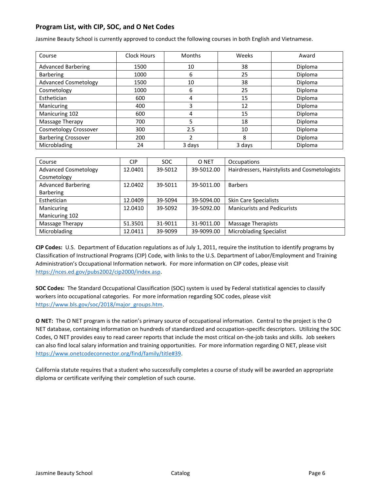## **Program List, with CIP, SOC, and O Net Codes**

Jasmine Beauty School is currently approved to conduct the following courses in both English and Vietnamese.

| Course                      | Clock Hours | Months | Weeks  | Award   |
|-----------------------------|-------------|--------|--------|---------|
| <b>Advanced Barbering</b>   | 1500        | 10     | 38     | Diploma |
| <b>Barbering</b>            | 1000        | 6      | 25     | Diploma |
| <b>Advanced Cosmetology</b> | 1500        | 10     | 38     | Diploma |
| Cosmetology                 | 1000        | 6      | 25     | Diploma |
| Esthetician                 | 600         | 4      | 15     | Diploma |
| Manicuring                  | 400         | 3      | 12     | Diploma |
| Manicuring 102              | 600         | 4      | 15     | Diploma |
| Massage Therapy             | 700         | 5      | 18     | Diploma |
| Cosmetology Crossover       | 300         | 2.5    | 10     | Diploma |
| <b>Barbering Crossover</b>  | 200         |        | 8      | Diploma |
| Microblading                | 24          | 3 days | 3 days | Diploma |

| Course                      | CIP     | <b>SOC</b> | O NET      | Occupations                                   |
|-----------------------------|---------|------------|------------|-----------------------------------------------|
| <b>Advanced Cosmetology</b> | 12.0401 | 39-5012    | 39-5012.00 | Hairdressers, Hairstylists and Cosmetologists |
| Cosmetology                 |         |            |            |                                               |
| <b>Advanced Barbering</b>   | 12.0402 | 39-5011    | 39-5011.00 | <b>Barbers</b>                                |
| <b>Barbering</b>            |         |            |            |                                               |
| Esthetician                 | 12.0409 | 39-5094    | 39-5094.00 | <b>Skin Care Specialists</b>                  |
| Manicuring                  | 12.0410 | 39-5092    | 39-5092.00 | <b>Manicurists and Pedicurists</b>            |
| Manicuring 102              |         |            |            |                                               |
| Massage Therapy             | 51.3501 | 31-9011    | 31-9011.00 | Massage Therapists                            |
| Microblading                | 12.0411 | 39-9099    | 39-9099.00 | <b>Microblading Specialist</b>                |

**CIP Codes:** U.S. Department of Education regulations as of July 1, 2011, require the institution to identify programs by Classification of Instructional Programs (CIP) Code, with links to the U.S. Department of Labor/Employment and Training Administration's Occupational Information network. For more information on CIP codes, please visit [https://nces.ed.gov/pubs2002/cip2000/index.asp.](https://nces.ed.gov/pubs2002/cip2000/index.asp)

**SOC Codes:** The Standard Occupational Classification (SOC) system is used by Federal statistical agencies to classify workers into occupational categories. For more information regarding SOC codes, please visit [https://www.bls.gov/soc/2018/major\\_groups.htm.](https://www.bls.gov/soc/2018/major_groups.htm)

**O NET:** The O NET program is the nation's primary source of occupational information. Central to the project is the O NET database, containing information on hundreds of standardized and occupation-specific descriptors. Utilizing the SOC Codes, O NET provides easy to read career reports that include the most critical on-the-job tasks and skills. Job seekers can also find local salary information and training opportunities. For more information regarding O NET, please visit [https://www.onetcodeconnector.org/find/family/title#39.](https://www.onetcodeconnector.org/find/family/title#39)

California statute requires that a student who successfully completes a course of study will be awarded an appropriate diploma or certificate verifying their completion of such course.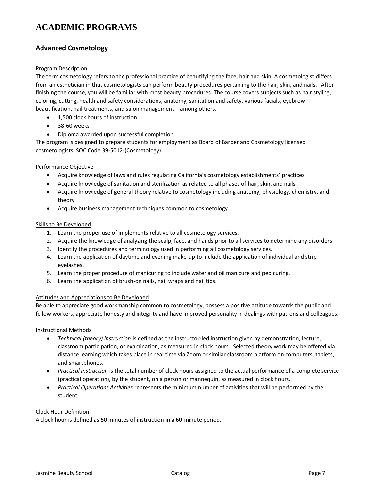# **ACADEMIC PROGRAMS**

## **Advanced Cosmetology**

## Program Description

The term cosmetology refers to the professional practice of beautifying the face, hair and skin. A cosmetologist differs from an esthetician in that cosmetologists can perform beauty procedures pertaining to the hair, skin, and nails. After finishing the course, you will be familiar with most beauty procedures. The course covers subjects such as hair styling, coloring, cutting, health and safety considerations, anatomy, sanitation and safety, various facials, eyebrow beautification, nail treatments, and salon management – among others.

- 1,500 clock hours of instruction
- 38-60 weeks
- Diploma awarded upon successful completion

The program is designed to prepare students for employment as Board of Barber and Cosmetology licensed cosmetologists. SOC Code 39-5012-(Cosmetology).

## Performance Objective

- Acquire knowledge of laws and rules regulating California's cosmetology establishments' practices
- Acquire knowledge of sanitation and sterilization as related to all phases of hair, skin, and nails
- Acquire knowledge of general theory relative to cosmetology including anatomy, physiology, chemistry, and theory
- Acquire business management techniques common to cosmetology

## Skills to Be Developed

- 1. Learn the proper use of implements relative to all cosmetology services.
- 2. Acquire the knowledge of analyzing the scalp, face, and hands prior to all services to determine any disorders.
- 3. Identify the procedures and terminology used in performing all cosmetology services.
- 4. Learn the application of daytime and evening make-up to include the application of individual and strip eyelashes.
- 5. Learn the proper procedure of manicuring to include water and oil manicure and pedicuring.
- 6. Learn the application of brush-on nails, nail wraps and nail tips.

## Attitudes and Appreciations to Be Developed

Be able to appreciate good workmanship common to cosmetology, possess a positive attitude towards the public and fellow workers, appreciate honesty and integrity and have improved personality in dealings with patrons and colleagues.

## Instructional Methods

- *Technical (theory) instruction* is defined as the instructor-led instruction given by demonstration, lecture, classroom participation, or examination, as measured in clock hours. Selected theory work may be offered via distance learning which takes place in real time via Zoom or similar classroom platform on computers, tablets, and smartphones.
- *Practical instruction* is the total number of clock hours assigned to the actual performance of a complete service (practical operation), by the student, on a person or mannequin, as measured in clock hours.
- *Practical Operations Activities* represents the minimum number of activities that will be performed by the student.

## Clock Hour Definition

A clock hour is defined as 50 minutes of instruction in a 60-minute period.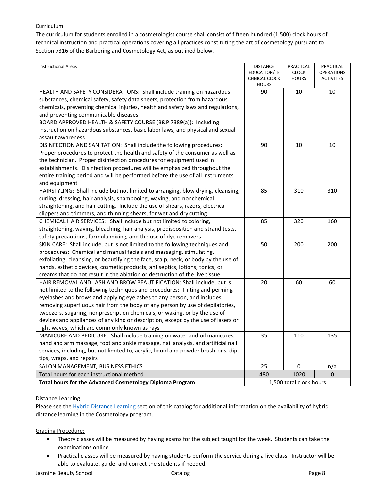## **Curriculum**

The curriculum for students enrolled in a cosmetologist course shall consist of fifteen hundred (1,500) clock hours of technical instruction and practical operations covering all practices constituting the art of cosmetology pursuant to Section 7316 of the Barbering and Cosmetology Act, as outlined below.

| <b>Instructional Areas</b>                                                          | <b>DISTANCE</b><br>EDUCATION/TE<br><b>CHNICAL CLOCK</b> | PRACTICAL<br><b>CLOCK</b><br><b>HOURS</b> | PRACTICAL<br><b>OPERATIONS</b><br><b>ACTIVITIES</b> |
|-------------------------------------------------------------------------------------|---------------------------------------------------------|-------------------------------------------|-----------------------------------------------------|
|                                                                                     | <b>HOURS</b>                                            |                                           |                                                     |
| HEALTH AND SAFETY CONSIDERATIONS: Shall include training on hazardous               | 90                                                      | 10                                        | 10                                                  |
| substances, chemical safety, safety data sheets, protection from hazardous          |                                                         |                                           |                                                     |
| chemicals, preventing chemical injuries, health and safety laws and regulations,    |                                                         |                                           |                                                     |
| and preventing communicable diseases                                                |                                                         |                                           |                                                     |
| BOARD APPROVED HEALTH & SAFETY COURSE (B&P 7389(a)): Including                      |                                                         |                                           |                                                     |
| instruction on hazardous substances, basic labor laws, and physical and sexual      |                                                         |                                           |                                                     |
| assault awareness                                                                   |                                                         |                                           |                                                     |
| DISINFECTION AND SANITATION: Shall include the following procedures:                | 90                                                      | 10                                        | 10                                                  |
| Proper procedures to protect the health and safety of the consumer as well as       |                                                         |                                           |                                                     |
| the technician. Proper disinfection procedures for equipment used in                |                                                         |                                           |                                                     |
| establishments. Disinfection procedures will be emphasized throughout the           |                                                         |                                           |                                                     |
| entire training period and will be performed before the use of all instruments      |                                                         |                                           |                                                     |
| and equipment                                                                       |                                                         |                                           |                                                     |
| HAIRSTYLING: Shall include but not limited to arranging, blow drying, cleansing,    | 85                                                      | 310                                       | 310                                                 |
| curling, dressing, hair analysis, shampooing, waving, and nonchemical               |                                                         |                                           |                                                     |
| straightening, and hair cutting. Include the use of shears, razors, electrical      |                                                         |                                           |                                                     |
| clippers and trimmers, and thinning shears, for wet and dry cutting                 |                                                         |                                           |                                                     |
| CHEMICAL HAIR SERVICES: Shall include but not limited to coloring,                  | 85                                                      | 320                                       | 160                                                 |
| straightening, waving, bleaching, hair analysis, predisposition and strand tests,   |                                                         |                                           |                                                     |
| safety precautions, formula mixing, and the use of dye removers                     |                                                         |                                           |                                                     |
| SKIN CARE: Shall include, but is not limited to the following techniques and        | 50                                                      | 200                                       | 200                                                 |
| procedures: Chemical and manual facials and massaging, stimulating,                 |                                                         |                                           |                                                     |
| exfoliating, cleansing, or beautifying the face, scalp, neck, or body by the use of |                                                         |                                           |                                                     |
| hands, esthetic devices, cosmetic products, antiseptics, lotions, tonics, or        |                                                         |                                           |                                                     |
| creams that do not result in the ablation or destruction of the live tissue         |                                                         |                                           |                                                     |
| HAIR REMOVAL AND LASH AND BROW BEAUTIFICATION: Shall include, but is                | 20                                                      | 60                                        | 60                                                  |
| not limited to the following techniques and procedures: Tinting and perming         |                                                         |                                           |                                                     |
| eyelashes and brows and applying eyelashes to any person, and includes              |                                                         |                                           |                                                     |
| removing superfluous hair from the body of any person by use of depilatories,       |                                                         |                                           |                                                     |
| tweezers, sugaring, nonprescription chemicals, or waxing, or by the use of          |                                                         |                                           |                                                     |
| devices and appliances of any kind or description, except by the use of lasers or   |                                                         |                                           |                                                     |
| light waves, which are commonly known as rays                                       |                                                         |                                           |                                                     |
| MANICURE AND PEDICURE: Shall include training on water and oil manicures,           | 35                                                      | 110                                       | 135                                                 |
| hand and arm massage, foot and ankle massage, nail analysis, and artificial nail    |                                                         |                                           |                                                     |
| services, including, but not limited to, acrylic, liquid and powder brush-ons, dip, |                                                         |                                           |                                                     |
| tips, wraps, and repairs                                                            |                                                         |                                           |                                                     |
| SALON MANAGEMENT, BUSINESS ETHICS                                                   | 25                                                      | 0                                         | n/a                                                 |
| Total hours for each instructional method                                           | 480                                                     | 1020                                      | 0                                                   |
| Total hours for the Advanced Cosmetology Diploma Program                            |                                                         | 1,500 total clock hours                   |                                                     |

## Distance Learning

Please see the [Hybrid Distance Learning](#page-41-0) section of this catalog for additional information on the availability of hybrid distance learning in the Cosmetology program.

## Grading Procedure:

- Theory classes will be measured by having exams for the subject taught for the week. Students can take the examinations online
- Practical classes will be measured by having students perform the service during a live class. Instructor will be able to evaluate, guide, and correct the students if needed.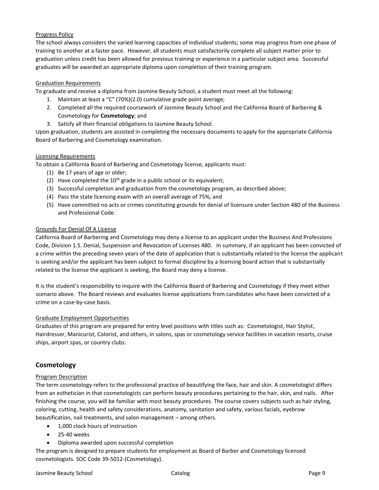## Progress Policy

The school always considers the varied learning capacities of individual students; some may progress from one phase of training to another at a faster pace. However, all students must satisfactorily complete all subject matter prior to graduation unless credit has been allowed for previous training or experience in a particular subject area. Successful graduates will be awarded an appropriate diploma upon completion of their training program.

## Graduation Requirements

To graduate and receive a diploma from Jasmine Beauty School, a student must meet all the following:

- 1. Maintain at least a "C" (70%)(2.0) cumulative grade point average;
- 2. Completed all the required coursework of Jasmine Beauty School and the California Board of Barbering & Cosmetology for **Cosmetology**; and
- 3. Satisfy all their financial obligations to Jasmine Beauty School.

Upon graduation, students are assisted in completing the necessary documents to apply for the appropriate California Board of Barbering and Cosmetology examination.

## Licensing Requirements

To obtain a California Board of Barbering and Cosmetology license, applicants must:

- (1) Be 17 years of age or older;
- (2) Have completed the  $10^{th}$  grade in a public school or its equivalent;
- (3) Successful completion and graduation from the cosmetology program, as described above;
- (4) Pass the state licensing exam with an overall average of 75%; and
- (5) Have committed no acts or crimes constituting grounds for denial of licensure under Section 480 of the Business and Professional Code.

## Grounds For Denial Of A License

California Board of Barbering and Cosmetology may deny a license to an applicant under the Business And Professions Code, Division 1.5. Denial, Suspension and Revocation of Licenses 480. In summary, if an applicant has been convicted of a crime within the preceding seven years of the date of application that is substantially related to the license the applicant is seeking and/or the applicant has been subject to formal discipline by a licensing board action that is substantially related to the license the applicant is seeking, the Board may deny a license.

It is the student's responsibility to inquire with the California Board of Barbering and Cosmetology if they meet either scenario above. The Board reviews and evaluates license applications from candidates who have been convicted of a crime on a case-by-case basis.

## Graduate Employment Opportunities

Graduates of this program are prepared for entry level positions with titles such as: Cosmetologist, Hair Stylist, Hairdresser, Manicurist, Colorist, and others, in salons, spas or cosmetology service facilities in vacation resorts, cruise ships, airport spas, or country clubs.

## **Cosmetology**

## Program Description

The term cosmetology refers to the professional practice of beautifying the face, hair and skin. A cosmetologist differs from an esthetician in that cosmetologists can perform beauty procedures pertaining to the hair, skin, and nails. After finishing the course, you will be familiar with most beauty procedures. The course covers subjects such as hair styling, coloring, cutting, health and safety considerations, anatomy, sanitation and safety, various facials, eyebrow beautification, nail treatments, and salon management – among others.

- 1,000 clock hours of instruction
- 25-40 weeks
- Diploma awarded upon successful completion

The program is designed to prepare students for employment as Board of Barber and Cosmetology licensed cosmetologists. SOC Code 39-5012-(Cosmetology).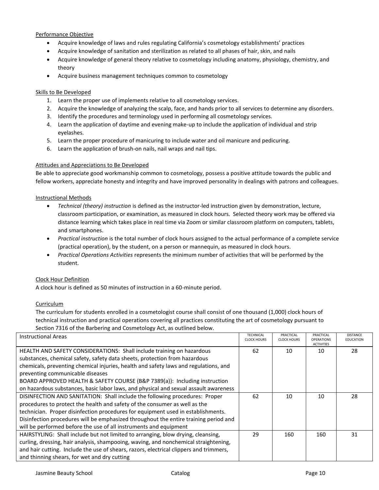## Performance Objective

- Acquire knowledge of laws and rules regulating California's cosmetology establishments' practices
- Acquire knowledge of sanitation and sterilization as related to all phases of hair, skin, and nails
- Acquire knowledge of general theory relative to cosmetology including anatomy, physiology, chemistry, and theory
- Acquire business management techniques common to cosmetology

## Skills to Be Developed

- 1. Learn the proper use of implements relative to all cosmetology services.
- 2. Acquire the knowledge of analyzing the scalp, face, and hands prior to all services to determine any disorders.
- 3. Identify the procedures and terminology used in performing all cosmetology services.
- 4. Learn the application of daytime and evening make-up to include the application of individual and strip eyelashes.
- 5. Learn the proper procedure of manicuring to include water and oil manicure and pedicuring.
- 6. Learn the application of brush-on nails, nail wraps and nail tips.

## Attitudes and Appreciations to Be Developed

Be able to appreciate good workmanship common to cosmetology, possess a positive attitude towards the public and fellow workers, appreciate honesty and integrity and have improved personality in dealings with patrons and colleagues.

## Instructional Methods

- *Technical (theory) instruction* is defined as the instructor-led instruction given by demonstration, lecture, classroom participation, or examination, as measured in clock hours. Selected theory work may be offered via distance learning which takes place in real time via Zoom or similar classroom platform on computers, tablets, and smartphones.
- *Practical instruction* is the total number of clock hours assigned to the actual performance of a complete service (practical operation), by the student, on a person or mannequin, as measured in clock hours.
- *Practical Operations Activities* represents the minimum number of activities that will be performed by the student.

## Clock Hour Definition

A clock hour is defined as 50 minutes of instruction in a 60-minute period.

## Curriculum

The curriculum for students enrolled in a cosmetologist course shall consist of one thousand (1,000) clock hours of technical instruction and practical operations covering all practices constituting the art of cosmetology pursuant to Section 7316 of the Barbering and Cosmetology Act, as outlined below.

| <b>Instructional Areas</b>                                                             | <b>TECHNICAL</b><br><b>CLOCK HOURS</b> | PRACTICAL<br><b>CLOCK HOURS</b> | PRACTICAL<br><b>OPERATIONS</b><br><b>ACTIVITIES</b> | <b>DISTANCE</b><br><b>EDUCATION</b> |
|----------------------------------------------------------------------------------------|----------------------------------------|---------------------------------|-----------------------------------------------------|-------------------------------------|
| HEALTH AND SAFETY CONSIDERATIONS: Shall include training on hazardous                  | 62                                     | 10                              | 10                                                  | 28                                  |
| substances, chemical safety, safety data sheets, protection from hazardous             |                                        |                                 |                                                     |                                     |
| chemicals, preventing chemical injuries, health and safety laws and regulations, and   |                                        |                                 |                                                     |                                     |
| preventing communicable diseases                                                       |                                        |                                 |                                                     |                                     |
| BOARD APPROVED HEALTH & SAFETY COURSE (B&P 7389(a)): Including instruction             |                                        |                                 |                                                     |                                     |
| on hazardous substances, basic labor laws, and physical and sexual assault awareness   |                                        |                                 |                                                     |                                     |
| DISINFECTION AND SANITATION: Shall include the following procedures: Proper            | 62                                     | 10                              | 10                                                  | 28                                  |
| procedures to protect the health and safety of the consumer as well as the             |                                        |                                 |                                                     |                                     |
| technician. Proper disinfection procedures for equipment used in establishments.       |                                        |                                 |                                                     |                                     |
| Disinfection procedures will be emphasized throughout the entire training period and   |                                        |                                 |                                                     |                                     |
| will be performed before the use of all instruments and equipment                      |                                        |                                 |                                                     |                                     |
| HAIRSTYLING: Shall include but not limited to arranging, blow drying, cleansing,       | 29                                     | 160                             | 160                                                 | 31                                  |
| curling, dressing, hair analysis, shampooing, waving, and nonchemical straightening,   |                                        |                                 |                                                     |                                     |
| and hair cutting. Include the use of shears, razors, electrical clippers and trimmers, |                                        |                                 |                                                     |                                     |
| and thinning shears, for wet and dry cutting                                           |                                        |                                 |                                                     |                                     |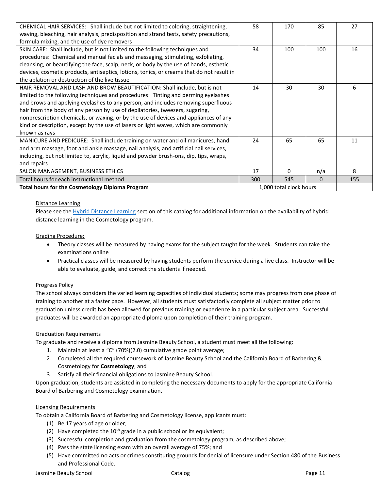| CHEMICAL HAIR SERVICES: Shall include but not limited to coloring, straightening,         | 58  | 170                     | 85       | 27  |
|-------------------------------------------------------------------------------------------|-----|-------------------------|----------|-----|
|                                                                                           |     |                         |          |     |
| waving, bleaching, hair analysis, predisposition and strand tests, safety precautions,    |     |                         |          |     |
| formula mixing, and the use of dye removers                                               |     |                         |          |     |
| SKIN CARE: Shall include, but is not limited to the following techniques and              | 34  | 100                     | 100      | 16  |
| procedures: Chemical and manual facials and massaging, stimulating, exfoliating,          |     |                         |          |     |
| cleansing, or beautifying the face, scalp, neck, or body by the use of hands, esthetic    |     |                         |          |     |
| devices, cosmetic products, antiseptics, lotions, tonics, or creams that do not result in |     |                         |          |     |
| the ablation or destruction of the live tissue                                            |     |                         |          |     |
| HAIR REMOVAL AND LASH AND BROW BEAUTIFICATION: Shall include, but is not                  | 14  | 30                      | 30       | 6   |
| limited to the following techniques and procedures: Tinting and perming eyelashes         |     |                         |          |     |
| and brows and applying eyelashes to any person, and includes removing superfluous         |     |                         |          |     |
| hair from the body of any person by use of depilatories, tweezers, sugaring,              |     |                         |          |     |
| nonprescription chemicals, or waxing, or by the use of devices and appliances of any      |     |                         |          |     |
| kind or description, except by the use of lasers or light waves, which are commonly       |     |                         |          |     |
| known as rays                                                                             |     |                         |          |     |
| MANICURE AND PEDICURE: Shall include training on water and oil manicures, hand            | 24  | 65                      | 65       | 11  |
| and arm massage, foot and ankle massage, nail analysis, and artificial nail services,     |     |                         |          |     |
| including, but not limited to, acrylic, liquid and powder brush-ons, dip, tips, wraps,    |     |                         |          |     |
| and repairs                                                                               |     |                         |          |     |
| SALON MANAGEMENT, BUSINESS ETHICS                                                         | 17  | 0                       | n/a      | 8   |
| Total hours for each instructional method                                                 | 300 | 545                     | $\Omega$ | 155 |
| <b>Total hours for the Cosmetology Diploma Program</b>                                    |     | 1,000 total clock hours |          |     |

## Distance Learning

Please see the [Hybrid Distance Learning](#page-41-0) section of this catalog for additional information on the availability of hybrid distance learning in the Cosmetology program.

## Grading Procedure:

- Theory classes will be measured by having exams for the subject taught for the week. Students can take the examinations online
- Practical classes will be measured by having students perform the service during a live class. Instructor will be able to evaluate, guide, and correct the students if needed.

## Progress Policy

The school always considers the varied learning capacities of individual students; some may progress from one phase of training to another at a faster pace. However, all students must satisfactorily complete all subject matter prior to graduation unless credit has been allowed for previous training or experience in a particular subject area. Successful graduates will be awarded an appropriate diploma upon completion of their training program.

## Graduation Requirements

To graduate and receive a diploma from Jasmine Beauty School, a student must meet all the following:

- 1. Maintain at least a "C" (70%)(2.0) cumulative grade point average;
- 2. Completed all the required coursework of Jasmine Beauty School and the California Board of Barbering & Cosmetology for **Cosmetology**; and
- 3. Satisfy all their financial obligations to Jasmine Beauty School.

Upon graduation, students are assisted in completing the necessary documents to apply for the appropriate California Board of Barbering and Cosmetology examination.

## Licensing Requirements

To obtain a California Board of Barbering and Cosmetology license, applicants must:

- (1) Be 17 years of age or older;
- (2) Have completed the  $10^{th}$  grade in a public school or its equivalent;
- (3) Successful completion and graduation from the cosmetology program, as described above;
- (4) Pass the state licensing exam with an overall average of 75%; and
- (5) Have committed no acts or crimes constituting grounds for denial of licensure under Section 480 of the Business and Professional Code.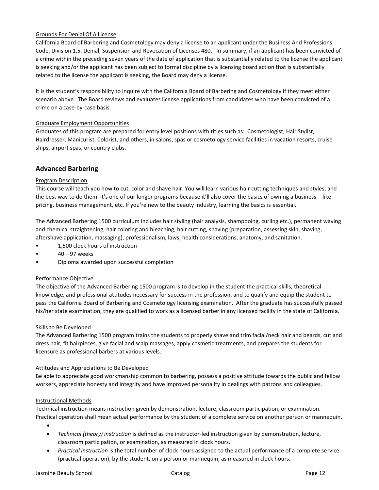## Grounds For Denial Of A License

California Board of Barbering and Cosmetology may deny a license to an applicant under the Business And Professions Code, Division 1.5. Denial, Suspension and Revocation of Licenses 480. In summary, if an applicant has been convicted of a crime within the preceding seven years of the date of application that is substantially related to the license the applicant is seeking and/or the applicant has been subject to formal discipline by a licensing board action that is substantially related to the license the applicant is seeking, the Board may deny a license.

It is the student's responsibility to inquire with the California Board of Barbering and Cosmetology if they meet either scenario above. The Board reviews and evaluates license applications from candidates who have been convicted of a crime on a case-by-case basis.

## Graduate Employment Opportunities

Graduates of this program are prepared for entry level positions with titles such as: Cosmetologist, Hair Stylist, Hairdresser, Manicurist, Colorist, and others, in salons, spas or cosmetology service facilities in vacation resorts, cruise ships, airport spas, or country clubs.

## **Advanced Barbering**

## Program Description

This course will teach you how to cut, color and shave hair. You will learn various hair cutting techniques and styles, and the best way to do them. It's one of our longer programs because it'll also cover the basics of owning a business – like pricing, business management, etc. If you're new to the beauty industry, learning the basics is essential.

The Advanced Barbering 1500 curriculum includes hair styling (hair analysis, shampooing, curling etc.), permanent waving and chemical straightening, hair coloring and bleaching, hair cutting, shaving (preparation, assessing skin, shaving, aftershave application, massaging), professionalism, laws, health considerations, anatomy, and sanitation.

- 1,500 clock hours of instruction
- 40 97 weeks
- Diploma awarded upon successful completion

## Performance Objective

The objective of the Advanced Barbering 1500 program is to develop in the student the practical skills, theoretical knowledge, and professional attitudes necessary for success in the profession, and to qualify and equip the student to pass the California Board of Barbering and Cosmetology licensing examination. After the graduate has successfully passed his/her state examination, they are qualified to work as a licensed barber in any licensed facility in the state of California.

## Skills to Be Developed

The Advanced Barbering 1500 program trains the students to properly shave and trim facial/neck hair and beards, cut and dress hair, fit hairpieces, give facial and scalp massages, apply cosmetic treatments, and prepares the students for licensure as professional barbers at various levels.

## Attitudes and Appreciations to Be Developed

Be able to appreciate good workmanship common to barbering, possess a positive attitude towards the public and fellow workers, appreciate honesty and integrity and have improved personality in dealings with patrons and colleagues.

## Instructional Methods

•

Technical instruction means instruction given by demonstration, lecture, classroom participation, or examination. Practical operation shall mean actual performance by the student of a complete service on another person or mannequin.

- *Technical (theory) instruction* is defined as the instructor-led instruction given by demonstration, lecture, classroom participation, or examination, as measured in clock hours.
- *Practical instruction* is the total number of clock hours assigned to the actual performance of a complete service (practical operation), by the student, on a person or mannequin, as measured in clock hours.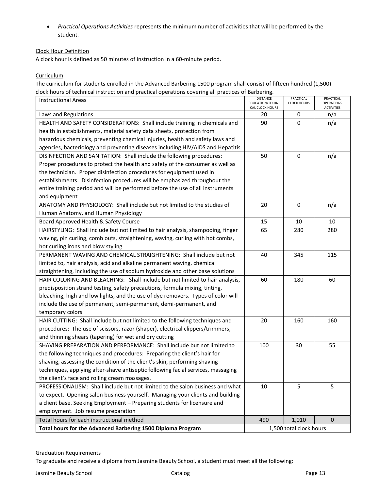• *Practical Operations Activities* represents the minimum number of activities that will be performed by the student.

## Clock Hour Definition

A clock hour is defined as 50 minutes of instruction in a 60-minute period.

**Curriculum** 

The curriculum for students enrolled in the Advanced Barbering 1500 program shall consist of fifteen hundred (1,500) clock hours of technical instruction and practical operations covering all practices of Barbering.

| <b>Instructional Areas</b>                                                       | <b>DISTANCE</b><br>EDUCATION/TECHNI<br>CAL CLOCK HOURS | PRACTICAL<br><b>CLOCK HOURS</b> | PRACTICAL<br>OPERATIONS<br><b>ACTIVITIES</b> |
|----------------------------------------------------------------------------------|--------------------------------------------------------|---------------------------------|----------------------------------------------|
| Laws and Regulations                                                             | 20                                                     | 0                               | n/a                                          |
| HEALTH AND SAFETY CONSIDERATIONS: Shall include training in chemicals and        | 90                                                     | 0                               | n/a                                          |
| health in establishments, material safety data sheets, protection from           |                                                        |                                 |                                              |
| hazardous chemicals, preventing chemical injuries, health and safety laws and    |                                                        |                                 |                                              |
| agencies, bacteriology and preventing diseases including HIV/AIDS and Hepatitis  |                                                        |                                 |                                              |
| DISINFECTION AND SANITATION: Shall include the following procedures:             | 50                                                     | 0                               | n/a                                          |
| Proper procedures to protect the health and safety of the consumer as well as    |                                                        |                                 |                                              |
| the technician. Proper disinfection procedures for equipment used in             |                                                        |                                 |                                              |
| establishments. Disinfection procedures will be emphasized throughout the        |                                                        |                                 |                                              |
| entire training period and will be performed before the use of all instruments   |                                                        |                                 |                                              |
| and equipment                                                                    |                                                        |                                 |                                              |
| ANATOMY AND PHYSIOLOGY: Shall include but not limited to the studies of          | 20                                                     | 0                               | n/a                                          |
| Human Anatomy, and Human Physiology                                              |                                                        |                                 |                                              |
| Board Approved Health & Safety Course                                            | 15                                                     | 10                              | 10                                           |
| HAIRSTYLING: Shall include but not limited to hair analysis, shampooing, finger  | 65                                                     | 280                             | 280                                          |
| waving, pin curling, comb outs, straightening, waving, curling with hot combs,   |                                                        |                                 |                                              |
| hot curling irons and blow styling                                               |                                                        |                                 |                                              |
| PERMANENT WAVING AND CHEMICAL STRAIGHTENING: Shall include but not               | 40                                                     | 345                             | 115                                          |
| limited to, hair analysis, acid and alkaline permanent waving, chemical          |                                                        |                                 |                                              |
| straightening, including the use of sodium hydroxide and other base solutions    |                                                        |                                 |                                              |
| HAIR COLORING AND BLEACHING: Shall include but not limited to hair analysis,     | 60                                                     | 180                             | 60                                           |
| predisposition strand testing, safety precautions, formula mixing, tinting,      |                                                        |                                 |                                              |
| bleaching, high and low lights, and the use of dye removers. Types of color will |                                                        |                                 |                                              |
| include the use of permanent, semi-permanent, demi-permanent, and                |                                                        |                                 |                                              |
| temporary colors                                                                 |                                                        |                                 |                                              |
| HAIR CUTTING: Shall include but not limited to the following techniques and      | 20                                                     | 160                             | 160                                          |
| procedures: The use of scissors, razor (shaper), electrical clippers/trimmers,   |                                                        |                                 |                                              |
| and thinning shears (tapering) for wet and dry cutting                           |                                                        |                                 |                                              |
| SHAVING PREPARATION AND PERFORMANCE: Shall include but not limited to            | 100                                                    | 30                              | 55                                           |
| the following techniques and procedures: Preparing the client's hair for         |                                                        |                                 |                                              |
| shaving, assessing the condition of the client's skin, performing shaving        |                                                        |                                 |                                              |
| techniques, applying after-shave antiseptic following facial services, massaging |                                                        |                                 |                                              |
| the client's face and rolling cream massages.                                    |                                                        |                                 |                                              |
| PROFESSIONALISM: Shall include but not limited to the salon business and what    | 10                                                     | 5                               | 5                                            |
| to expect. Opening salon business yourself. Managing your clients and building   |                                                        |                                 |                                              |
| a client base. Seeking Employment - Preparing students for licensure and         |                                                        |                                 |                                              |
| employment. Job resume preparation                                               |                                                        |                                 |                                              |
| Total hours for each instructional method                                        | 490                                                    | 1,010                           | $\mathbf{0}$                                 |
| Total hours for the Advanced Barbering 1500 Diploma Program                      |                                                        | 1,500 total clock hours         |                                              |

## Graduation Requirements

To graduate and receive a diploma from Jasmine Beauty School, a student must meet all the following: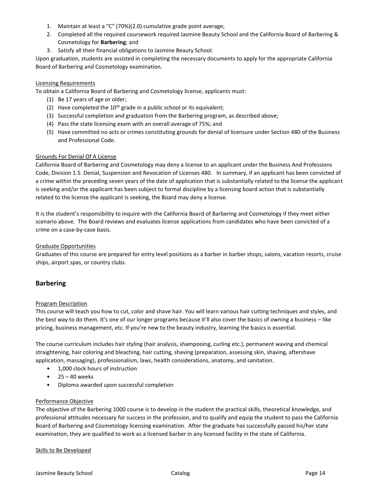- 1. Maintain at least a "C" (70%)(2.0) cumulative grade point average;
- 2. Completed all the required coursework required Jasmine Beauty School and the California Board of Barbering & Cosmetology for **Barbering**; and
- 3. Satisfy all their financial obligations to Jasmine Beauty School.

Upon graduation, students are assisted in completing the necessary documents to apply for the appropriate California Board of Barbering and Cosmetology examination.

## Licensing Requirements

To obtain a California Board of Barbering and Cosmetology license, applicants must:

- (1) Be 17 years of age or older;
- (2) Have completed the  $10^{th}$  grade in a public school or its equivalent;
- (3) Successful completion and graduation from the Barbering program, as described above;
- (4) Pass the state licensing exam with an overall average of 75%; and
- (5) Have committed no acts or crimes constituting grounds for denial of licensure under Section 480 of the Business and Professional Code.

## Grounds For Denial Of A License

California Board of Barbering and Cosmetology may deny a license to an applicant under the Business And Professions Code, Division 1.5. Denial, Suspension and Revocation of Licenses 480. In summary, if an applicant has been convicted of a crime within the preceding seven years of the date of application that is substantially related to the license the applicant is seeking and/or the applicant has been subject to formal discipline by a licensing board action that is substantially related to the license the applicant is seeking, the Board may deny a license.

It is the student's responsibility to inquire with the California Board of Barbering and Cosmetology if they meet either scenario above. The Board reviews and evaluates license applications from candidates who have been convicted of a crime on a case-by-case basis.

## Graduate Opportunities

Graduates of this course are prepared for entry level positions as a barber in barber shops, salons, vacation resorts, cruise ships, airport spas, or country clubs.

## **Barbering**

## Program Description

This course will teach you how to cut, color and shave hair. You will learn various hair cutting techniques and styles, and the best way to do them. It's one of our longer programs because it'll also cover the basics of owning a business – like pricing, business management, etc. If you're new to the beauty industry, learning the basics is essential.

The course curriculum includes hair styling (hair analysis, shampooing, curling etc.), permanent waving and chemical straightening, hair coloring and bleaching, hair cutting, shaving (preparation, assessing skin, shaving, aftershave application, massaging), professionalism, laws, health considerations, anatomy, and sanitation.

- 1,000 clock hours of instruction
- $\bullet$  25 40 weeks
- Diploma awarded upon successful completion

## Performance Objective

The objective of the Barbering 1000 course is to develop in the student the practical skills, theoretical knowledge, and professional attitudes necessary for success in the profession, and to qualify and equip the student to pass the California Board of Barbering and Cosmetology licensing examination. After the graduate has successfully passed his/her state examination, they are qualified to work as a licensed barber in any licensed facility in the state of California.

## Skills to Be Developed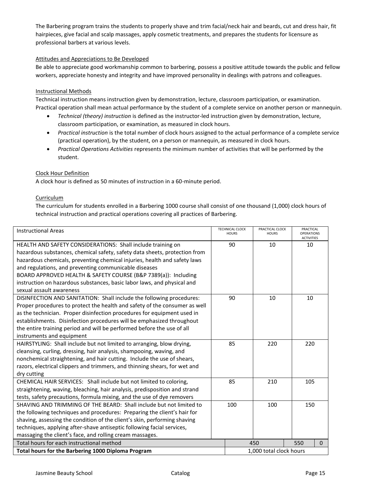The Barbering program trains the students to properly shave and trim facial/neck hair and beards, cut and dress hair, fit hairpieces, give facial and scalp massages, apply cosmetic treatments, and prepares the students for licensure as professional barbers at various levels.

## Attitudes and Appreciations to Be Developed

Be able to appreciate good workmanship common to barbering, possess a positive attitude towards the public and fellow workers, appreciate honesty and integrity and have improved personality in dealings with patrons and colleagues.

## Instructional Methods

Technical instruction means instruction given by demonstration, lecture, classroom participation, or examination. Practical operation shall mean actual performance by the student of a complete service on another person or mannequin.

- *Technical (theory) instruction* is defined as the instructor-led instruction given by demonstration, lecture, classroom participation, or examination, as measured in clock hours.
- *Practical instruction* is the total number of clock hours assigned to the actual performance of a complete service (practical operation), by the student, on a person or mannequin, as measured in clock hours.
- *Practical Operations Activities* represents the minimum number of activities that will be performed by the student.

## Clock Hour Definition

A clock hour is defined as 50 minutes of instruction in a 60-minute period.

## **Curriculum**

The curriculum for students enrolled in a Barbering 1000 course shall consist of one thousand (1,000) clock hours of technical instruction and practical operations covering all practices of Barbering.

| <b>Instructional Areas</b>                                                 | <b>TECHNICAL CLOCK</b><br><b>HOURS</b> | PRACTICAL CLOCK<br><b>HOURS</b> |  | PRACTICAL<br>OPERATIONS<br><b>ACTIVITIES</b> |              |
|----------------------------------------------------------------------------|----------------------------------------|---------------------------------|--|----------------------------------------------|--------------|
| HEALTH AND SAFETY CONSIDERATIONS: Shall include training on                | 90                                     | 10                              |  | 10                                           |              |
| hazardous substances, chemical safety, safety data sheets, protection from |                                        |                                 |  |                                              |              |
| hazardous chemicals, preventing chemical injuries, health and safety laws  |                                        |                                 |  |                                              |              |
| and regulations, and preventing communicable diseases                      |                                        |                                 |  |                                              |              |
| BOARD APPROVED HEALTH & SAFETY COURSE (B&P 7389(a)): Including             |                                        |                                 |  |                                              |              |
| instruction on hazardous substances, basic labor laws, and physical and    |                                        |                                 |  |                                              |              |
| sexual assault awareness                                                   |                                        |                                 |  |                                              |              |
| DISINFECTION AND SANITATION: Shall include the following procedures:       | 90                                     | 10                              |  | 10                                           |              |
| Proper procedures to protect the health and safety of the consumer as well |                                        |                                 |  |                                              |              |
| as the technician. Proper disinfection procedures for equipment used in    |                                        |                                 |  |                                              |              |
| establishments. Disinfection procedures will be emphasized throughout      |                                        |                                 |  |                                              |              |
| the entire training period and will be performed before the use of all     |                                        |                                 |  |                                              |              |
| instruments and equipment                                                  |                                        |                                 |  |                                              |              |
| HAIRSTYLING: Shall include but not limited to arranging, blow drying,      | 85                                     | 220                             |  | 220                                          |              |
| cleansing, curling, dressing, hair analysis, shampooing, waving, and       |                                        |                                 |  |                                              |              |
| nonchemical straightening, and hair cutting. Include the use of shears,    |                                        |                                 |  |                                              |              |
| razors, electrical clippers and trimmers, and thinning shears, for wet and |                                        |                                 |  |                                              |              |
| dry cutting                                                                |                                        |                                 |  |                                              |              |
| CHEMICAL HAIR SERVICES: Shall include but not limited to coloring,         | 85                                     | 210                             |  | 105                                          |              |
| straightening, waving, bleaching, hair analysis, predisposition and strand |                                        |                                 |  |                                              |              |
| tests, safety precautions, formula mixing, and the use of dye removers     |                                        |                                 |  |                                              |              |
| SHAVING AND TRIMMING OF THE BEARD: Shall include but not limited to        | 100                                    | 100                             |  | 150                                          |              |
| the following techniques and procedures: Preparing the client's hair for   |                                        |                                 |  |                                              |              |
| shaving, assessing the condition of the client's skin, performing shaving  |                                        |                                 |  |                                              |              |
| techniques, applying after-shave antiseptic following facial services,     |                                        |                                 |  |                                              |              |
| massaging the client's face, and rolling cream massages.                   |                                        |                                 |  |                                              |              |
| Total hours for each instructional method                                  |                                        | 450                             |  | 550                                          | $\mathbf{0}$ |
| Total hours for the Barbering 1000 Diploma Program                         | 1,000 total clock hours                |                                 |  |                                              |              |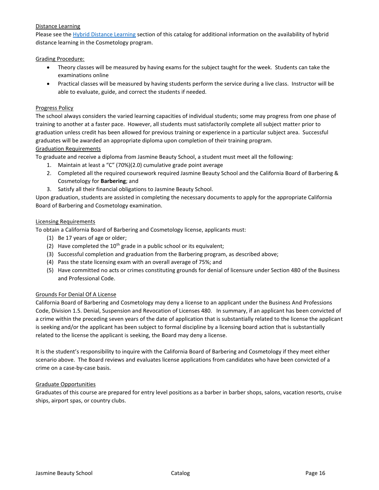## Distance Learning

Please see the [Hybrid Distance Learning](#page-41-0) section of this catalog for additional information on the availability of hybrid distance learning in the Cosmetology program.

#### Grading Procedure:

- Theory classes will be measured by having exams for the subject taught for the week. Students can take the examinations online
- Practical classes will be measured by having students perform the service during a live class. Instructor will be able to evaluate, guide, and correct the students if needed.

#### Progress Policy

The school always considers the varied learning capacities of individual students; some may progress from one phase of training to another at a faster pace. However, all students must satisfactorily complete all subject matter prior to graduation unless credit has been allowed for previous training or experience in a particular subject area. Successful graduates will be awarded an appropriate diploma upon completion of their training program.

#### Graduation Requirements

To graduate and receive a diploma from Jasmine Beauty School, a student must meet all the following:

- 1. Maintain at least a "C" (70%)(2.0) cumulative grade point average
- 2. Completed all the required coursework required Jasmine Beauty School and the California Board of Barbering & Cosmetology for **Barbering**; and
- 3. Satisfy all their financial obligations to Jasmine Beauty School.

Upon graduation, students are assisted in completing the necessary documents to apply for the appropriate California Board of Barbering and Cosmetology examination.

#### Licensing Requirements

To obtain a California Board of Barbering and Cosmetology license, applicants must:

- (1) Be 17 years of age or older;
- (2) Have completed the  $10<sup>th</sup>$  grade in a public school or its equivalent;
- (3) Successful completion and graduation from the Barbering program, as described above;
- (4) Pass the state licensing exam with an overall average of 75%; and
- (5) Have committed no acts or crimes constituting grounds for denial of licensure under Section 480 of the Business and Professional Code.

## Grounds For Denial Of A License

California Board of Barbering and Cosmetology may deny a license to an applicant under the Business And Professions Code, Division 1.5. Denial, Suspension and Revocation of Licenses 480. In summary, if an applicant has been convicted of a crime within the preceding seven years of the date of application that is substantially related to the license the applicant is seeking and/or the applicant has been subject to formal discipline by a licensing board action that is substantially related to the license the applicant is seeking, the Board may deny a license.

It is the student's responsibility to inquire with the California Board of Barbering and Cosmetology if they meet either scenario above. The Board reviews and evaluates license applications from candidates who have been convicted of a crime on a case-by-case basis.

## Graduate Opportunities

Graduates of this course are prepared for entry level positions as a barber in barber shops, salons, vacation resorts, cruise ships, airport spas, or country clubs.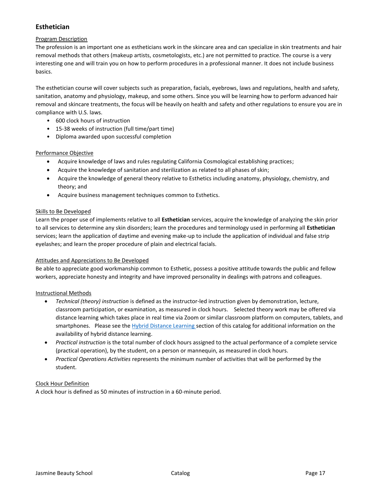## **Esthetician**

## Program Description

The profession is an important one as estheticians work in the skincare area and can specialize in skin treatments and hair removal methods that others (makeup artists, cosmetologists, etc.) are not permitted to practice. The course is a very interesting one and will train you on how to perform procedures in a professional manner. It does not include business basics.

The esthetician course will cover subjects such as preparation, facials, eyebrows, laws and regulations, health and safety, sanitation, anatomy and physiology, makeup, and some others. Since you will be learning how to perform advanced hair removal and skincare treatments, the focus will be heavily on health and safety and other regulations to ensure you are in compliance with U.S. laws.

- 600 clock hours of instruction
- 15-38 weeks of instruction (full time/part time)
- Diploma awarded upon successful completion

## Performance Objective

- Acquire knowledge of laws and rules regulating California Cosmological establishing practices;
- Acquire the knowledge of sanitation and sterilization as related to all phases of skin;
- Acquire the knowledge of general theory relative to Esthetics including anatomy, physiology, chemistry, and theory; and
- Acquire business management techniques common to Esthetics.

## Skills to Be Developed

Learn the proper use of implements relative to all **Esthetician** services, acquire the knowledge of analyzing the skin prior to all services to determine any skin disorders; learn the procedures and terminology used in performing all **Esthetician**  services; learn the application of daytime and evening make-up to include the application of individual and false strip eyelashes; and learn the proper procedure of plain and electrical facials.

## Attitudes and Appreciations to Be Developed

Be able to appreciate good workmanship common to Esthetic, possess a positive attitude towards the public and fellow workers, appreciate honesty and integrity and have improved personality in dealings with patrons and colleagues.

## Instructional Methods

- *Technical (theory) instruction* is defined as the instructor-led instruction given by demonstration, lecture, classroom participation, or examination, as measured in clock hours. Selected theory work may be offered via distance learning which takes place in real time via Zoom or similar classroom platform on computers, tablets, and smartphones. Please see the [Hybrid Distance Learning s](#page-41-0)ection of this catalog for additional information on the availability of hybrid distance learning.
- *Practical instruction* is the total number of clock hours assigned to the actual performance of a complete service (practical operation), by the student, on a person or mannequin, as measured in clock hours.
- *Practical Operations Activities* represents the minimum number of activities that will be performed by the student.

## Clock Hour Definition

A clock hour is defined as 50 minutes of instruction in a 60-minute period.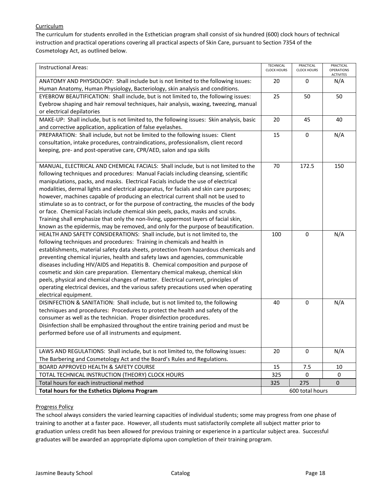## **Curriculum**

The curriculum for students enrolled in the Esthetician program shall consist of six hundred (600) clock hours of technical instruction and practical operations covering all practical aspects of Skin Care, pursuant to Section 7354 of the Cosmetology Act, as outlined below.

| <b>Instructional Areas:</b>                                                               | <b>TECHNICAL</b><br><b>CLOCK HOURS</b> | PRACTICAL<br><b>CLOCK HOURS</b> | PRACTICAL<br><b>OPERATIONS</b> |
|-------------------------------------------------------------------------------------------|----------------------------------------|---------------------------------|--------------------------------|
| ANATOMY AND PHYSIOLOGY: Shall include but is not limited to the following issues:         | 20                                     | 0                               | <b>ACTIVITES</b><br>N/A        |
| Human Anatomy, Human Physiology, Bacteriology, skin analysis and conditions.              |                                        |                                 |                                |
| EYEBROW BEAUTIFICATION: Shall include, but is not limited to, the following issues:       | 25                                     | 50                              | 50                             |
| Eyebrow shaping and hair removal techniques, hair analysis, waxing, tweezing, manual      |                                        |                                 |                                |
| or electrical depilatories                                                                |                                        |                                 |                                |
| MAKE-UP: Shall include, but is not limited to, the following issues: Skin analysis, basic | 20                                     | 45                              | 40                             |
| and corrective application, application of false eyelashes.                               |                                        |                                 |                                |
| PREPARATION: Shall include, but not be limited to the following issues: Client            | 15                                     | $\pmb{0}$                       | N/A                            |
| consultation, intake procedures, contraindications, professionalism, client record        |                                        |                                 |                                |
| keeping, pre- and post-operative care, CPR/AED, salon and spa skills                      |                                        |                                 |                                |
|                                                                                           |                                        |                                 |                                |
| MANUAL, ELECTRICAL AND CHEMICAL FACIALS: Shall include, but is not limited to the         | 70                                     | 172.5                           | 150                            |
| following techniques and procedures: Manual Facials including cleansing, scientific       |                                        |                                 |                                |
| manipulations, packs, and masks. Electrical Facials include the use of electrical         |                                        |                                 |                                |
| modalities, dermal lights and electrical apparatus, for facials and skin care purposes;   |                                        |                                 |                                |
| however, machines capable of producing an electrical current shall not be used to         |                                        |                                 |                                |
| stimulate so as to contract, or for the purpose of contracting, the muscles of the body   |                                        |                                 |                                |
| or face. Chemical Facials include chemical skin peels, packs, masks and scrubs.           |                                        |                                 |                                |
| Training shall emphasize that only the non-living, uppermost layers of facial skin,       |                                        |                                 |                                |
| known as the epidermis, may be removed, and only for the purpose of beautification.       |                                        |                                 |                                |
| HEALTH AND SAFETY CONSIDERATIONS: Shall include, but is not limited to, the               | 100                                    | 0                               | N/A                            |
| following techniques and procedures: Training in chemicals and health in                  |                                        |                                 |                                |
| establishments, material safety data sheets, protection from hazardous chemicals and      |                                        |                                 |                                |
| preventing chemical injuries, health and safety laws and agencies, communicable           |                                        |                                 |                                |
| diseases including HIV/AIDS and Hepatitis B. Chemical composition and purpose of          |                                        |                                 |                                |
| cosmetic and skin care preparation. Elementary chemical makeup, chemical skin             |                                        |                                 |                                |
| peels, physical and chemical changes of matter. Electrical current, principles of         |                                        |                                 |                                |
| operating electrical devices, and the various safety precautions used when operating      |                                        |                                 |                                |
| electrical equipment.                                                                     |                                        |                                 |                                |
| DISINFECTION & SANITATION: Shall include, but is not limited to, the following            | 40                                     | $\mathbf 0$                     | N/A                            |
| techniques and procedures: Procedures to protect the health and safety of the             |                                        |                                 |                                |
| consumer as well as the technician. Proper disinfection procedures.                       |                                        |                                 |                                |
| Disinfection shall be emphasized throughout the entire training period and must be        |                                        |                                 |                                |
| performed before use of all instruments and equipment.                                    |                                        |                                 |                                |
|                                                                                           |                                        |                                 |                                |
| LAWS AND REGULATIONS: Shall include, but is not limited to, the following issues:         | 20                                     | 0                               | N/A                            |
| The Barbering and Cosmetology Act and the Board's Rules and Regulations.                  |                                        |                                 |                                |
| BOARD APPROVED HEALTH & SAFETY COURSE                                                     | 15                                     | 7.5                             | 10                             |
| TOTAL TECHNICAL INSTRUCTION (THEORY) CLOCK HOURS                                          | 325                                    | $\Omega$                        | 0                              |
| Total hours for each instructional method                                                 | 325                                    | 275                             | 0                              |
| <b>Total hours for the Esthetics Diploma Program</b>                                      | 600 total hours                        |                                 |                                |

## Progress Policy

The school always considers the varied learning capacities of individual students; some may progress from one phase of training to another at a faster pace. However, all students must satisfactorily complete all subject matter prior to graduation unless credit has been allowed for previous training or experience in a particular subject area. Successful graduates will be awarded an appropriate diploma upon completion of their training program.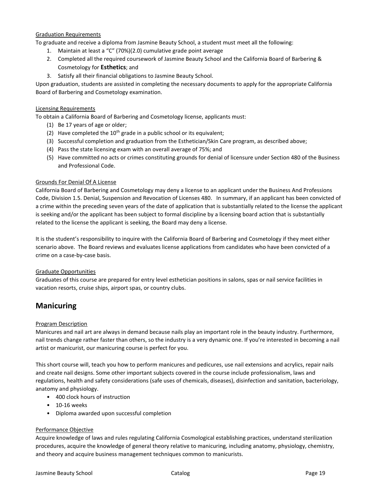## Graduation Requirements

To graduate and receive a diploma from Jasmine Beauty School, a student must meet all the following:

- 1. Maintain at least a "C" (70%)(2.0) cumulative grade point average
- 2. Completed all the required coursework of Jasmine Beauty School and the California Board of Barbering & Cosmetology for **Esthetics**; and
- 3. Satisfy all their financial obligations to Jasmine Beauty School.

Upon graduation, students are assisted in completing the necessary documents to apply for the appropriate California Board of Barbering and Cosmetology examination.

## Licensing Requirements

To obtain a California Board of Barbering and Cosmetology license, applicants must:

- (1) Be 17 years of age or older;
- (2) Have completed the  $10^{th}$  grade in a public school or its equivalent;
- (3) Successful completion and graduation from the Esthetician/Skin Care program, as described above;
- (4) Pass the state licensing exam with an overall average of 75%; and
- (5) Have committed no acts or crimes constituting grounds for denial of licensure under Section 480 of the Business and Professional Code.

#### Grounds For Denial Of A License

California Board of Barbering and Cosmetology may deny a license to an applicant under the Business And Professions Code, Division 1.5. Denial, Suspension and Revocation of Licenses 480. In summary, if an applicant has been convicted of a crime within the preceding seven years of the date of application that is substantially related to the license the applicant is seeking and/or the applicant has been subject to formal discipline by a licensing board action that is substantially related to the license the applicant is seeking, the Board may deny a license.

It is the student's responsibility to inquire with the California Board of Barbering and Cosmetology if they meet either scenario above. The Board reviews and evaluates license applications from candidates who have been convicted of a crime on a case-by-case basis.

## Graduate Opportunities

Graduates of this course are prepared for entry level esthetician positions in salons, spas or nail service facilities in vacation resorts, cruise ships, airport spas, or country clubs.

## **Manicuring**

## Program Description

Manicures and nail art are always in demand because nails play an important role in the beauty industry. Furthermore, nail trends change rather faster than others, so the industry is a very dynamic one. If you're interested in becoming a nail artist or manicurist, our manicuring course is perfect for you.

This short course will, teach you how to perform manicures and pedicures, use nail extensions and acrylics, repair nails and create nail designs. Some other important subjects covered in the course include professionalism, laws and regulations, health and safety considerations (safe uses of chemicals, diseases), disinfection and sanitation, bacteriology, anatomy and physiology.

- 400 clock hours of instruction
- 10-16 weeks
- Diploma awarded upon successful completion

## Performance Objective

Acquire knowledge of laws and rules regulating California Cosmological establishing practices, understand sterilization procedures, acquire the knowledge of general theory relative to manicuring, including anatomy, physiology, chemistry, and theory and acquire business management techniques common to manicurists.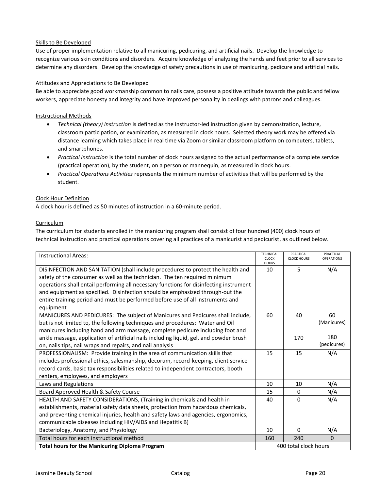## Skills to Be Developed

Use of proper implementation relative to all manicuring, pedicuring, and artificial nails. Develop the knowledge to recognize various skin conditions and disorders. Acquire knowledge of analyzing the hands and feet prior to all services to determine any disorders. Develop the knowledge of safety precautions in use of manicuring, pedicure and artificial nails.

## Attitudes and Appreciations to Be Developed

Be able to appreciate good workmanship common to nails care, possess a positive attitude towards the public and fellow workers, appreciate honesty and integrity and have improved personality in dealings with patrons and colleagues.

## Instructional Methods

- *Technical (theory) instruction* is defined as the instructor-led instruction given by demonstration, lecture, classroom participation, or examination, as measured in clock hours. Selected theory work may be offered via distance learning which takes place in real time via Zoom or similar classroom platform on computers, tablets, and smartphones.
- *Practical instruction* is the total number of clock hours assigned to the actual performance of a complete service (practical operation), by the student, on a person or mannequin, as measured in clock hours.
- *Practical Operations Activities* represents the minimum number of activities that will be performed by the student.

## Clock Hour Definition

A clock hour is defined as 50 minutes of instruction in a 60-minute period.

## Curriculum

The curriculum for students enrolled in the manicuring program shall consist of four hundred (400) clock hours of technical instruction and practical operations covering all practices of a manicurist and pedicurist, as outlined below.

| <b>Instructional Areas:</b>                                                            | <b>TECHNICAL</b><br><b>CLOCK</b><br><b>HOURS</b> | PRACTICAL<br><b>CLOCK HOURS</b> | PRACTICAL<br><b>OPERATIONS</b> |
|----------------------------------------------------------------------------------------|--------------------------------------------------|---------------------------------|--------------------------------|
| DISINFECTION AND SANITATION (shall include procedures to protect the health and        | 10                                               | 5                               | N/A                            |
| safety of the consumer as well as the technician. The ten required minimum             |                                                  |                                 |                                |
| operations shall entail performing all necessary functions for disinfecting instrument |                                                  |                                 |                                |
| and equipment as specified. Disinfection should be emphasized through-out the          |                                                  |                                 |                                |
| entire training period and must be performed before use of all instruments and         |                                                  |                                 |                                |
| equipment                                                                              |                                                  |                                 |                                |
| MANICURES AND PEDICURES: The subject of Manicures and Pedicures shall include,         | 60                                               | 40                              | 60                             |
| but is not limited to, the following techniques and procedures: Water and Oil          |                                                  |                                 | (Manicures)                    |
| manicures including hand and arm massage, complete pedicure including foot and         |                                                  |                                 |                                |
| ankle massage, application of artificial nails including liquid, gel, and powder brush |                                                  | 170                             | 180                            |
| on, nails tips, nail wraps and repairs, and nail analysis                              |                                                  |                                 | (pedicures)                    |
| PROFESSIONALISM: Provide training in the area of communication skills that             | 15                                               | 15                              | N/A                            |
| includes professional ethics, salesmanship, decorum, record-keeping, client service    |                                                  |                                 |                                |
| record cards, basic tax responsibilities related to independent contractors, booth     |                                                  |                                 |                                |
| renters, employees, and employers                                                      |                                                  |                                 |                                |
| Laws and Regulations                                                                   | 10                                               | 10                              | N/A                            |
| Board Approved Health & Safety Course                                                  | 15                                               | 0                               | N/A                            |
| HEALTH AND SAFETY CONSIDERATIONS, (Training in chemicals and health in                 | 40                                               | 0                               | N/A                            |
| establishments, material safety data sheets, protection from hazardous chemicals,      |                                                  |                                 |                                |
| and preventing chemical injuries, health and safety laws and agencies, ergonomics,     |                                                  |                                 |                                |
| communicable diseases including HIV/AIDS and Hepatitis B)                              |                                                  |                                 |                                |
| Bacteriology, Anatomy, and Physiology                                                  | 10                                               | $\Omega$                        | N/A                            |
| Total hours for each instructional method                                              | 160                                              | 240                             | 0                              |
| <b>Total hours for the Manicuring Diploma Program</b>                                  | 400 total clock hours                            |                                 |                                |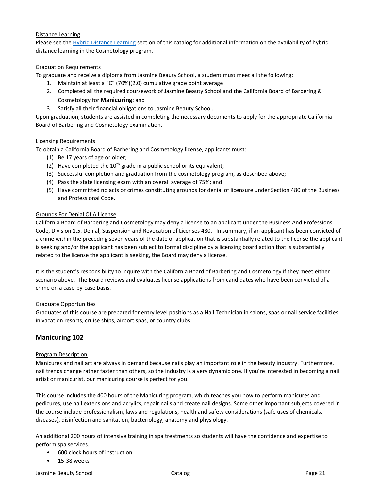## Distance Learning

Please see the [Hybrid Distance Learning](#page-41-0) section of this catalog for additional information on the availability of hybrid distance learning in the Cosmetology program.

## Graduation Requirements

To graduate and receive a diploma from Jasmine Beauty School, a student must meet all the following:

- 1. Maintain at least a "C" (70%)(2.0) cumulative grade point average
- 2. Completed all the required coursework of Jasmine Beauty School and the California Board of Barbering & Cosmetology for **Manicuring**; and
- 3. Satisfy all their financial obligations to Jasmine Beauty School.

Upon graduation, students are assisted in completing the necessary documents to apply for the appropriate California Board of Barbering and Cosmetology examination.

#### Licensing Requirements

To obtain a California Board of Barbering and Cosmetology license, applicants must:

- (1) Be 17 years of age or older;
- (2) Have completed the  $10<sup>th</sup>$  grade in a public school or its equivalent;
- (3) Successful completion and graduation from the cosmetology program, as described above;
- (4) Pass the state licensing exam with an overall average of 75%; and
- (5) Have committed no acts or crimes constituting grounds for denial of licensure under Section 480 of the Business and Professional Code.

## Grounds For Denial Of A License

California Board of Barbering and Cosmetology may deny a license to an applicant under the Business And Professions Code, Division 1.5. Denial, Suspension and Revocation of Licenses 480. In summary, if an applicant has been convicted of a crime within the preceding seven years of the date of application that is substantially related to the license the applicant is seeking and/or the applicant has been subject to formal discipline by a licensing board action that is substantially related to the license the applicant is seeking, the Board may deny a license.

It is the student's responsibility to inquire with the California Board of Barbering and Cosmetology if they meet either scenario above. The Board reviews and evaluates license applications from candidates who have been convicted of a crime on a case-by-case basis.

## Graduate Opportunities

Graduates of this course are prepared for entry level positions as a Nail Technician in salons, spas or nail service facilities in vacation resorts, cruise ships, airport spas, or country clubs.

## **Manicuring 102**

## Program Description

Manicures and nail art are always in demand because nails play an important role in the beauty industry. Furthermore, nail trends change rather faster than others, so the industry is a very dynamic one. If you're interested in becoming a nail artist or manicurist, our manicuring course is perfect for you.

This course includes the 400 hours of the Manicuring program, which teaches you how to perform manicures and pedicures, use nail extensions and acrylics, repair nails and create nail designs. Some other important subjects covered in the course include professionalism, laws and regulations, health and safety considerations (safe uses of chemicals, diseases), disinfection and sanitation, bacteriology, anatomy and physiology.

An additional 200 hours of intensive training in spa treatments so students will have the confidence and expertise to perform spa services.

- 600 clock hours of instruction
- 15-38 weeks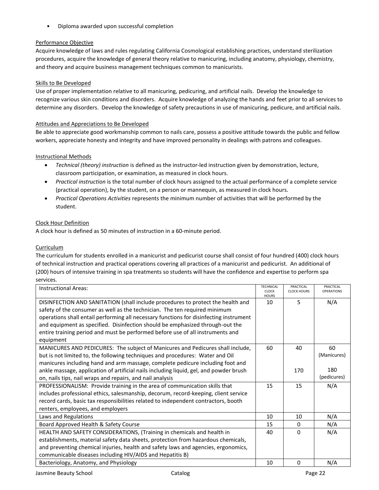• Diploma awarded upon successful completion

## Performance Objective

Acquire knowledge of laws and rules regulating California Cosmological establishing practices, understand sterilization procedures, acquire the knowledge of general theory relative to manicuring, including anatomy, physiology, chemistry, and theory and acquire business management techniques common to manicurists.

## Skills to Be Developed

Use of proper implementation relative to all manicuring, pedicuring, and artificial nails. Develop the knowledge to recognize various skin conditions and disorders. Acquire knowledge of analyzing the hands and feet prior to all services to determine any disorders. Develop the knowledge of safety precautions in use of manicuring, pedicure, and artificial nails.

## Attitudes and Appreciations to Be Developed

Be able to appreciate good workmanship common to nails care, possess a positive attitude towards the public and fellow workers, appreciate honesty and integrity and have improved personality in dealings with patrons and colleagues.

## Instructional Methods

- *Technical (theory) instruction* is defined as the instructor-led instruction given by demonstration, lecture, classroom participation, or examination, as measured in clock hours.
- *Practical instruction* is the total number of clock hours assigned to the actual performance of a complete service (practical operation), by the student, on a person or mannequin, as measured in clock hours.
- *Practical Operations Activities* represents the minimum number of activities that will be performed by the student.

## Clock Hour Definition

A clock hour is defined as 50 minutes of instruction in a 60-minute period.

## **Curriculum**

The curriculum for students enrolled in a manicurist and pedicurist course shall consist of four hundred (400) clock hours of technical instruction and practical operations covering all practices of a manicurist and pedicurist. An additional of (200) hours of intensive training in spa treatments so students will have the confidence and expertise to perform spa services.

| <b>Instructional Areas:</b>                                                            | <b>TECHNICAL</b><br><b>CLOCK</b> | PRACTICAL<br><b>CLOCK HOURS</b> | PRACTICAL<br><b>OPERATIONS</b> |
|----------------------------------------------------------------------------------------|----------------------------------|---------------------------------|--------------------------------|
| DISINFECTION AND SANITATION (shall include procedures to protect the health and        | <b>HOURS</b><br>10               | 5                               | N/A                            |
| safety of the consumer as well as the technician. The ten required minimum             |                                  |                                 |                                |
| operations shall entail performing all necessary functions for disinfecting instrument |                                  |                                 |                                |
| and equipment as specified. Disinfection should be emphasized through-out the          |                                  |                                 |                                |
| entire training period and must be performed before use of all instruments and         |                                  |                                 |                                |
| equipment                                                                              |                                  |                                 |                                |
| MANICURES AND PEDICURES: The subject of Manicures and Pedicures shall include,         | 60                               | 40                              | 60                             |
| but is not limited to, the following techniques and procedures: Water and Oil          |                                  |                                 | (Manicures)                    |
| manicures including hand and arm massage, complete pedicure including foot and         |                                  |                                 |                                |
| ankle massage, application of artificial nails including liquid, gel, and powder brush |                                  | 170                             | 180                            |
| on, nails tips, nail wraps and repairs, and nail analysis                              |                                  |                                 | (pedicures)                    |
| PROFESSIONALISM: Provide training in the area of communication skills that             | 15                               | 15                              | N/A                            |
| includes professional ethics, salesmanship, decorum, record-keeping, client service    |                                  |                                 |                                |
| record cards, basic tax responsibilities related to independent contractors, booth     |                                  |                                 |                                |
| renters, employees, and employers                                                      |                                  |                                 |                                |
| Laws and Regulations                                                                   | 10                               | 10                              | N/A                            |
| Board Approved Health & Safety Course                                                  | 15                               | 0                               | N/A                            |
| HEALTH AND SAFETY CONSIDERATIONS, (Training in chemicals and health in                 | 40                               | $\Omega$                        | N/A                            |
| establishments, material safety data sheets, protection from hazardous chemicals,      |                                  |                                 |                                |
| and preventing chemical injuries, health and safety laws and agencies, ergonomics,     |                                  |                                 |                                |
| communicable diseases including HIV/AIDS and Hepatitis B)                              |                                  |                                 |                                |
| Bacteriology, Anatomy, and Physiology                                                  | 10                               | 0                               | N/A                            |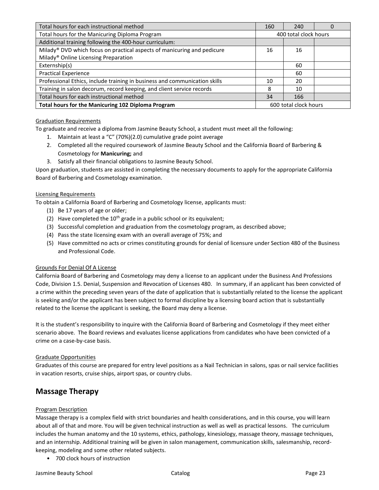| Total hours for each instructional method                                           | 160                   | 240 | U |
|-------------------------------------------------------------------------------------|-----------------------|-----|---|
| Total hours for the Manicuring Diploma Program                                      | 400 total clock hours |     |   |
| Additional training following the 400-hour curriculum:                              |                       |     |   |
| Milady <sup>®</sup> DVD which focus on practical aspects of manicuring and pedicure | 16                    | 16  |   |
| Milady <sup>®</sup> Online Licensing Preparation                                    |                       |     |   |
| Externship(s)                                                                       |                       | 60  |   |
| <b>Practical Experience</b>                                                         |                       | 60  |   |
| Professional Ethics, include training in business and communication skills          | 10                    | 20  |   |
| Training in salon decorum, record keeping, and client service records               | 8                     | 10  |   |
| Total hours for each instructional method                                           | 34                    | 166 |   |
| Total hours for the Manicuring 102 Diploma Program                                  | 600 total clock hours |     |   |

## Graduation Requirements

To graduate and receive a diploma from Jasmine Beauty School, a student must meet all the following:

- 1. Maintain at least a "C" (70%)(2.0) cumulative grade point average
- 2. Completed all the required coursework of Jasmine Beauty School and the California Board of Barbering & Cosmetology for **Manicuring;** and
- 3. Satisfy all their financial obligations to Jasmine Beauty School.

Upon graduation, students are assisted in completing the necessary documents to apply for the appropriate California Board of Barbering and Cosmetology examination.

#### Licensing Requirements

To obtain a California Board of Barbering and Cosmetology license, applicants must:

- (1) Be 17 years of age or older;
- (2) Have completed the  $10<sup>th</sup>$  grade in a public school or its equivalent;
- (3) Successful completion and graduation from the cosmetology program, as described above;
- (4) Pass the state licensing exam with an overall average of 75%; and
- (5) Have committed no acts or crimes constituting grounds for denial of licensure under Section 480 of the Business and Professional Code.

#### Grounds For Denial Of A License

California Board of Barbering and Cosmetology may deny a license to an applicant under the Business And Professions Code, Division 1.5. Denial, Suspension and Revocation of Licenses 480. In summary, if an applicant has been convicted of a crime within the preceding seven years of the date of application that is substantially related to the license the applicant is seeking and/or the applicant has been subject to formal discipline by a licensing board action that is substantially related to the license the applicant is seeking, the Board may deny a license.

It is the student's responsibility to inquire with the California Board of Barbering and Cosmetology if they meet either scenario above. The Board reviews and evaluates license applications from candidates who have been convicted of a crime on a case-by-case basis.

#### Graduate Opportunities

Graduates of this course are prepared for entry level positions as a Nail Technician in salons, spas or nail service facilities in vacation resorts, cruise ships, airport spas, or country clubs.

## **Massage Therapy**

## Program Description

Massage therapy is a complex field with strict boundaries and health considerations, and in this course, you will learn about all of that and more. You will be given technical instruction as well as well as practical lessons. The curriculum includes the human anatomy and the 10 systems, ethics, pathology, kinesiology, massage theory, massage techniques, and an internship. Additional training will be given in salon management, communication skills, salesmanship, recordkeeping, modeling and some other related subjects.

• 700 clock hours of instruction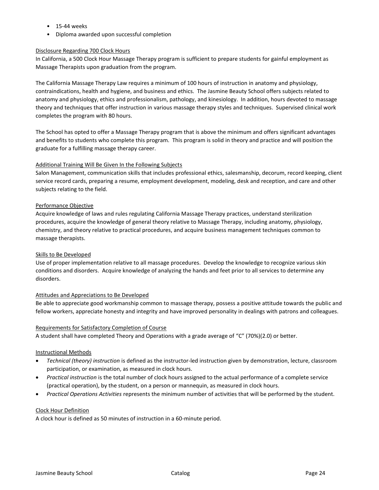- 15-44 weeks
- Diploma awarded upon successful completion

## Disclosure Regarding 700 Clock Hours

In California, a 500 Clock Hour Massage Therapy program is sufficient to prepare students for gainful employment as Massage Therapists upon graduation from the program.

The California Massage Therapy Law requires a minimum of 100 hours of instruction in anatomy and physiology, contraindications, health and hygiene, and business and ethics. The Jasmine Beauty School offers subjects related to anatomy and physiology, ethics and professionalism, pathology, and kinesiology. In addition, hours devoted to massage theory and techniques that offer instruction in various massage therapy styles and techniques. Supervised clinical work completes the program with 80 hours.

The School has opted to offer a Massage Therapy program that is above the minimum and offers significant advantages and benefits to students who complete this program. This program is solid in theory and practice and will position the graduate for a fulfilling massage therapy career.

## Additional Training Will Be Given In the Following Subjects

Salon Management, communication skills that includes professional ethics, salesmanship, decorum, record keeping, client service record cards, preparing a resume, employment development, modeling, desk and reception, and care and other subjects relating to the field.

#### Performance Objective

Acquire knowledge of laws and rules regulating California Massage Therapy practices, understand sterilization procedures, acquire the knowledge of general theory relative to Massage Therapy, including anatomy, physiology, chemistry, and theory relative to practical procedures, and acquire business management techniques common to massage therapists.

## Skills to Be Developed

Use of proper implementation relative to all massage procedures. Develop the knowledge to recognize various skin conditions and disorders. Acquire knowledge of analyzing the hands and feet prior to all services to determine any disorders.

## Attitudes and Appreciations to Be Developed

Be able to appreciate good workmanship common to massage therapy, possess a positive attitude towards the public and fellow workers, appreciate honesty and integrity and have improved personality in dealings with patrons and colleagues.

## Requirements for Satisfactory Completion of Course

A student shall have completed Theory and Operations with a grade average of "C" (70%)(2.0) or better.

#### Instructional Methods

- *Technical (theory) instruction* is defined as the instructor-led instruction given by demonstration, lecture, classroom participation, or examination, as measured in clock hours.
- *Practical instruction* is the total number of clock hours assigned to the actual performance of a complete service (practical operation), by the student, on a person or mannequin, as measured in clock hours.
- *Practical Operations Activities* represents the minimum number of activities that will be performed by the student.

#### Clock Hour Definition

A clock hour is defined as 50 minutes of instruction in a 60-minute period.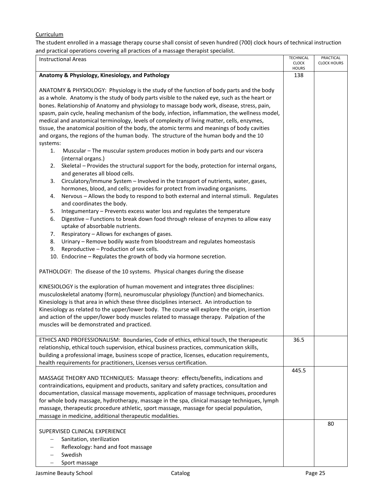## **Curriculum**

The student enrolled in a massage therapy course shall consist of seven hundred (700) clock hours of technical instruction and practical operations covering all practices of a massage therapist specialist.

| <b>Instructional Areas</b>                                                                     | <b>TECHNICAL</b><br><b>CLOCK</b> | PRACTICAL<br><b>CLOCK HOURS</b> |
|------------------------------------------------------------------------------------------------|----------------------------------|---------------------------------|
|                                                                                                | <b>HOURS</b>                     |                                 |
| Anatomy & Physiology, Kinesiology, and Pathology                                               | 138                              |                                 |
|                                                                                                |                                  |                                 |
| ANATOMY & PHYSIOLOGY: Physiology is the study of the function of body parts and the body       |                                  |                                 |
| as a whole. Anatomy is the study of body parts visible to the naked eye, such as the heart or  |                                  |                                 |
| bones. Relationship of Anatomy and physiology to massage body work, disease, stress, pain,     |                                  |                                 |
| spasm, pain cycle, healing mechanism of the body, infection, inflammation, the wellness model, |                                  |                                 |
| medical and anatomical terminology, levels of complexity of living matter, cells, enzymes,     |                                  |                                 |
| tissue, the anatomical position of the body, the atomic terms and meanings of body cavities    |                                  |                                 |
| and organs, the regions of the human body. The structure of the human body and the 10          |                                  |                                 |
| systems:<br>Muscular - The muscular system produces motion in body parts and our viscera<br>1. |                                  |                                 |
| (internal organs.)                                                                             |                                  |                                 |
| Skeletal - Provides the structural support for the body, protection for internal organs,<br>2. |                                  |                                 |
| and generates all blood cells.                                                                 |                                  |                                 |
| Circulatory/Immune System - Involved in the transport of nutrients, water, gases,<br>3.        |                                  |                                 |
| hormones, blood, and cells; provides for protect from invading organisms.                      |                                  |                                 |
| Nervous - Allows the body to respond to both external and internal stimuli. Regulates<br>4.    |                                  |                                 |
| and coordinates the body.                                                                      |                                  |                                 |
| Integumentary - Prevents excess water loss and regulates the temperature<br>5.                 |                                  |                                 |
| Digestive - Functions to break down food through release of enzymes to allow easy<br>6.        |                                  |                                 |
| uptake of absorbable nutrients.                                                                |                                  |                                 |
| Respiratory - Allows for exchanges of gases.<br>7.                                             |                                  |                                 |
| Urinary - Remove bodily waste from bloodstream and regulates homeostasis<br>8.                 |                                  |                                 |
| Reproductive - Production of sex cells.<br>9.                                                  |                                  |                                 |
| 10. Endocrine - Regulates the growth of body via hormone secretion.                            |                                  |                                 |
| PATHOLOGY: The disease of the 10 systems. Physical changes during the disease                  |                                  |                                 |
|                                                                                                |                                  |                                 |
| KINESIOLOGY is the exploration of human movement and integrates three disciplines:             |                                  |                                 |
| musculoskeletal anatomy (form), neuromuscular physiology (function) and biomechanics.          |                                  |                                 |
| Kinesiology is that area in which these three disciplines intersect. An introduction to        |                                  |                                 |
| Kinesiology as related to the upper/lower body. The course will explore the origin, insertion  |                                  |                                 |
| and action of the upper/lower body muscles related to massage therapy. Palpation of the        |                                  |                                 |
| muscles will be demonstrated and practiced.                                                    |                                  |                                 |
|                                                                                                |                                  |                                 |
| ETHICS AND PROFESSIONALISM: Boundaries, Code of ethics, ethical touch, the therapeutic         | 36.5                             |                                 |
| relationship, ethical touch supervision, ethical business practices, communication skills,     |                                  |                                 |
| building a professional image, business scope of practice, licenses, education requirements,   |                                  |                                 |
| health requirements for practitioners, Licenses versus certification.                          | 445.5                            |                                 |
| MASSAGE THEORY AND TECHNIQUES: Massage theory: effects/benefits, indications and               |                                  |                                 |
| contraindications, equipment and products, sanitary and safety practices, consultation and     |                                  |                                 |
| documentation, classical massage movements, application of massage techniques, procedures      |                                  |                                 |
| for whole body massage, hydrotherapy, massage in the spa, clinical massage techniques, lymph   |                                  |                                 |
| massage, therapeutic procedure athletic, sport massage, massage for special population,        |                                  |                                 |
| massage in medicine, additional therapeutic modalities.                                        |                                  |                                 |
|                                                                                                |                                  | 80                              |
| SUPERVISED CLINICAL EXPERIENCE                                                                 |                                  |                                 |
| Sanitation, sterilization<br>-                                                                 |                                  |                                 |
| Reflexology: hand and foot massage                                                             |                                  |                                 |
| Swedish                                                                                        |                                  |                                 |
| Sport massage                                                                                  |                                  |                                 |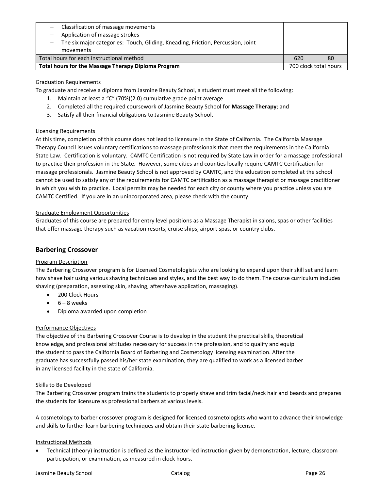| $-$ Classification of massage movements                                         |     |                       |
|---------------------------------------------------------------------------------|-----|-----------------------|
| Application of massage strokes                                                  |     |                       |
| The six major categories: Touch, Gliding, Kneading, Friction, Percussion, Joint |     |                       |
| movements                                                                       |     |                       |
| Total hours for each instructional method                                       | 620 | 80                    |
| Total hours for the Massage Therapy Diploma Program                             |     | 700 clock total hours |

## Graduation Requirements

To graduate and receive a diploma from Jasmine Beauty School, a student must meet all the following:

- 1. Maintain at least a "C" (70%)(2.0) cumulative grade point average
- 2. Completed all the required coursework of Jasmine Beauty School for **Massage Therapy**; and
- 3. Satisfy all their financial obligations to Jasmine Beauty School.

## Licensing Requirements

At this time, completion of this course does not lead to licensure in the State of California. The California Massage Therapy Council issues voluntary certifications to massage professionals that meet the requirements in the California State Law. Certification is voluntary. CAMTC Certification is not required by State Law in order for a massage professional to practice their profession in the State. However, some cities and counties locally require CAMTC Certification for massage professionals. Jasmine Beauty School is not approved by CAMTC, and the education completed at the school cannot be used to satisfy any of the requirements for CAMTC certification as a massage therapist or massage practitioner in which you wish to practice. Local permits may be needed for each city or county where you practice unless you are CAMTC Certified. If you are in an unincorporated area, please check with the county.

## Graduate Employment Opportunities

Graduates of this course are prepared for entry level positions as a Massage Therapist in salons, spas or other facilities that offer massage therapy such as vacation resorts, cruise ships, airport spas, or country clubs.

## **Barbering Crossover**

## Program Description

The Barbering Crossover program is for Licensed Cosmetologists who are looking to expand upon their skill set and learn how shave hair using various shaving techniques and styles, and the best way to do them. The course curriculum includes shaving (preparation, assessing skin, shaving, aftershave application, massaging).

- 200 Clock Hours
- 6 8 weeks
- Diploma awarded upon completion

## Performance Objectives

The objective of the Barbering Crossover Course is to develop in the student the practical skills, theoretical knowledge, and professional attitudes necessary for success in the profession, and to qualify and equip the student to pass the California Board of Barbering and Cosmetology licensing examination. After the graduate has successfully passed his/her state examination, they are qualified to work as a licensed barber in any licensed facility in the state of California.

## Skills to Be Developed

The Barbering Crossover program trains the students to properly shave and trim facial/neck hair and beards and prepares the students for licensure as professional barbers at various levels.

A cosmetology to barber crossover program is designed for licensed cosmetologists who want to advance their knowledge and skills to further learn barbering techniques and obtain their state barbering license.

## Instructional Methods

• Technical (theory) instruction is defined as the instructor-led instruction given by demonstration, lecture, classroom participation, or examination, as measured in clock hours.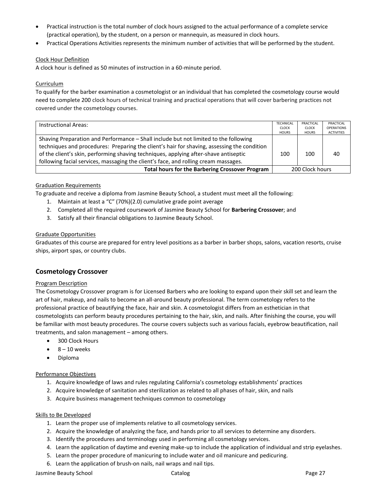- Practical instruction is the total number of clock hours assigned to the actual performance of a complete service (practical operation), by the student, on a person or mannequin, as measured in clock hours.
- Practical Operations Activities represents the minimum number of activities that will be performed by the student.

## Clock Hour Definition

A clock hour is defined as 50 minutes of instruction in a 60-minute period.

## **Curriculum**

To qualify for the barber examination a cosmetologist or an individual that has completed the cosmetology course would need to complete 200 clock hours of technical training and practical operations that will cover barbering practices not covered under the cosmetology courses.

| Instructional Areas:                                                                        | <b>TECHNICAL</b><br><b>CLOCK</b> | PRACTICAL<br><b>CLOCK</b> | PRACTICAL<br><b>OPERATIONS</b> |
|---------------------------------------------------------------------------------------------|----------------------------------|---------------------------|--------------------------------|
|                                                                                             | <b>HOURS</b>                     | <b>HOURS</b>              | <b>ACTIVITIES</b>              |
| Shaving Preparation and Performance - Shall include but not limited to the following        |                                  |                           |                                |
| techniques and procedures: Preparing the client's hair for shaving, assessing the condition |                                  |                           |                                |
| of the client's skin, performing shaving techniques, applying after-shave antiseptic        | 100                              | 100                       | 40                             |
| following facial services, massaging the client's face, and rolling cream massages.         |                                  |                           |                                |
| <b>Total hours for the Barbering Crossover Program</b>                                      | 200 Clock hours                  |                           |                                |

## Graduation Requirements

To graduate and receive a diploma from Jasmine Beauty School, a student must meet all the following:

- 1. Maintain at least a "C" (70%)(2.0) cumulative grade point average
- 2. Completed all the required coursework of Jasmine Beauty School for **Barbering Crossover**; and
- 3. Satisfy all their financial obligations to Jasmine Beauty School.

## Graduate Opportunities

Graduates of this course are prepared for entry level positions as a barber in barber shops, salons, vacation resorts, cruise ships, airport spas, or country clubs.

## **Cosmetology Crossover**

## Program Description

The Cosmetology Crossover program is for Licensed Barbers who are looking to expand upon their skill set and learn the art of hair, makeup, and nails to become an all-around beauty professional. The term cosmetology refers to the professional practice of beautifying the face, hair and skin. A cosmetologist differs from an esthetician in that cosmetologists can perform beauty procedures pertaining to the hair, skin, and nails. After finishing the course, you will be familiar with most beauty procedures. The course covers subjects such as various facials, eyebrow beautification, nail treatments, and salon management – among others.

- 300 Clock Hours
- $\bullet$  8 10 weeks
- Diploma

## Performance Objectives

- 1. Acquire knowledge of laws and rules regulating California's cosmetology establishments' practices
- 2. Acquire knowledge of sanitation and sterilization as related to all phases of hair, skin, and nails
- 3. Acquire business management techniques common to cosmetology

## Skills to Be Developed

- 1. Learn the proper use of implements relative to all cosmetology services.
- 2. Acquire the knowledge of analyzing the face, and hands prior to all services to determine any disorders.
- 3. Identify the procedures and terminology used in performing all cosmetology services.
- 4. Learn the application of daytime and evening make-up to include the application of individual and strip eyelashes.
- 5. Learn the proper procedure of manicuring to include water and oil manicure and pedicuring.
- 6. Learn the application of brush-on nails, nail wraps and nail tips.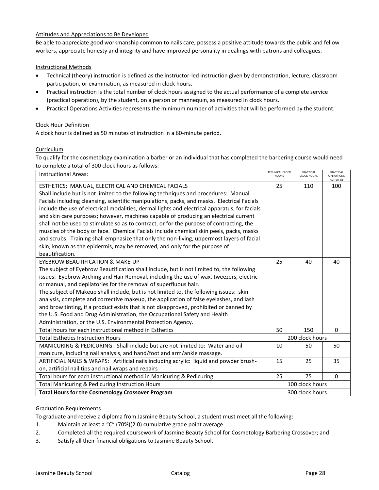## Attitudes and Appreciations to Be Developed

Be able to appreciate good workmanship common to nails care, possess a positive attitude towards the public and fellow workers, appreciate honesty and integrity and have improved personality in dealings with patrons and colleagues.

## Instructional Methods

- Technical (theory) instruction is defined as the instructor-led instruction given by demonstration, lecture, classroom participation, or examination, as measured in clock hours.
- Practical instruction is the total number of clock hours assigned to the actual performance of a complete service (practical operation), by the student, on a person or mannequin, as measured in clock hours.
- Practical Operations Activities represents the minimum number of activities that will be performed by the student.

## Clock Hour Definition

A clock hour is defined as 50 minutes of instruction in a 60-minute period.

## Curriculum

To qualify for the cosmetology examination a barber or an individual that has completed the barbering course would need to complete a total of 300 clock hours as follows:

| <b>Instructional Areas:</b>                                                                   | <b>TECHNICAL CLOCK</b><br><b>HOURS</b> | PRACTICAL<br><b>CLOCK HOURS</b> | PRACTICAL<br>OPERATIONS<br><b>ACTIVITIES</b> |
|-----------------------------------------------------------------------------------------------|----------------------------------------|---------------------------------|----------------------------------------------|
| ESTHETICS: MANUAL, ELECTRICAL AND CHEMICAL FACIALS                                            | 25                                     | 110                             | 100                                          |
| Shall include but is not limited to the following techniques and procedures: Manual           |                                        |                                 |                                              |
| Facials including cleansing, scientific manipulations, packs, and masks. Electrical Facials   |                                        |                                 |                                              |
| include the use of electrical modalities, dermal lights and electrical apparatus, for facials |                                        |                                 |                                              |
| and skin care purposes; however, machines capable of producing an electrical current          |                                        |                                 |                                              |
| shall not be used to stimulate so as to contract, or for the purpose of contracting, the      |                                        |                                 |                                              |
| muscles of the body or face. Chemical Facials include chemical skin peels, packs, masks       |                                        |                                 |                                              |
| and scrubs. Training shall emphasize that only the non-living, uppermost layers of facial     |                                        |                                 |                                              |
| skin, known as the epidermis, may be removed, and only for the purpose of                     |                                        |                                 |                                              |
| beautification.                                                                               |                                        |                                 |                                              |
| EYEBROW BEAUTIFICATION & MAKE-UP                                                              | 25                                     | 40                              | 40                                           |
| The subject of Eyebrow Beautification shall include, but is not limited to, the following     |                                        |                                 |                                              |
| issues: Eyebrow Arching and Hair Removal, including the use of wax, tweezers, electric        |                                        |                                 |                                              |
| or manual, and depilatories for the removal of superfluous hair.                              |                                        |                                 |                                              |
| The subject of Makeup shall include, but is not limited to, the following issues: skin        |                                        |                                 |                                              |
| analysis, complete and corrective makeup, the application of false eyelashes, and lash        |                                        |                                 |                                              |
| and brow tinting, if a product exists that is not disapproved, prohibited or banned by        |                                        |                                 |                                              |
| the U.S. Food and Drug Administration, the Occupational Safety and Health                     |                                        |                                 |                                              |
| Administration, or the U.S. Environmental Protection Agency.                                  |                                        |                                 |                                              |
| Total hours for each instructional method in Esthetics                                        | 50                                     | 150                             | $\Omega$                                     |
| <b>Total Esthetics Instruction Hours</b>                                                      |                                        | 200 clock hours                 |                                              |
| MANICURING & PEDICURING: Shall include but are not limited to: Water and oil                  | 10                                     | 50                              | 50                                           |
| manicure, including nail analysis, and hand/foot and arm/ankle massage.                       |                                        |                                 |                                              |
| ARTIFICIAL NAILS & WRAPS: Artificial nails including acrylic: liquid and powder brush-        | 15                                     | 25                              | 35                                           |
| on, artificial nail tips and nail wraps and repairs                                           |                                        |                                 |                                              |
| Total hours for each instructional method in Manicuring & Pedicuring                          | 25                                     | 75                              | 0                                            |
| Total Manicuring & Pedicuring Instruction Hours                                               |                                        | 100 clock hours                 |                                              |
| <b>Total Hours for the Cosmetology Crossover Program</b>                                      |                                        | 300 clock hours                 |                                              |

## Graduation Requirements

To graduate and receive a diploma from Jasmine Beauty School, a student must meet all the following:

1. Maintain at least a "C" (70%)(2.0) cumulative grade point average

- 2. Completed all the required coursework of Jasmine Beauty School for Cosmetology Barbering Crossover; and
- 3. Satisfy all their financial obligations to Jasmine Beauty School.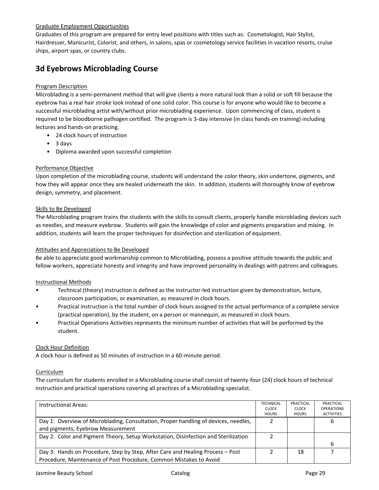## Graduate Employment Opportunities

Graduates of this program are prepared for entry level positions with titles such as: Cosmetologist, Hair Stylist, Hairdresser, Manicurist, Colorist, and others, in salons, spas or cosmetology service facilities in vacation resorts, cruise ships, airport spas, or country clubs.

# **3d Eyebrows Microblading Course**

## Program Description

Microblading is a semi-permanent method that will give clients a more natural look than a solid or soft fill because the eyebrow has a real hair stroke look instead of one solid color. This course is for anyone who would like to become a successful microblading artist with/without prior microblading experience. Upon commencing of class, student is required to be bloodborne pathogen certified. The program is 3-day intensive (in class hands-on training) including lectures and hands-on practicing.

- 24 clock hours of instruction
- 3 days
- Diploma awarded upon successful completion

## Performance Objective

Upon completion of the microblading course, students will understand the color theory, skin undertone, pigments, and how they will appear once they are healed underneath the skin. In addition, students will thoroughly know of eyebrow design, symmetry, and placement.

## Skills to Be Developed

The Microblading program trains the students with the skills to consult clients, properly handle microblading devices such as needles, and measure eyebrow. Students will gain the knowledge of color and pigments preparation and mixing. In addition, students will learn the proper techniques for disinfection and sterilization of equipment.

## Attitudes and Appreciations to Be Developed

Be able to appreciate good workmanship common to Microblading, possess a positive attitude towards the public and fellow workers, appreciate honesty and integrity and have improved personality in dealings with patrons and colleagues.

## Instructional Methods

- Technical (theory) instruction is defined as the instructor-led instruction given by demonstration, lecture, classroom participation, or examination, as measured in clock hours.
- Practical instruction is the total number of clock hours assigned to the actual performance of a complete service (practical operation), by the student, on a person or mannequin, as measured in clock hours.
- Practical Operations Activities represents the minimum number of activities that will be performed by the student.

## Clock Hour Definition

A clock hour is defined as 50 minutes of instruction in a 60-minute period.

## Curriculum

The curriculum for students enrolled in a Microblading course shall consist of twenty-four (24) clock hours of technical instruction and practical operations covering all practices of a Microblading specialist.

| <b>Instructional Areas:</b>                                                                                                                          | <b>TECHNICAL</b><br><b>CLOCK</b><br><b>HOURS</b> | PRACTICAL<br><b>CLOCK</b><br><b>HOURS</b> | PRACTICAL<br><b>OPERATIONS</b><br><b>ACTIVITIES</b> |
|------------------------------------------------------------------------------------------------------------------------------------------------------|--------------------------------------------------|-------------------------------------------|-----------------------------------------------------|
| Day 1: Overview of Microblading, Consultation, Proper handling of devices, needles,<br>and pigments, Eyebrow Measurement                             |                                                  |                                           | ь                                                   |
| Day 2: Color and Pigment Theory, Setup Workstation, Disinfection and Sterilization                                                                   |                                                  |                                           | 6                                                   |
| Day 3: Hands on Procedure, Step by Step, After Care and Healing Process – Post<br>Procedure, Maintenance of Post Procedure, Common Mistakes to Avoid |                                                  | 18                                        |                                                     |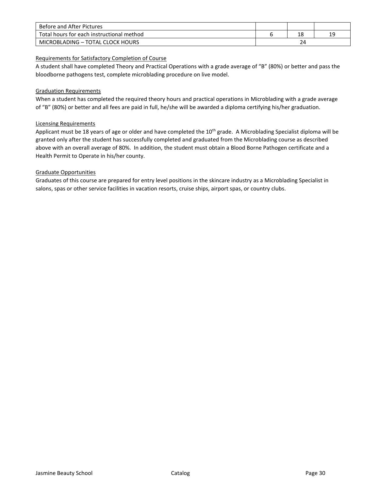| Before and After Pictures                 |    |  |    |
|-------------------------------------------|----|--|----|
| Total hours for each instructional method |    |  | 19 |
| MICROBLADING - TOTAL CLOCK HOURS          | 24 |  |    |

## Requirements for Satisfactory Completion of Course

A student shall have completed Theory and Practical Operations with a grade average of "B" (80%) or better and pass the bloodborne pathogens test, complete microblading procedure on live model.

## Graduation Requirements

When a student has completed the required theory hours and practical operations in Microblading with a grade average of "B" (80%) or better and all fees are paid in full, he/she will be awarded a diploma certifying his/her graduation.

## Licensing Requirements

Applicant must be 18 years of age or older and have completed the 10<sup>th</sup> grade. A Microblading Specialist diploma will be granted only after the student has successfully completed and graduated from the Microblading course as described above with an overall average of 80%. In addition, the student must obtain a Blood Borne Pathogen certificate and a Health Permit to Operate in his/her county.

## Graduate Opportunities

Graduates of this course are prepared for entry level positions in the skincare industry as a Microblading Specialist in salons, spas or other service facilities in vacation resorts, cruise ships, airport spas, or country clubs.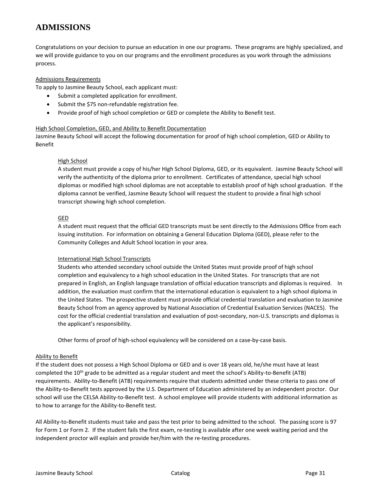## **ADMISSIONS**

Congratulations on your decision to pursue an education in one our programs. These programs are highly specialized, and we will provide guidance to you on our programs and the enrollment procedures as you work through the admissions process.

## Admissions Requirements

To apply to Jasmine Beauty School, each applicant must:

- Submit a completed application for enrollment.
- Submit the \$75 non-refundable registration fee.
- Provide proof of high school completion or GED or complete the Ability to Benefit test.

## High School Completion, GED, and Ability to Benefit Documentation

Jasmine Beauty School will accept the following documentation for proof of high school completion, GED or Ability to Benefit

## High School

A student must provide a copy of his/her High School Diploma, GED, or its equivalent. Jasmine Beauty School will verify the authenticity of the diploma prior to enrollment. Certificates of attendance, special high school diplomas or modified high school diplomas are not acceptable to establish proof of high school graduation. If the diploma cannot be verified, Jasmine Beauty School will request the student to provide a final high school transcript showing high school completion.

#### GED

A student must request that the official GED transcripts must be sent directly to the Admissions Office from each issuing institution. For information on obtaining a General Education Diploma (GED), please refer to the Community Colleges and Adult School location in your area.

## International High School Transcripts

Students who attended secondary school outside the United States must provide proof of high school completion and equivalency to a high school education in the United States. For transcripts that are not prepared in English, an English language translation of official education transcripts and diplomas is required. In addition, the evaluation must confirm that the international education is equivalent to a high school diploma in the United States. The prospective student must provide official credential translation and evaluation to Jasmine Beauty School from an agency approved by National Association of Credential Evaluation Services (NACES). The cost for the official credential translation and evaluation of post-secondary, non-U.S. transcripts and diplomas is the applicant's responsibility.

Other forms of proof of high-school equivalency will be considered on a case-by-case basis.

## Ability to Benefit

If the student does not possess a High School Diploma or GED and is over 18 years old, he/she must have at least completed the 10<sup>th</sup> grade to be admitted as a regular student and meet the school's Ability-to-Benefit (ATB) requirements. Ability-to-Benefit (ATB) requirements require that students admitted under these criteria to pass one of the Ability-to-Benefit tests approved by the U.S. Department of Education administered by an independent proctor. Our school will use the CELSA Ability-to-Benefit test. A school employee will provide students with additional information as to how to arrange for the Ability-to-Benefit test.

All Ability-to-Benefit students must take and pass the test prior to being admitted to the school. The passing score is 97 for Form 1 or Form 2. If the student fails the first exam, re-testing is available after one week waiting period and the independent proctor will explain and provide her/him with the re-testing procedures.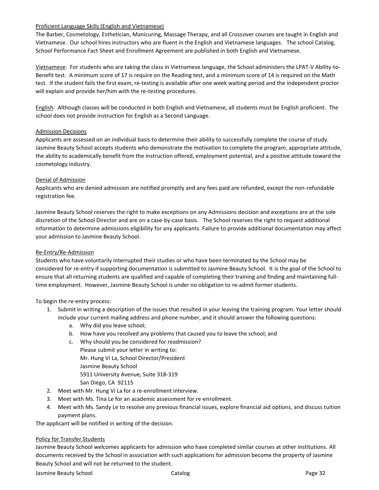## Proficient Language Skills (English and Vietnamese)

The Barber, Cosmetology, Esthetician, Manicuring, Massage Therapy, and all Crossover courses are taught in English and Vietnamese. Our school hires instructors who are fluent in the English and Vietnamese languages. The school Catalog, School Performance Fact Sheet and Enrollment Agreement are published in both English and Vietnamese.

Vietnamese: For students who are taking the class in Vietnamese language, the School administers the LPAT-V Ability-to-Benefit test. A minimum score of 17 is require on the Reading test, and a minimum score of 14 is required on the Math test. If the student fails the first exam, re-testing is available after one week waiting period and the independent proctor will explain and provide her/him with the re-testing procedures.

English: Although classes will be conducted in both English and Vietnamese, all students must be English proficient. The school does not provide instruction for English as a Second Language.

## Admission Decisions

Applicants are assessed on an individual basis to determine their ability to successfully complete the course of study. Jasmine Beauty School accepts students who demonstrate the motivation to complete the program, appropriate attitude, the ability to academically benefit from the instruction offered, employment potential, and a positive attitude toward the cosmetology industry.

#### Denial of Admission

Applicants who are denied admission are notified promptly and any fees paid are refunded, except the non-refundable registration fee.

Jasmine Beauty School reserves the right to make exceptions on any Admissions decision and exceptions are at the sole discretion of the School Director and are on a case-by-case basis. The School reserves the right to request additional information to determine admissions eligibility for any applicants. Failure to provide additional documentation may affect your admission to Jasmine Beauty School.

## Re-Entry/Re-Admission

Students who have voluntarily interrupted their studies or who have been terminated by the School may be considered for re-entry if supporting documentation is submitted to Jasmine Beauty School. It is the goal of the School to ensure that all returning students are qualified and capable of completing their training and finding and maintaining fulltime employment. However, Jasmine Beauty School is under no obligation to re-admit former students.

## To begin the re-entry process:

- 1. Submit in writing a description of the issues that resulted in your leaving the training program. Your letter should include your current mailing address and phone number, and it should answer the following questions:
	- a. Why did you leave school;
	- b. How have you resolved any problems that caused you to leave the school; and
	- c. Why should you be considered for readmission? Please submit your letter in writing to: Mr. Hung Vi La, School Director/President Jasmine Beauty School 5911 University Avenue, Suite 318-319 San Diego, CA 92115
- 2. Meet with Mr. Hung Vi La for a re-enrollment interview.
- 3. Meet with Ms. Tina Le for an academic assessment for re-enrollment.
- 4. Meet with Ms. Sandy Le to resolve any previous financial issues, explore financial aid options, and discuss tuition payment plans.

The applicant will be notified in writing of the decision.

## Policy for Transfer Students

Jasmine Beauty School welcomes applicants for admission who have completed similar courses at other institutions. All documents received by the School in association with such applications for admission become the property of Jasmine Beauty School and will not be returned to the student.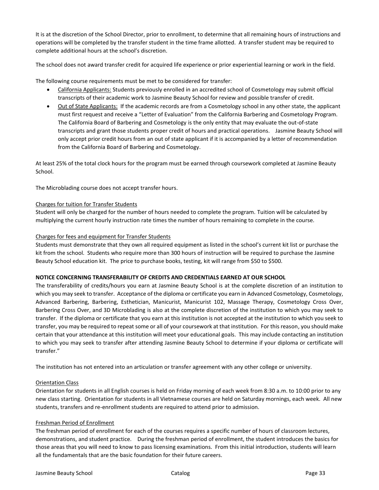It is at the discretion of the School Director, prior to enrollment, to determine that all remaining hours of instructions and operations will be completed by the transfer student in the time frame allotted. A transfer student may be required to complete additional hours at the school's discretion.

The school does not award transfer credit for acquired life experience or prior experiential learning or work in the field.

The following course requirements must be met to be considered for transfer:

- California Applicants: Students previously enrolled in an accredited school of Cosmetology may submit official transcripts of their academic work to Jasmine Beauty School for review and possible transfer of credit.
- Out of State Applicants: If the academic records are from a Cosmetology school in any other state, the applicant must first request and receive a "Letter of Evaluation" from the California Barbering and Cosmetology Program. The California Board of Barbering and Cosmetology is the only entity that may evaluate the out-of-state transcripts and grant those students proper credit of hours and practical operations. Jasmine Beauty School will only accept prior credit hours from an out of state applicant if it is accompanied by a letter of recommendation from the California Board of Barbering and Cosmetology.

At least 25% of the total clock hours for the program must be earned through coursework completed at Jasmine Beauty School.

The Microblading course does not accept transfer hours.

#### Charges for tuition for Transfer Students

Student will only be charged for the number of hours needed to complete the program. Tuition will be calculated by multiplying the current hourly instruction rate times the number of hours remaining to complete in the course.

#### Charges for fees and equipment for Transfer Students

Students must demonstrate that they own all required equipment as listed in the school's current kit list or purchase the kit from the school. Students who require more than 300 hours of instruction will be required to purchase the Jasmine Beauty School education kit. The price to purchase books, testing, kit will range from \$50 to \$500.

## **NOTICE CONCERNING TRANSFERABILITY OF CREDITS AND CREDENTIALS EARNED AT OUR SCHOOL**

The transferability of credits/hours you earn at Jasmine Beauty School is at the complete discretion of an institution to which you may seek to transfer. Acceptance of the diploma or certificate you earn in Advanced Cosmetology, Cosmetology, Advanced Barbering, Barbering, Esthetician, Manicurist, Manicurist 102, Massage Therapy, Cosmetology Cross Over, Barbering Cross Over, and 3D Microblading is also at the complete discretion of the institution to which you may seek to transfer. If the diploma or certificate that you earn at this institution is not accepted at the institution to which you seek to transfer, you may be required to repeat some or all of your coursework at that institution. For this reason, you should make certain that your attendance at this institution will meet your educational goals. This may include contacting an institution to which you may seek to transfer after attending Jasmine Beauty School to determine if your diploma or certificate will transfer."

The institution has not entered into an articulation or transfer agreement with any other college or university.

#### Orientation Class

Orientation for students in all English courses is held on Friday morning of each week from 8:30 a.m. to 10:00 prior to any new class starting. Orientation for students in all Vietnamese courses are held on Saturday mornings, each week. All new students, transfers and re-enrollment students are required to attend prior to admission.

#### Freshman Period of Enrollment

The freshman period of enrollment for each of the courses requires a specific number of hours of classroom lectures, demonstrations, and student practice. During the freshman period of enrollment, the student introduces the basics for those areas that you will need to know to pass licensing examinations. From this initial introduction, students will learn all the fundamentals that are the basic foundation for their future careers.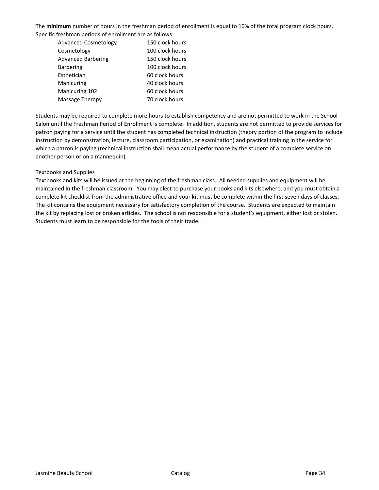The **minimum** number of hours in the freshman period of enrollment is equal to 10% of the total program clock hours. Specific freshman periods of enrollment are as follows:

| <b>Advanced Cosmetology</b> | 150 clock hours |
|-----------------------------|-----------------|
| Cosmetology                 | 100 clock hours |
| <b>Advanced Barbering</b>   | 150 clock hours |
| <b>Barbering</b>            | 100 clock hours |
| Esthetician                 | 60 clock hours  |
| Manicuring                  | 40 clock hours  |
| Manicuring 102              | 60 clock hours  |
| Massage Therapy             | 70 clock hours  |
|                             |                 |

Students may be required to complete more hours to establish competency and are not permitted to work in the School Salon until the Freshman Period of Enrollment is complete. In addition, students are not permitted to provide services for patron paying for a service until the student has completed technical instruction (theory portion of the program to include instruction by demonstration, lecture, classroom participation, or examination) and practical training in the service for which a patron is paying (technical instruction shall mean actual performance by the student of a complete service on another person or on a mannequin).

## Textbooks and Supplies

Textbooks and kits will be issued at the beginning of the freshman class. All needed supplies and equipment will be maintained in the freshman classroom. You may elect to purchase your books and kits elsewhere, and you must obtain a complete kit checklist from the administrative office and your kit must be complete within the first seven days of classes. The kit contains the equipment necessary for satisfactory completion of the course. Students are expected to maintain the kit by replacing lost or broken articles. The school is not responsible for a student's equipment, either lost or stolen. Students must learn to be responsible for the tools of their trade.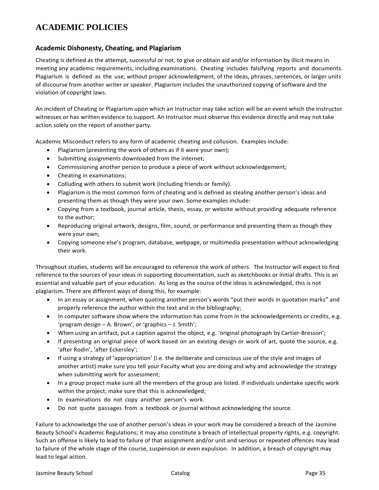# **ACADEMIC POLICIES**

## **Academic Dishonesty, Cheating, and Plagiarism**

Cheating is defined as the attempt, successful or not, to give or obtain aid and/or information by illicit means in meeting any academic requirements, including examinations. Cheating includes falsifying reports and documents. Plagiarism is defined as the use, without proper acknowledgment, of the ideas, phrases, sentences, or larger units of discourse from another writer or speaker. Plagiarism includes the unauthorized copying of software and the violation of copyright laws.

An incident of Cheating or Plagiarism upon which an Instructor may take action will be an event which the Instructor witnesses or has written evidence to support. An Instructor must observe this evidence directly and may not take action solely on the report of another party.

Academic Misconduct refers to any form of academic cheating and collusion. Examples include:

- Plagiarism (presenting the work of others as if it were your own);
- Submitting assignments downloaded from the internet;
- Commissioning another person to produce a piece of work without acknowledgement;
- Cheating in examinations;
- Colluding with others to submit work (including friends or family).
- Plagiarism is the most common form of cheating and is defined as stealing another person's ideas and presenting them as though they were your own. Some examples include:
- Copying from a textbook, journal article, thesis, essay, or website without providing adequate reference to the author;
- Reproducing original artwork, designs, film, sound, or performance and presenting them as though they were your own;
- Copying someone else's program, database, webpage, or multimedia presentation without acknowledging their work.

Throughout studies, students will be encouraged to reference the work of others. The Instructor will expect to find reference to the sources of your ideas in supporting documentation, such as sketchbooks or initial drafts. This is an essential and valuable part of your education. As long as the source of the ideas is acknowledged, this is not plagiarism. There are different ways of doing this, for example:

- In an essay or assignment, when quoting another person's words "put their words in quotation marks" and properly reference the author within the text and in the bibliography;
- In computer software show where the information has come from in the acknowledgements or credits, e.g. 'program design – A. Brown', or 'graphics – J. Smith';
- When using an artifact, put a caption against the object, e.g. 'original photograph by Cartier-Bresson';
- If presenting an original piece of work based on an existing design or work of art, quote the source, e.g. 'after Rodin', 'after Eckersley';
- If using a strategy of 'appropriation' (i.e. the deliberate and conscious use of the style and images of another artist) make sure you tell your Faculty what you are doing and why and acknowledge the strategy when submitting work for assessment;
- In a group project make sure all the members of the group are listed. If individuals undertake specific work within the project, make sure that this is acknowledged;
- In examinations do not copy another person's work.
- Do not quote passages from a textbook or journal without acknowledging the source.

Failure to acknowledge the use of another person's ideas in your work may be considered a breach of the Jasmine Beauty School's Academic Regulations; it may also constitute a breach of intellectual property rights, e.g. copyright. Such an offense is likely to lead to failure of that assignment and/or unit and serious or repeated offences may lead to failure of the whole stage of the course, suspension or even expulsion. In addition, a breach of copyright may lead to legal action.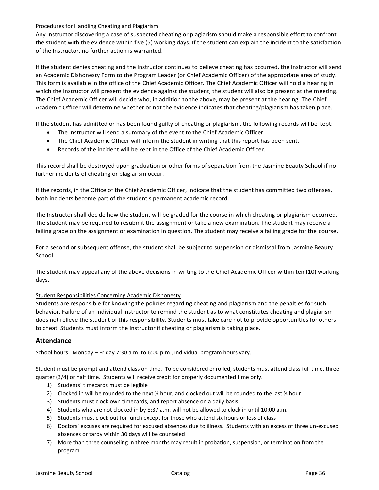## Procedures for Handling Cheating and Plagiarism

Any Instructor discovering a case of suspected cheating or plagiarism should make a responsible effort to confront the student with the evidence within five (5) working days. If the student can explain the incident to the satisfaction of the Instructor, no further action is warranted.

If the student denies cheating and the Instructor continues to believe cheating has occurred, the Instructor will send an Academic Dishonesty Form to the Program Leader (or Chief Academic Officer) of the appropriate area of study. This form is available in the office of the Chief Academic Officer. The Chief Academic Officer will hold a hearing in which the Instructor will present the evidence against the student, the student will also be present at the meeting. The Chief Academic Officer will decide who, in addition to the above, may be present at the hearing. The Chief Academic Officer will determine whether or not the evidence indicates that cheating/plagiarism has taken place.

If the student has admitted or has been found guilty of cheating or plagiarism, the following records will be kept:

- The Instructor will send a summary of the event to the Chief Academic Officer.
- The Chief Academic Officer will inform the student in writing that this report has been sent.
- Records of the incident will be kept in the Office of the Chief Academic Officer.

This record shall be destroyed upon graduation or other forms of separation from the Jasmine Beauty School if no further incidents of cheating or plagiarism occur.

If the records, in the Office of the Chief Academic Officer, indicate that the student has committed two offenses, both incidents become part of the student's permanent academic record.

The Instructor shall decide how the student will be graded for the course in which cheating or plagiarism occurred. The student may be required to resubmit the assignment or take a new examination. The student may receive a failing grade on the assignment or examination in question. The student may receive a failing grade for the course.

For a second or subsequent offense, the student shall be subject to suspension or dismissal from Jasmine Beauty School.

The student may appeal any of the above decisions in writing to the Chief Academic Officer within ten (10) working days.

## Student Responsibilities Concerning Academic Dishonesty

Students are responsible for knowing the policies regarding cheating and plagiarism and the penalties for such behavior. Failure of an individual Instructor to remind the student as to what constitutes cheating and plagiarism does not relieve the student of this responsibility. Students must take care not to provide opportunities for others to cheat. Students must inform the Instructor if cheating or plagiarism is taking place.

## **Attendance**

School hours: Monday – Friday 7:30 a.m. to 6:00 p.m., individual program hours vary.

Student must be prompt and attend class on time. To be considered enrolled, students must attend class full time, three quarter (3/4) or half time. Students will receive credit for properly documented time only.

- 1) Students' timecards must be legible
- 2) Clocked in will be rounded to the next ¼ hour, and clocked out will be rounded to the last ¼ hour
- 3) Students must clock own timecards, and report absence on a daily basis
- 4) Students who are not clocked in by 8:37 a.m. will not be allowed to clock in until 10:00 a.m.
- 5) Students must clock out for lunch except for those who attend six hours or less of class
- 6) Doctors' excuses are required for excused absences due to illness. Students with an excess of three un-excused absences or tardy within 30 days will be counseled
- 7) More than three counseling in three months may result in probation, suspension, or termination from the program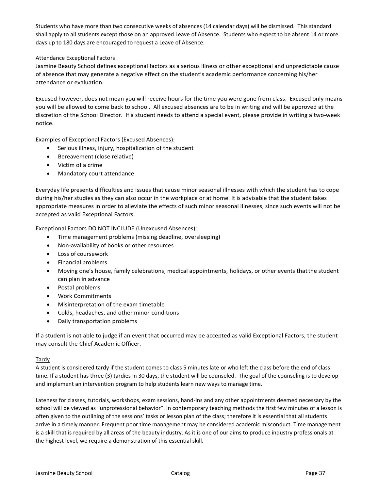Students who have more than two consecutive weeks of absences (14 calendar days) will be dismissed. This standard shall apply to all students except those on an approved Leave of Absence. Students who expect to be absent 14 or more days up to 180 days are encouraged to request a Leave of Absence.

## Attendance Exceptional Factors

Jasmine Beauty School defines exceptional factors as a serious illness or other exceptional and unpredictable cause of absence that may generate a negative effect on the student's academic performance concerning his/her attendance or evaluation.

Excused however, does not mean you will receive hours for the time you were gone from class. Excused only means you will be allowed to come back to school. All excused absences are to be in writing and will be approved at the discretion of the School Director. If a student needs to attend a special event, please provide in writing a two-week notice.

Examples of Exceptional Factors (Excused Absences):

- Serious illness, injury, hospitalization of the student
- Bereavement (close relative)
- Victim of a crime
- Mandatory court attendance

Everyday life presents difficulties and issues that cause minor seasonal illnesses with which the student has to cope during his/her studies as they can also occur in the workplace or at home. It is advisable that the student takes appropriate measures in order to alleviate the effects of such minor seasonal illnesses, since such events will not be accepted as valid Exceptional Factors.

Exceptional Factors DO NOT INCLUDE (Unexcused Absences):

- Time management problems (missing deadline, oversleeping)
- Non-availability of books or other resources
- Loss of coursework
- Financial problems
- Moving one's house, family celebrations, medical appointments, holidays, or other events thatthe student can plan in advance
- Postal problems
- Work Commitments
- Misinterpretation of the exam timetable
- Colds, headaches, and other minor conditions
- Daily transportation problems

If a student is not able to judge if an event that occurred may be accepted as valid Exceptional Factors, the student may consult the Chief Academic Officer.

## Tardy

A student is considered tardy if the student comes to class 5 minutes late or who left the class before the end of class time. If a student has three (3) tardies in 30 days, the student will be counseled. The goal of the counseling is to develop and implement an intervention program to help students learn new ways to manage time.

Lateness for classes, tutorials, workshops, exam sessions, hand-ins and any other appointments deemed necessary by the school will be viewed as "unprofessional behavior". In contemporary teaching methods the first few minutes of a lesson is often given to the outlining of the sessions' tasks or lesson plan of the class; therefore it is essential that all students arrive in a timely manner. Frequent poor time management may be considered academic misconduct. Time management is a skill that is required by all areas of the beauty industry. As it is one of our aims to produce industry professionals at the highest level, we require a demonstration of this essential skill.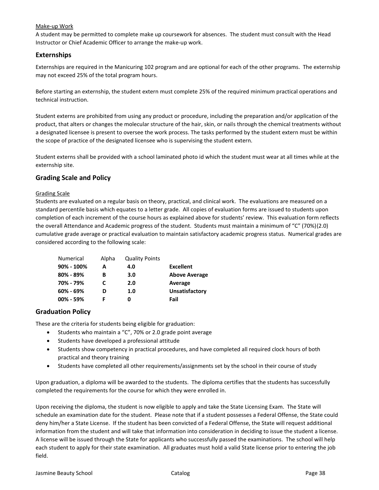## Make-up Work

A student may be permitted to complete make up coursework for absences. The student must consult with the Head Instructor or Chief Academic Officer to arrange the make-up work.

## **Externships**

Externships are required in the Manicuring 102 program and are optional for each of the other programs. The externship may not exceed 25% of the total program hours.

Before starting an externship, the student extern must complete 25% of the required minimum practical operations and technical instruction.

Student externs are prohibited from using any product or procedure, including the preparation and/or application of the product, that alters or changes the molecular structure of the hair, skin, or nails through the chemical treatments without a designated licensee is present to oversee the work process. The tasks performed by the student extern must be within the scope of practice of the designated licensee who is supervising the student extern.

Student externs shall be provided with a school laminated photo id which the student must wear at all times while at the externship site.

## **Grading Scale and Policy**

## Grading Scale

Students are evaluated on a regular basis on theory, practical, and clinical work. The evaluations are measured on a standard percentile basis which equates to a letter grade. All copies of evaluation forms are issued to students upon completion of each increment of the course hours as explained above for students' review. This evaluation form reflects the overall Attendance and Academic progress of the student. Students must maintain a minimum of "C" (70%)(2.0) cumulative grade average or practical evaluation to maintain satisfactory academic progress status. Numerical grades are considered according to the following scale:

| Numerical     | Alpha | <b>Quality Points</b> |                      |
|---------------|-------|-----------------------|----------------------|
| 90% - 100%    | А     | 4.0                   | <b>Excellent</b>     |
| $80\% - 89\%$ | в     | 3.0                   | <b>Above Average</b> |
| 70% - 79%     |       | 2.0                   | Average              |
| $60\% - 69\%$ |       | 1.0                   | Unsatisfactory       |
| $00\% - 59\%$ |       |                       | Fail                 |

## **Graduation Policy**

These are the criteria for students being eligible for graduation:

- Students who maintain a "C", 70% or 2.0 grade point average
- Students have developed a professional attitude
- Students show competency in practical procedures, and have completed all required clock hours of both practical and theory training
- Students have completed all other requirements/assignments set by the school in their course of study

Upon graduation, a diploma will be awarded to the students. The diploma certifies that the students has successfully completed the requirements for the course for which they were enrolled in.

Upon receiving the diploma, the student is now eligible to apply and take the State Licensing Exam. The State will schedule an examination date for the student. Please note that if a student possesses a Federal Offense, the State could deny him/her a State License. If the student has been convicted of a Federal Offense, the State will request additional information from the student and will take that information into consideration in deciding to issue the student a license. A license will be issued through the State for applicants who successfully passed the examinations. The school will help each student to apply for their state examination. All graduates must hold a valid State license prior to entering the job field.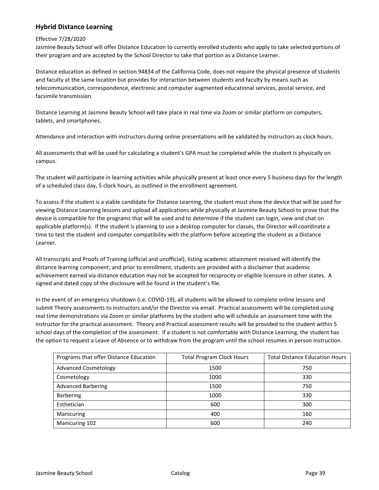## <span id="page-41-0"></span>**Hybrid Distance Learning**

## Effective 7/28/2020

Jasmine Beauty School will offer Distance Education to currently enrolled students who apply to take selected portions of their program and are accepted by the School Director to take that portion as a Distance Learner.

Distance education as defined in section 94834 of the California Code, does not require the physical presence of students and faculty at the same location but provides for interaction between students and faculty by means such as telecommunication, correspondence, electronic and computer augmented educational services, postal service, and facsimile transmission.

Distance Learning at Jasmine Beauty School will take place in real time via Zoom or similar platform on computers, tablets, and smartphones.

Attendance and interaction with instructors during online presentations will be validated by instructors as clock hours.

All assessments that will be used for calculating a student's GPA must be completed while the student is physically on campus.

The student will participate in learning activities while physically present at least once every 5 business days for the length of a scheduled class day, 5 clock hours, as outlined in the enrollment agreement.

To assess if the student is a viable candidate for Distance Learning, the student must show the device that will be used for viewing Distance Learning lessons and upload all applications while physically at Jasmine Beauty School to prove that the device is compatible for the programs that will be used and to determine if the student can login, view and chat on applicable platform(s). If the student is planning to use a desktop computer for classes, the Director will coordinate a time to test the student and computer compatibility with the platform before accepting the student as a Distance Learner.

All transcripts and Proofs of Training (official and unofficial), listing academic attainment received will identify the distance learning component; and prior to enrollment, students are provided with a disclaimer that academic achievement earned via distance education may not be accepted for reciprocity or eligible licensure in other states. A signed and dated copy of the disclosure will be found in the student's file.

In the event of an emergency shutdown (i.e. COVID-19), all students will be allowed to complete online lessons and submit Theory assessments to instructors and/or the Director via email. Practical assessments will be completed using real time demonstrations via Zoom or similar platforms by the student who will schedule an assessment time with the instructor for the practical assessment. Theory and Practical assessment results will be provided to the student within 5 school days of the completion of the assessment. If a student is not comfortable with Distance Learning, the student has the option to request a Leave of Absence or to withdraw from the program until the school resumes in person instruction.

| Programs that offer Distance Education | <b>Total Program Clock Hours</b> | <b>Total Distance Education Hours</b> |  |
|----------------------------------------|----------------------------------|---------------------------------------|--|
| <b>Advanced Cosmetology</b>            | 1500                             | 750                                   |  |
| Cosmetology                            | 1000                             | 330                                   |  |
| <b>Advanced Barbering</b>              | 1500                             | 750                                   |  |
| <b>Barbering</b>                       | 1000                             | 330                                   |  |
| Esthetician                            | 600                              | 300                                   |  |
| Manicuring                             | 400                              | 160                                   |  |
| Manicuring 102                         | 600                              | 240                                   |  |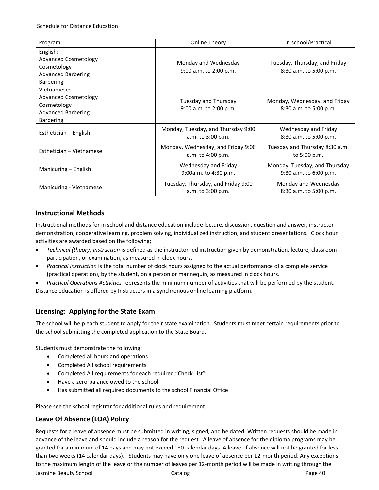| Program                                                                                                    | Online Theory                                           | In school/Practical                                         |  |
|------------------------------------------------------------------------------------------------------------|---------------------------------------------------------|-------------------------------------------------------------|--|
| English:<br><b>Advanced Cosmetology</b><br>Cosmetology<br><b>Advanced Barbering</b><br><b>Barbering</b>    | Monday and Wednesday<br>9:00 a.m. to 2:00 p.m.          | Tuesday, Thursday, and Friday<br>8:30 a.m. to 5:00 p.m.     |  |
| Vietnamese:<br><b>Advanced Cosmetology</b><br>Cosmetology<br><b>Advanced Barbering</b><br><b>Barbering</b> | <b>Tuesday and Thursday</b><br>9:00 a.m. to 2:00 p.m.   | Monday, Wednesday, and Friday<br>8:30 a.m. to 5:00 p.m.     |  |
| Esthetician – English                                                                                      | Monday, Tuesday, and Thursday 9:00<br>a.m. to 3:00 p.m. | Wednesday and Friday<br>8:30 a.m. to 5:00 p.m.              |  |
| Esthetician – Vietnamese                                                                                   | Monday, Wednesday, and Friday 9:00<br>a.m. to 4:00 p.m. | Tuesday and Thursday 8:30 a.m.<br>to 5:00 p.m.              |  |
| Manicuring – English                                                                                       | Wednesday and Friday<br>9:00a.m. to 4:30 p.m.           | Monday, Tuesday, and Thursday<br>$9:30$ a.m. to $6:00$ p.m. |  |
| Manicuring - Vietnamese                                                                                    | Tuesday, Thursday, and Friday 9:00<br>a.m. to 3:00 p.m. | Monday and Wednesday<br>8:30 a.m. to 5:00 p.m.              |  |

## **Instructional Methods**

Instructional methods for in school and distance education include lecture, discussion, question and answer, instructor demonstration, cooperative learning, problem solving, individualized instruction, and student presentations. Clock hour activities are awarded based on the following;

- *Technical (theory) instruction* is defined as the instructor-led instruction given by demonstration, lecture, classroom participation, or examination, as measured in clock hours.
- *Practical instruction* is the total number of clock hours assigned to the actual performance of a complete service (practical operation), by the student, on a person or mannequin, as measured in clock hours.

• *Practical Operations Activities* represents the minimum number of activities that will be performed by the student. Distance education is offered by Instructors in a synchronous online learning platform.

## **Licensing: Applying for the State Exam**

The school will help each student to apply for their state examination. Students must meet certain requirements prior to the school submitting the completed application to the State Board.

Students must demonstrate the following:

- Completed all hours and operations
- Completed All school requirements
- Completed All requirements for each required "Check List"
- Have a zero-balance owed to the school
- Has submitted all required documents to the school Financial Office

Please see the school registrar for additional rules and requirement.

## **Leave Of Absence (LOA) Policy**

Requests for a leave of absence must be submitted in writing, signed, and be dated. Written requests should be made in advance of the leave and should include a reason for the request. A leave of absence for the diploma programs may be granted for a minimum of 14 days and may not exceed 180 calendar days. A leave of absence will not be granted for less than two weeks (14 calendar days). Students may have only one leave of absence per 12-month period. Any exceptions to the maximum length of the leave or the number of leaves per 12-month period will be made in writing through the

Jasmine Beauty School **Catalog Page 40** Catalog Page 40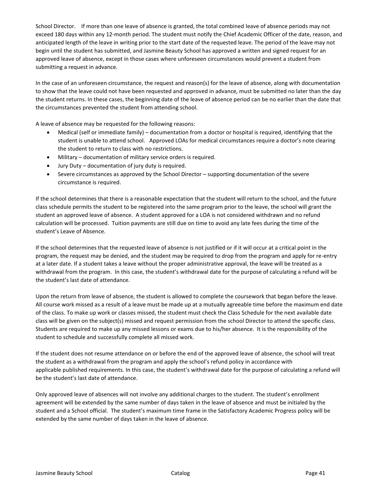School Director. If more than one leave of absence is granted, the total combined leave of absence periods may not exceed 180 days within any 12-month period. The student must notify the Chief Academic Officer of the date, reason, and anticipated length of the leave in writing prior to the start date of the requested leave. The period of the leave may not begin until the student has submitted, and Jasmine Beauty School has approved a written and signed request for an approved leave of absence, except in those cases where unforeseen circumstances would prevent a student from submitting a request in advance.

In the case of an unforeseen circumstance, the request and reason(s) for the leave of absence, along with documentation to show that the leave could not have been requested and approved in advance, must be submitted no later than the day the student returns. In these cases, the beginning date of the leave of absence period can be no earlier than the date that the circumstances prevented the student from attending school.

A leave of absence may be requested for the following reasons:

- Medical (self or immediate family) documentation from a doctor or hospital is required, identifying that the student is unable to attend school. Approved LOAs for medical circumstances require a doctor's note clearing the student to return to class with no restrictions.
- Military documentation of military service orders is required.
- Jury Duty documentation of jury duty is required.
- Severe circumstances as approved by the School Director supporting documentation of the severe circumstance is required.

If the school determines that there is a reasonable expectation that the student will return to the school, and the future class schedule permits the student to be registered into the same program prior to the leave, the school will grant the student an approved leave of absence. A student approved for a LOA is not considered withdrawn and no refund calculation will be processed. Tuition payments are still due on time to avoid any late fees during the time of the student's Leave of Absence.

If the school determines that the requested leave of absence is not justified or if it will occur at a critical point in the program, the request may be denied, and the student may be required to drop from the program and apply for re-entry at a later date. If a student takes a leave without the proper administrative approval, the leave will be treated as a withdrawal from the program. In this case, the student's withdrawal date for the purpose of calculating a refund will be the student's last date of attendance.

Upon the return from leave of absence, the student is allowed to complete the coursework that began before the leave. All course work missed as a result of a leave must be made up at a mutually agreeable time before the maximum end date of the class. To make up work or classes missed, the student must check the Class Schedule for the next available date class will be given on the subject(s) missed and request permission from the school Director to attend the specific class. Students are required to make up any missed lessons or exams due to his/her absence. It is the responsibility of the student to schedule and successfully complete all missed work.

If the student does not resume attendance on or before the end of the approved leave of absence, the school will treat the student as a withdrawal from the program and apply the school's refund policy in accordance with applicable published requirements. In this case, the student's withdrawal date for the purpose of calculating a refund will be the student's last date of attendance.

Only approved leave of absences will not involve any additional charges to the student. The student's enrollment agreement will be extended by the same number of days taken in the leave of absence and must be initialed by the student and a School official. The student's maximum time frame in the Satisfactory Academic Progress policy will be extended by the same number of days taken in the leave of absence.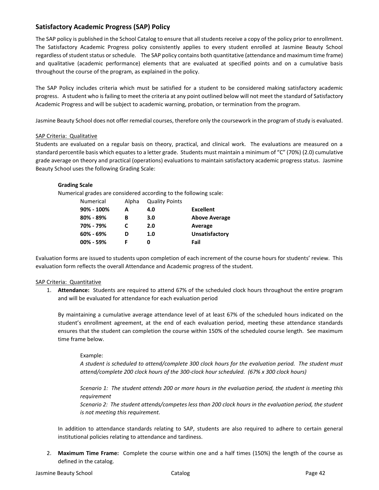## **Satisfactory Academic Progress (SAP) Policy**

The SAP policy is published in the School Catalog to ensure that all students receive a copy of the policy prior to enrollment. The Satisfactory Academic Progress policy consistently applies to every student enrolled at Jasmine Beauty School regardless of student status or schedule. The SAP policy contains both quantitative (attendance and maximum time frame) and qualitative (academic performance) elements that are evaluated at specified points and on a cumulative basis throughout the course of the program, as explained in the policy.

The SAP Policy includes criteria which must be satisfied for a student to be considered making satisfactory academic progress. A student who is failing to meet the criteria at any point outlined below will not meet the standard of Satisfactory Academic Progress and will be subject to academic warning, probation, or termination from the program.

Jasmine Beauty School does not offer remedial courses, therefore only the coursework in the program of study is evaluated.

## SAP Criteria: Qualitative

Students are evaluated on a regular basis on theory, practical, and clinical work. The evaluations are measured on a standard percentile basis which equates to a letter grade. Students must maintain a minimum of "C" (70%) (2.0) cumulative grade average on theory and practical (operations) evaluations to maintain satisfactory academic progress status. Jasmine Beauty School uses the following Grading Scale:

## **Grading Scale**

Numerical grades are considered according to the following scale:

| <b>Numerical</b> | Alpha | <b>Quality Points</b> |                      |
|------------------|-------|-----------------------|----------------------|
| 90% - 100%       | А     | 4.0                   | <b>Excellent</b>     |
| 80% - 89%        | в     | 3.0                   | <b>Above Average</b> |
| 70% - 79%        | C     | 2.0                   | Average              |
| $60\% - 69\%$    | D     | 1.0                   | Unsatisfactory       |
| 00% - 59%        |       | O                     | Fail                 |

Evaluation forms are issued to students upon completion of each increment of the course hours for students' review. This evaluation form reflects the overall Attendance and Academic progress of the student.

## SAP Criteria: Quantitative

1. **Attendance:** Students are required to attend 67% of the scheduled clock hours throughout the entire program and will be evaluated for attendance for each evaluation period

By maintaining a cumulative average attendance level of at least 67% of the scheduled hours indicated on the student's enrollment agreement, at the end of each evaluation period, meeting these attendance standards ensures that the student can completion the course within 150% of the scheduled course length. See maximum time frame below.

## Example:

*A student is scheduled to attend/complete 300 clock hours for the evaluation period. The student must attend/complete 200 clock hours of the 300-clock hour scheduled. (67% x 300 clock hours)*

*Scenario 1: The student attends 200 or more hours in the evaluation period, the student is meeting this requirement* 

*Scenario 2: The student attends/competes less than 200 clock hours in the evaluation period, the student is not meeting this requirement.* 

In addition to attendance standards relating to SAP, students are also required to adhere to certain general institutional policies relating to attendance and tardiness.

2. **Maximum Time Frame:** Complete the course within one and a half times (150%) the length of the course as defined in the catalog.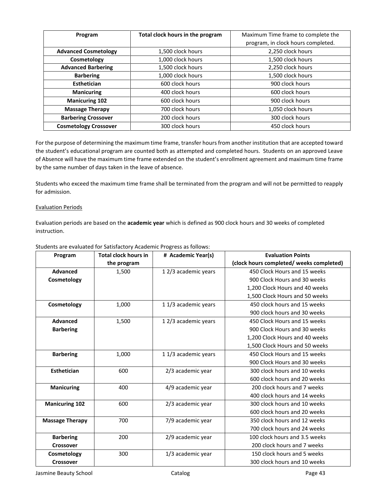| Program                      | Total clock hours in the program | Maximum Time frame to complete the |
|------------------------------|----------------------------------|------------------------------------|
|                              |                                  | program, in clock hours completed. |
| <b>Advanced Cosmetology</b>  | 1,500 clock hours                | 2,250 clock hours                  |
| Cosmetology                  | 1,000 clock hours                | 1,500 clock hours                  |
| <b>Advanced Barbering</b>    | 1,500 clock hours                | 2,250 clock hours                  |
| <b>Barbering</b>             | 1,000 clock hours                | 1,500 clock hours                  |
| <b>Esthetician</b>           | 600 clock hours                  | 900 clock hours                    |
| <b>Manicuring</b>            | 400 clock hours                  | 600 clock hours                    |
| <b>Manicuring 102</b>        | 600 clock hours                  | 900 clock hours                    |
| <b>Massage Therapy</b>       | 700 clock hours                  | 1,050 clock hours                  |
| <b>Barbering Crossover</b>   | 200 clock hours                  | 300 clock hours                    |
| <b>Cosmetology Crossover</b> | 300 clock hours                  | 450 clock hours                    |

For the purpose of determining the maximum time frame, transfer hours from another institution that are accepted toward the student's educational program are counted both as attempted and completed hours. Students on an approved Leave of Absence will have the maximum time frame extended on the student's enrollment agreement and maximum time frame by the same number of days taken in the leave of absence.

Students who exceed the maximum time frame shall be terminated from the program and will not be permitted to reapply for admission.

## Evaluation Periods

Evaluation periods are based on the **academic year** which is defined as 900 clock hours and 30 weeks of completed instruction.

| Program                | <b>Total clock hours in</b> | # Academic Year(s)  | <b>Evaluation Points</b>                 |
|------------------------|-----------------------------|---------------------|------------------------------------------|
|                        | the program                 |                     | (clock hours completed/ weeks completed) |
| <b>Advanced</b>        | 1,500                       | 12/3 academic years | 450 Clock Hours and 15 weeks             |
| Cosmetology            |                             |                     | 900 Clock Hours and 30 weeks             |
|                        |                             |                     | 1,200 Clock Hours and 40 weeks           |
|                        |                             |                     | 1,500 Clock Hours and 50 weeks           |
| Cosmetology            | 1,000                       | 11/3 academic years | 450 clock hours and 15 weeks             |
|                        |                             |                     | 900 clock hours and 30 weeks             |
| <b>Advanced</b>        | 1,500                       | 12/3 academic years | 450 Clock Hours and 15 weeks             |
| <b>Barbering</b>       |                             |                     | 900 Clock Hours and 30 weeks             |
|                        |                             |                     | 1,200 Clock Hours and 40 weeks           |
|                        |                             |                     | 1,500 Clock Hours and 50 weeks           |
| <b>Barbering</b>       | 1,000                       | 11/3 academic years | 450 Clock Hours and 15 weeks             |
|                        |                             |                     | 900 Clock Hours and 30 weeks             |
| Esthetician            | 600                         | 2/3 academic year   | 300 clock hours and 10 weeks             |
|                        |                             |                     | 600 clock hours and 20 weeks             |
| <b>Manicuring</b>      | 400                         | 4/9 academic year   | 200 clock hours and 7 weeks              |
|                        |                             |                     | 400 clock hours and 14 weeks             |
| <b>Manicuring 102</b>  | 600                         | 2/3 academic year   | 300 clock hours and 10 weeks             |
|                        |                             |                     | 600 clock hours and 20 weeks             |
| <b>Massage Therapy</b> | 700                         | 7/9 academic year   | 350 clock hours and 12 weeks             |
|                        |                             |                     | 700 clock hours and 24 weeks             |
| <b>Barbering</b>       | 200                         | 2/9 academic year   | 100 clock hours and 3.5 weeks            |
| <b>Crossover</b>       |                             |                     | 200 clock hours and 7 weeks              |
| Cosmetology            | 300                         | 1/3 academic year   | 150 clock hours and 5 weeks              |
| Crossover              |                             |                     | 300 clock hours and 10 weeks             |

Students are evaluated for Satisfactory Academic Progress as follows: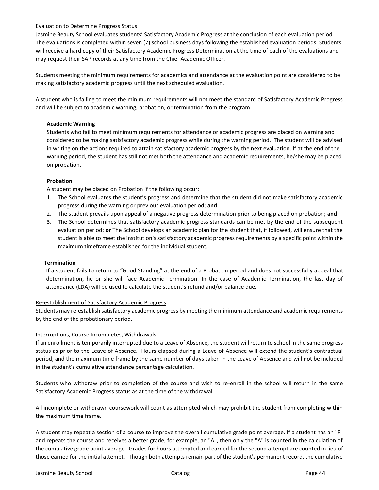## Evaluation to Determine Progress Status

Jasmine Beauty School evaluates students' Satisfactory Academic Progress at the conclusion of each evaluation period. The evaluations is completed within seven (7) school business days following the established evaluation periods. Students will receive a hard copy of their Satisfactory Academic Progress Determination at the time of each of the evaluations and may request their SAP records at any time from the Chief Academic Officer.

Students meeting the minimum requirements for academics and attendance at the evaluation point are considered to be making satisfactory academic progress until the next scheduled evaluation.

A student who is failing to meet the minimum requirements will not meet the standard of Satisfactory Academic Progress and will be subject to academic warning, probation, or termination from the program.

## **Academic Warning**

Students who fail to meet minimum requirements for attendance or academic progress are placed on warning and considered to be making satisfactory academic progress while during the warning period. The student will be advised in writing on the actions required to attain satisfactory academic progress by the next evaluation. If at the end of the warning period, the student has still not met both the attendance and academic requirements, he/she may be placed on probation.

## **Probation**

A student may be placed on Probation if the following occur:

- 1. The School evaluates the student's progress and determine that the student did not make satisfactory academic progress during the warning or previous evaluation period; **and**
- 2. The student prevails upon appeal of a negative progress determination prior to being placed on probation; **and**
- 3. The School determines that satisfactory academic progress standards can be met by the end of the subsequent evaluation period; **or** The School develops an academic plan for the student that, if followed, will ensure that the student is able to meet the institution's satisfactory academic progress requirements by a specific point within the maximum timeframe established for the individual student.

## **Termination**

If a student fails to return to "Good Standing" at the end of a Probation period and does not successfully appeal that determination, he or she will face Academic Termination. In the case of Academic Termination, the last day of attendance (LDA) will be used to calculate the student's refund and/or balance due.

## Re-establishment of Satisfactory Academic Progress

Students may re-establish satisfactory academic progress by meeting the minimum attendance and academic requirements by the end of the probationary period.

## Interruptions, Course Incompletes, Withdrawals

If an enrollment is temporarily interrupted due to a Leave of Absence, the student will return to school in the same progress status as prior to the Leave of Absence. Hours elapsed during a Leave of Absence will extend the student's contractual period, and the maximum time frame by the same number of days taken in the Leave of Absence and will not be included in the student's cumulative attendance percentage calculation.

Students who withdraw prior to completion of the course and wish to re-enroll in the school will return in the same Satisfactory Academic Progress status as at the time of the withdrawal.

All incomplete or withdrawn coursework will count as attempted which may prohibit the student from completing within the maximum time frame.

A student may repeat a section of a course to improve the overall cumulative grade point average. If a student has an "F" and repeats the course and receives a better grade, for example, an "A", then only the "A" is counted in the calculation of the cumulative grade point average. Grades for hours attempted and earned for the second attempt are counted in lieu of those earned for the initial attempt. Though both attempts remain part of the student's permanent record, the cumulative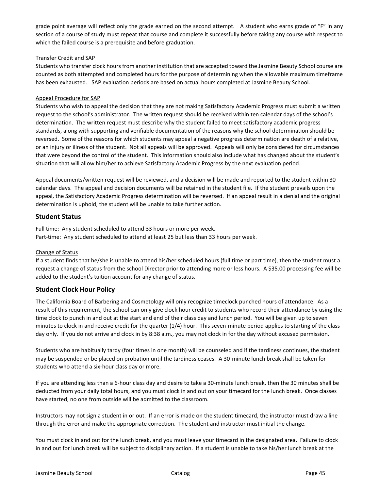grade point average will reflect only the grade earned on the second attempt. A student who earns grade of "F" in any section of a course of study must repeat that course and complete it successfully before taking any course with respect to which the failed course is a prerequisite and before graduation.

## Transfer Credit and SAP

Students who transfer clock hours from another institution that are accepted toward the Jasmine Beauty School course are counted as both attempted and completed hours for the purpose of determining when the allowable maximum timeframe has been exhausted. SAP evaluation periods are based on actual hours completed at Jasmine Beauty School.

#### Appeal Procedure for SAP

Students who wish to appeal the decision that they are not making Satisfactory Academic Progress must submit a written request to the school's administrator. The written request should be received within ten calendar days of the school's determination. The written request must describe why the student failed to meet satisfactory academic progress standards, along with supporting and verifiable documentation of the reasons why the school determination should be reversed. Some of the reasons for which students may appeal a negative progress determination are death of a relative, or an injury or illness of the student. Not all appeals will be approved. Appeals will only be considered for circumstances that were beyond the control of the student. This information should also include what has changed about the student's situation that will allow him/her to achieve Satisfactory Academic Progress by the next evaluation period.

Appeal documents/written request will be reviewed, and a decision will be made and reported to the student within 30 calendar days. The appeal and decision documents will be retained in the student file. If the student prevails upon the appeal, the Satisfactory Academic Progress determination will be reversed. If an appeal result in a denial and the original determination is uphold, the student will be unable to take further action.

## **Student Status**

Full time: Any student scheduled to attend 33 hours or more per week. Part-time: Any student scheduled to attend at least 25 but less than 33 hours per week.

## Change of Status

If a student finds that he/she is unable to attend his/her scheduled hours (full time or part time), then the student must a request a change of status from the school Director prior to attending more or less hours. A \$35.00 processing fee will be added to the student's tuition account for any change of status.

## **Student Clock Hour Policy**

The California Board of Barbering and Cosmetology will only recognize timeclock punched hours of attendance. As a result of this requirement, the school can only give clock hour credit to students who record their attendance by using the time clock to punch in and out at the start and end of their class day and lunch period. You will be given up to seven minutes to clock in and receive credit for the quarter (1/4) hour. This seven-minute period applies to starting of the class day only. If you do not arrive and clock in by 8:38 a.m., you may not clock in for the day without excused permission.

Students who are habitually tardy (four times in one month) will be counseled and if the tardiness continues, the student may be suspended or be placed on probation until the tardiness ceases. A 30-minute lunch break shall be taken for students who attend a six-hour class day or more.

If you are attending less than a 6-hour class day and desire to take a 30-minute lunch break, then the 30 minutes shall be deducted from your daily total hours, and you must clock in and out on your timecard for the lunch break. Once classes have started, no one from outside will be admitted to the classroom.

Instructors may not sign a student in or out. If an error is made on the student timecard, the instructor must draw a line through the error and make the appropriate correction. The student and instructor must initial the change.

You must clock in and out for the lunch break, and you must leave your timecard in the designated area. Failure to clock in and out for lunch break will be subject to disciplinary action. If a student is unable to take his/her lunch break at the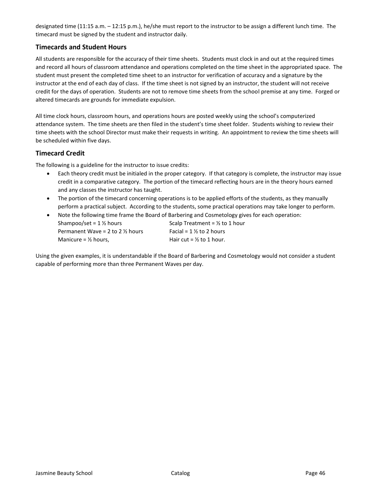designated time (11:15 a.m. – 12:15 p.m.), he/she must report to the instructor to be assign a different lunch time. The timecard must be signed by the student and instructor daily.

## **Timecards and Student Hours**

All students are responsible for the accuracy of their time sheets. Students must clock in and out at the required times and record all hours of classroom attendance and operations completed on the time sheet in the appropriated space. The student must present the completed time sheet to an instructor for verification of accuracy and a signature by the instructor at the end of each day of class. If the time sheet is not signed by an instructor, the student will not receive credit for the days of operation. Students are not to remove time sheets from the school premise at any time. Forged or altered timecards are grounds for immediate expulsion.

All time clock hours, classroom hours, and operations hours are posted weekly using the school's computerized attendance system. The time sheets are then filed in the student's time sheet folder. Students wishing to review their time sheets with the school Director must make their requests in writing. An appointment to review the time sheets will be scheduled within five days.

## **Timecard Credit**

The following is a guideline for the instructor to issue credits:

- Each theory credit must be initialed in the proper category. If that category is complete, the instructor may issue credit in a comparative category. The portion of the timecard reflecting hours are in the theory hours earned and any classes the instructor has taught.
- The portion of the timecard concerning operations is to be applied efforts of the students, as they manually perform a practical subject. According to the students, some practical operations may take longer to perform.

• Note the following time frame the Board of Barbering and Cosmetology gives for each operation: Shampoo/set =  $1\frac{1}{2}$  hours Scalp Treatment =  $\frac{1}{2}$  to 1 hour Permanent Wave = 2 to 2  $\frac{1}{2}$  hours Facial = 1  $\frac{1}{2}$  to 2 hours Manicure =  $\frac{1}{2}$  hours, Hair cut =  $\frac{1}{2}$  to 1 hour.

Using the given examples, it is understandable if the Board of Barbering and Cosmetology would not consider a student capable of performing more than three Permanent Waves per day.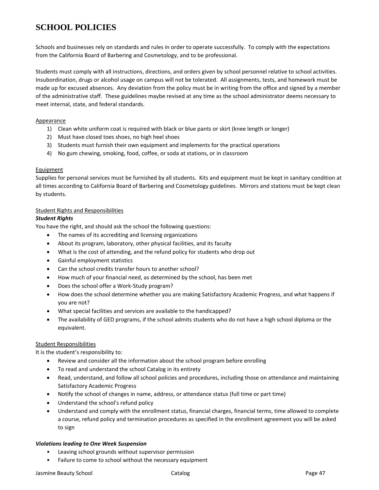# **SCHOOL POLICIES**

Schools and businesses rely on standards and rules in order to operate successfully. To comply with the expectations from the California Board of Barbering and Cosmetology, and to be professional.

Students must comply with all instructions, directions, and orders given by school personnel relative to school activities. Insubordination, drugs or alcohol usage on campus will not be tolerated. All assignments, tests, and homework must be made up for excused absences. Any deviation from the policy must be in writing from the office and signed by a member of the administrative staff. These guidelines maybe revised at any time as the school administrator deems necessary to meet internal, state, and federal standards.

## Appearance

- 1) Clean white uniform coat is required with black or blue pants or skirt (knee length or longer)
- 2) Must have closed toes shoes, no high heel shoes
- 3) Students must furnish their own equipment and implements for the practical operations
- 4) No gum chewing, smoking, food, coffee, or soda at stations, or in classroom

## Equipment

Supplies for personal services must be furnished by all students. Kits and equipment must be kept in sanitary condition at all times according to California Board of Barbering and Cosmetology guidelines. Mirrors and stations must be kept clean by students.

## Student Rights and Responsibilities

## *Student Rights*

You have the right, and should ask the school the following questions:

- The names of its accrediting and licensing organizations
- About its program, laboratory, other physical facilities, and its faculty
- What is the cost of attending, and the refund policy for students who drop out
- Gainful employment statistics
- Can the school credits transfer hours to another school?
- How much of your financial need, as determined by the school, has been met
- Does the school offer a Work-Study program?
- How does the school determine whether you are making Satisfactory Academic Progress, and what happens if you are not?
- What special facilities and services are available to the handicapped?
- The availability of GED programs, if the school admits students who do not have a high school diploma or the equivalent.

## Student Responsibilities

It is the student's responsibility to:

- Review and consider all the information about the school program before enrolling
- To read and understand the school Catalog in its entirety
- Read, understand, and follow all school policies and procedures, including those on attendance and maintaining Satisfactory Academic Progress
- Notify the school of changes in name, address, or attendance status (full time or part time)
- Understand the school's refund policy
- Understand and comply with the enrollment status, financial charges, financial terms, time allowed to complete a course, refund policy and termination procedures as specified in the enrollment agreement you will be asked to sign

## *Violations leading to One Week Suspension*

- Leaving school grounds without supervisor permission
- Failure to come to school without the necessary equipment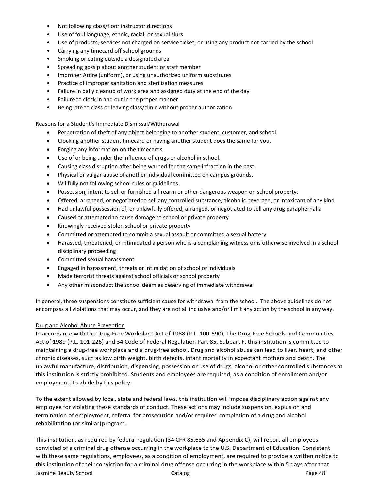- Not following class/floor instructor directions
- Use of foul language, ethnic, racial, or sexual slurs
- Use of products, services not charged on service ticket, or using any product not carried by the school
- Carrying any timecard off school grounds
- Smoking or eating outside a designated area
- Spreading gossip about another student or staff member
- Improper Attire (uniform), or using unauthorized uniform substitutes
- Practice of improper sanitation and sterilization measures
- Failure in daily cleanup of work area and assigned duty at the end of the day
- Failure to clock in and out in the proper manner
- Being late to class or leaving class/clinic without proper authorization

## Reasons for a Student's Immediate Dismissal/Withdrawal

- Perpetration of theft of any object belonging to another student, customer, and school.
- Clocking another student timecard or having another student does the same for you.
- Forging any information on the timecards.
- Use of or being under the influence of drugs or alcohol in school.
- Causing class disruption after being warned for the same infraction in the past.
- Physical or vulgar abuse of another individual committed on campus grounds.
- Willfully not following school rules or guidelines.
- Possession, intent to sell or furnished a firearm or other dangerous weapon on school property.
- Offered, arranged, or negotiated to sell any controlled substance, alcoholic beverage, or intoxicant of any kind
- Had unlawful possession of, or unlawfully offered, arranged, or negotiated to sell any drug paraphernalia
- Caused or attempted to cause damage to school or private property
- Knowingly received stolen school or private property
- Committed or attempted to commit a sexual assault or committed a sexual battery
- Harassed, threatened, or intimidated a person who is a complaining witness or is otherwise involved in a school disciplinary proceeding
- Committed sexual harassment
- Engaged in harassment, threats or intimidation of school or individuals
- Made terrorist threats against school officials or school property
- Any other misconduct the school deem as deserving of immediate withdrawal

In general, three suspensions constitute sufficient cause for withdrawal from the school. The above guidelines do not encompass all violations that may occur, and they are not all inclusive and/or limit any action by the school in any way.

## Drug and Alcohol Abuse Prevention

In accordance with the Drug-Free Workplace Act of 1988 (P.L. 100-690), The Drug-Free Schools and Communities Act of 1989 (P.L. 101-226) and 34 Code of Federal Regulation Part 85, Subpart F, this institution is committed to maintaining a drug-free workplace and a drug-free school. Drug and alcohol abuse can lead to liver, heart, and other chronic diseases, such as low birth weight, birth defects, infant mortality in expectant mothers and death. The unlawful manufacture, distribution, dispensing, possession or use of drugs, alcohol or other controlled substances at this institution is strictly prohibited. Students and employees are required, as a condition of enrollment and/or employment, to abide by this policy.

To the extent allowed by local, state and federal laws, this institution will impose disciplinary action against any employee for violating these standards of conduct. These actions may include suspension, expulsion and termination of employment, referral for prosecution and/or required completion of a drug and alcohol rehabilitation (or similar) program.

Jasmine Beauty School Catalog Page 48 This institution, as required by federal regulation (34 CFR 85.635 and Appendix C), will report all employees convicted of a criminal drug offense occurring in the workplace to the U.S. Department of Education. Consistent with these same regulations, employees, as a condition of employment, are required to provide a written notice to this institution of their conviction for a criminal drug offense occurring in the workplace within 5 days after that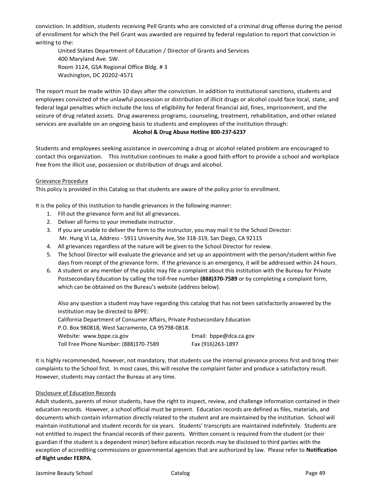conviction. In addition, students receiving Pell Grants who are convicted of a criminal drug offense during the period of enrollment for which the Pell Grant was awarded are required by federal regulation to report that conviction in writing to the:

United States Department of Education / Director of Grants and Services 400 Maryland Ave. SW. Room 3124, GSA Regional Office Bldg. # 3 Washington, DC 20202-4571

The report must be made within 10 days after the conviction. In addition to institutional sanctions, students and employees convicted of the unlawful possession or distribution of illicit drugs or alcohol could face local, state, and federal legal penalties which include the loss of eligibility for federal financial aid, fines, imprisonment, and the seizure of drug related assets. Drug awareness programs, counseling, treatment, rehabilitation, and other related services are available on an ongoing basis to students and employees of the institution through:

#### **Alcohol & Drug Abuse Hotline 800-237-6237**

Students and employees seeking assistance in overcoming a drug or alcohol related problem are encouraged to contact this organization. This institution continues to make a good faith effort to provide a school and workplace free from the illicit use, possession or distribution of drugs and alcohol.

## Grievance Procedure

This policy is provided in this Catalog so that students are aware of the policy prior to enrollment.

It is the policy of this institution to handle grievances in the following manner:

- 1. Fill out the grievance form and list all grievances.
- 2. Deliver all forms to your immediate instructor.
- 3. If you are unable to deliver the form to the instructor, you may mail it to the School Director: Mr. Hung Vi La, Address - 5911 University Ave, Ste 318-319, San Diego, CA 92115
- 4. All grievances regardless of the nature will be given to the School Director for review.
- 5. The School Director will evaluate the grievance and set up an appointment with the person/student within five days from receipt of the grievance form. If the grievance is an emergency, it will be addressed within 24 hours.
- 6. A student or any member of the public may file a complaint about this institution with the Bureau for Private Postsecondary Education by calling the toll-free number **(888)370-7589** or by completing a complaint form, which can be obtained on the Bureau's website (address below).

Also any question a student may have regarding this catalog that has not been satisfactorily answered by the institution may be directed to BPPE:

California Department of Consumer Affairs, Private Postsecondary Education

P.O. Box 980818, West Sacramento, CA 95798-0818.

| Website: www.bppe.ca.gov              | Email: bppe@dca.ca.gov |
|---------------------------------------|------------------------|
| Toll Free Phone Number: (888)370-7589 | Fax (916)263-1897      |

It is highly recommended, however, not mandatory, that students use the internal grievance process first and bring their complaints to the School first. In most cases, this will resolve the complaint faster and produce a satisfactory result. However, students may contact the Bureau at any time.

## Disclosure of Education Records

Adult students, parents of minor students, have the right to inspect, review, and challenge information contained in their education records. However, a school official must be present. Education records are defined as files, materials, and documents which contain information directly related to the student and are maintained by the institution. School will maintain institutional and student records for six years. Students' transcripts are maintained indefinitely. Students are not entitled to inspect the financial records of their parents. Written consent is required from the student (or their guardian if the student is a dependent minor) before education records may be disclosed to third parties with the exception of accrediting commissions or governmental agencies that are authorized by law. Please refer to **Notification of Right under FERPA.**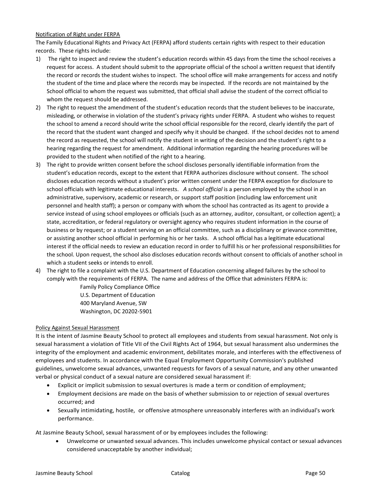## Notification of Right under FERPA

The Family Educational Rights and Privacy Act (FERPA) afford students certain rights with respect to their education records. These rights include:

- 1) The right to inspect and review the student's education records within 45 days from the time the school receives a request for access. A student should submit to the appropriate official of the school a written request that identify the record or records the student wishes to inspect. The school office will make arrangements for access and notify the student of the time and place where the records may be inspected. If the records are not maintained by the School official to whom the request was submitted, that official shall advise the student of the correct official to whom the request should be addressed.
- 2) The right to request the amendment of the student's education records that the student believes to be inaccurate, misleading, or otherwise in violation of the student's privacy rights under FERPA. A student who wishes to request the school to amend a record should write the school official responsible for the record, clearly identify the part of the record that the student want changed and specify why it should be changed. If the school decides not to amend the record as requested, the school will notify the student in writing of the decision and the student's right to a hearing regarding the request for amendment. Additional information regarding the hearing procedures will be provided to the student when notified of the right to a hearing.
- 3) The right to provide written consent before the school discloses personally identifiable information from the student's education records, except to the extent that FERPA authorizes disclosure without consent. The school discloses education records without a student's prior written consent under the FERPA exception for disclosure to school officials with legitimate educational interests. *A school official* is a person employed by the school in an administrative, supervisory, academic or research, or support staff position (including law enforcement unit personnel and health staff); a person or company with whom the school has contracted as its agent to provide a service instead of using school employees or officials (such as an attorney, auditor, consultant, or collection agent); a state, accreditation, or federal regulatory or oversight agency who requires student information in the course of business or by request; or a student serving on an official committee, such as a disciplinary or grievance committee, or assisting another school official in performing his or her tasks. A school official has a legitimate educational interest if the official needs to review an education record in order to fulfill his or her professional responsibilities for the school. Upon request, the school also discloses education records without consent to officials of another school in which a student seeks or intends to enroll.
- 4) The right to file a complaint with the U.S. Department of Education concerning alleged failures by the school to comply with the requirements of FERPA. The name and address of the Office that administers FERPA is:

Family Policy Compliance Office U.S. Department of Education 400 Maryland Avenue, SW Washington, DC 20202-5901

## Policy Against Sexual Harassment

It is the intent of Jasmine Beauty School to protect all employees and students from sexual harassment. Not only is sexual harassment a violation of Title VII of the Civil Rights Act of 1964, but sexual harassment also undermines the integrity of the employment and academic environment, debilitates morale, and interferes with the effectiveness of employees and students. In accordance with the Equal Employment Opportunity Commission's published guidelines, unwelcome sexual advances, unwanted requests for favors of a sexual nature, and any other unwanted verbal or physical conduct of a sexual nature are considered sexual harassment if:

- Explicit or implicit submission to sexual overtures is made a term or condition of employment;
- Employment decisions are made on the basis of whether submission to or rejection of sexual overtures occurred; and
- Sexually intimidating, hostile, or offensive atmosphere unreasonably interferes with an individual's work performance.

At Jasmine Beauty School, sexual harassment of or by employees includes the following:

• Unwelcome or unwanted sexual advances. This includes unwelcome physical contact or sexual advances considered unacceptable by another individual;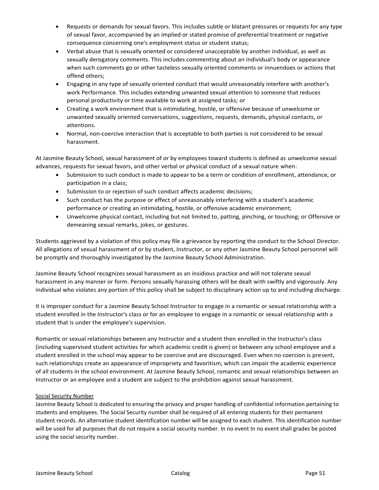- Requests or demands for sexual favors. This includes subtle or blatant pressures or requests for any type of sexual favor, accompanied by an implied or stated promise of preferential treatment or negative consequence concerning one's employment status or student status;
- Verbal abuse that is sexually oriented or considered unacceptable by another individual, as well as sexually derogatory comments. This includes commenting about an individual's body or appearance when such comments go or other tasteless sexually oriented comments or innuendoes or actions that offend others;
- Engaging in any type of sexually oriented conduct that would unreasonably interfere with another's work Performance. This includes extending unwanted sexual attention to someone that reduces personal productivity or time available to work at assigned tasks; or
- Creating a work environment that is intimidating, hostile, or offensive because of unwelcome or unwanted sexually oriented conversations, suggestions, requests, demands, physical contacts, or attentions.
- Normal, non-coercive interaction that is acceptable to both parties is not considered to be sexual harassment.

At Jasmine Beauty School, sexual harassment of or by employees toward students is defined as unwelcome sexual advances, requests for sexual favors, and other verbal or physical conduct of a sexual nature when:

- Submission to such conduct is made to appear to be a term or condition of enrollment, attendance, or participation in a class;
- Submission to or rejection of such conduct affects academic decisions;
- Such conduct has the purpose or effect of unreasonably interfering with a student's academic performance or creating an intimidating, hostile, or offensive academic environment;
- Unwelcome physical contact, including but not limited to, patting, pinching, or touching; or Offensive or demeaning sexual remarks, jokes, or gestures.

Students aggrieved by a violation of this policy may file a grievance by reporting the conduct to the School Director. All allegations of sexual harassment of or by student, Instructor, or any other Jasmine Beauty School personnel will be promptly and thoroughly investigated by the Jasmine Beauty School Administration.

Jasmine Beauty School recognizes sexual harassment as an insidious practice and will not tolerate sexual harassment in any manner or form. Persons sexually harassing others will be dealt with swiftly and vigorously. Any individual who violates any portion of this policy shall be subject to disciplinary action up to and including discharge.

It is improper conduct for a Jasmine Beauty School Instructor to engage in a romantic or sexual relationship with a student enrolled in the Instructor's class or for an employee to engage in a romantic or sexual relationship with a student that is under the employee's supervision.

Romantic or sexual relationships between any Instructor and a student then enrolled in the Instructor's class (including supervised student activities for which academic credit is given) or between any school employee and a student enrolled in the school may appear to be coercive and are discouraged. Even when no coercion is present, such relationships create an appearance of impropriety and favoritism, which can impair the academic experience of all students in the school environment. At Jasmine Beauty School, romantic and sexual relationships between an Instructor or an employee and a student are subject to the prohibition against sexual harassment.

## Social Security Number

Jasmine Beauty School is dedicated to ensuring the privacy and proper handling of confidential information pertaining to students and employees. The Social Security number shall be required of all entering students for their permanent student records. An alternative student identification number will be assigned to each student. This identification number will be used for all purposes that do not require a social security number. In no event In no event shall grades be posted using the social security number.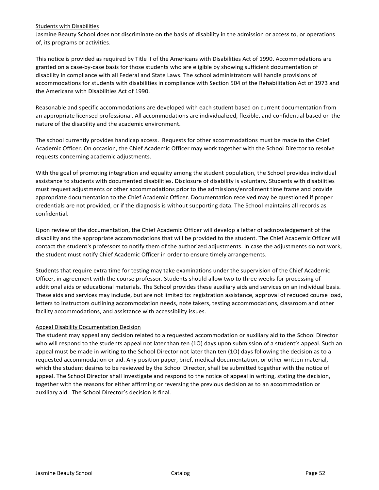#### Students with Disabilities

Jasmine Beauty School does not discriminate on the basis of disability in the admission or access to, or operations of, its programs or activities.

This notice is provided as required by Title II of the Americans with Disabilities Act of 1990. Accommodations are granted on a case-by-case basis for those students who are eligible by showing sufficient documentation of disability in compliance with all Federal and State Laws. The school administrators will handle provisions of accommodations for students with disabilities in compliance with Section 504 of the Rehabilitation Act of 1973 and the Americans with Disabilities Act of 1990.

Reasonable and specific accommodations are developed with each student based on current documentation from an appropriate licensed professional. All accommodations are individualized, flexible, and confidential based on the nature of the disability and the academic environment.

The school currently provides handicap access. Requests for other accommodations must be made to the Chief Academic Officer. On occasion, the Chief Academic Officer may work together with the School Director to resolve requests concerning academic adjustments.

With the goal of promoting integration and equality among the student population, the School provides individual assistance to students with documented disabilities. Disclosure of disability is voluntary. Students with disabilities must request adjustments or other accommodations prior to the admissions/enrollment time frame and provide appropriate documentation to the Chief Academic Officer. Documentation received may be questioned if proper credentials are not provided, or if the diagnosis is without supporting data. The School maintains all records as confidential.

Upon review of the documentation, the Chief Academic Officer will develop a letter of acknowledgement of the disability and the appropriate accommodations that will be provided to the student. The Chief Academic Officer will contact the student's professors to notify them of the authorized adjustments. In case the adjustments do not work, the student must notify Chief Academic Officer in order to ensure timely arrangements.

Students that require extra time for testing may take examinations under the supervision of the Chief Academic Officer, in agreement with the course professor. Students should allow two to three weeks for processing of additional aids or educational materials. The School provides these auxiliary aids and services on an individual basis. These aids and services may include, but are not limited to: registration assistance, approval of reduced course load, letters to instructors outlining accommodation needs, note takers, testing accommodations, classroom and other facility accommodations, and assistance with accessibility issues.

## Appeal Disability Documentation Decision

The student may appeal any decision related to a requested accommodation or auxiliary aid to the School Director who will respond to the students appeal not later than ten (1O) days upon submission of a student's appeal. Such an appeal must be made in writing to the School Director not later than ten (1O) days following the decision as to a requested accommodation or aid. Any position paper, brief, medical documentation, or other written material, which the student desires to be reviewed by the School Director, shall be submitted together with the notice of appeal. The School Director shall investigate and respond to the notice of appeal in writing, stating the decision, together with the reasons for either affirming or reversing the previous decision as to an accommodation or auxiliary aid. The School Director's decision is final.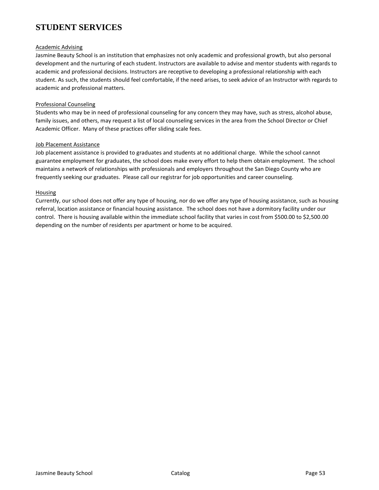# **STUDENT SERVICES**

## Academic Advising

Jasmine Beauty School is an institution that emphasizes not only academic and professional growth, but also personal development and the nurturing of each student. Instructors are available to advise and mentor students with regards to academic and professional decisions. Instructors are receptive to developing a professional relationship with each student. As such, the students should feel comfortable, if the need arises, to seek advice of an Instructor with regards to academic and professional matters.

#### Professional Counseling

Students who may be in need of professional counseling for any concern they may have, such as stress, alcohol abuse, family issues, and others, may request a list of local counseling services in the area from the School Director or Chief Academic Officer. Many of these practices offer sliding scale fees.

#### Job Placement Assistance

Job placement assistance is provided to graduates and students at no additional charge. While the school cannot guarantee employment for graduates, the school does make every effort to help them obtain employment. The school maintains a network of relationships with professionals and employers throughout the San Diego County who are frequently seeking our graduates. Please call our registrar for job opportunities and career counseling.

#### Housing

Currently, our school does not offer any type of housing, nor do we offer any type of housing assistance, such as housing referral, location assistance or financial housing assistance. The school does not have a dormitory facility under our control. There is housing available within the immediate school facility that varies in cost from \$500.00 to \$2,500.00 depending on the number of residents per apartment or home to be acquired.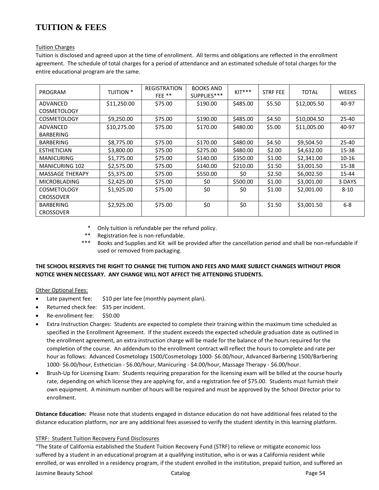# **TUITION & FEES**

## Tuition Charges

Tuition is disclosed and agreed upon at the time of enrollment. All terms and obligations are reflected in the enrollment agreement. The schedule of total charges for a period of attendance and an estimated schedule of total charges for the entire educational program are the same.

| PROGRAM                | <b>TUITION *</b> | <b>REGISTRATION</b><br>FEE** | <b>BOOKS AND</b><br>SUPPLIES*** | $KIT***$ | <b>STRF FEE</b> | <b>TOTAL</b> | <b>WEEKS</b> |
|------------------------|------------------|------------------------------|---------------------------------|----------|-----------------|--------------|--------------|
| ADVANCED               | \$11,250.00      | \$75.00                      | \$190.00                        | \$485.00 | \$5.50          | \$12,005.50  | 40-97        |
| <b>COSMETOLOGY</b>     |                  |                              |                                 |          |                 |              |              |
| <b>COSMETOLOGY</b>     | \$9,250.00       | \$75.00                      | \$190.00                        | \$485.00 | \$4.50          | \$10,004.50  | $25 - 40$    |
| ADVANCED               | \$10,275.00      | \$75.00                      | \$170.00                        | \$480.00 | \$5.00          | \$11,005.00  | 40-97        |
| <b>BARBERING</b>       |                  |                              |                                 |          |                 |              |              |
| BARBERING              | \$8,775.00       | \$75.00                      | \$170.00                        | \$480.00 | \$4.50          | \$9,504.50   | $25 - 40$    |
| <b>ESTHETICIAN</b>     | \$3,800.00       | \$75.00                      | \$275.00                        | \$480.00 | \$2.00          | \$4,632.00   | 15-38        |
| <b>MANICURING</b>      | \$1,775.00       | \$75.00                      | \$140.00                        | \$350.00 | \$1.00          | \$2,341.00   | $10 - 16$    |
| <b>MANICURING 102</b>  | \$2,575.00       | \$75.00                      | \$140.00                        | \$210.00 | \$1.50          | \$3,001.50   | 15-38        |
| <b>MASSAGE THERAPY</b> | \$5,375.00       | \$75.00                      | \$550.00                        | \$0      | \$2.50          | \$6,002.50   | 15-44        |
| <b>MICROBLADING</b>    | \$2,425.00       | \$75.00                      | \$0                             | \$500.00 | \$1.00          | \$3,001.00   | 3 DAYS       |
| <b>COSMETOLOGY</b>     | \$1,925.00       | \$75.00                      | \$0                             | \$0      | \$1.00          | \$2,001.00   | $8 - 10$     |
| <b>CROSSOVER</b>       |                  |                              |                                 |          |                 |              |              |
| BARBERING              | \$2,925.00       | \$75.00                      | \$0                             | \$0      | \$1.50          | \$3,001.50   | $6 - 8$      |
| <b>CROSSOVER</b>       |                  |                              |                                 |          |                 |              |              |

\* Only tuition is refundable per the refund policy.

- Registration fee is non-refundable.
- \*\*\* Books and Supplies and Kit will be provided after the cancellation period and shall be non-refundable if used or removed frompackaging.

## **THE SCHOOL RESERVES THE RIGHT TO CHANGE THE TUITION AND FEES AND MAKE SUBJECT CHANGES WITHOUT PRIOR NOTICE WHEN NECESSARY. ANY CHANGE WILL NOT AFFECT THE ATTENDING STUDENTS.**

## Other Optional Fees:

- Late payment fee: \$10 per late fee (monthly payment plan).
- Returned check fee: \$35 per incident.
- Re-enrollment fee: \$50.00
- Extra Instruction Charges: Students are expected to complete their training within the maximum time scheduled as specified in the Enrollment Agreement. If the student exceeds the expected schedule graduation date as outlined in the enrollment agreement, an extra instruction charge will be made for the balance of the hours required for the completion of the course. An addendum to the enrollment contract will reflect the hours to complete and rate per hour as follows: Advanced Cosmetology 1500/Cosmetology 1000- \$6.00/hour, Advanced Barbering 1500/Barbering 1000- \$6.00/hour, Esthetician - \$6.00/hour, Manicuring - \$4.00/hour, Massage Therapy - \$6.00/hour.
- Brush-Up for Licensing Exam: Students requiring preparation for the licensing exam will be billed at the course hourly rate, depending on which license they are applying for, and a registration fee of \$75.00. Students must furnish their own equipment. A minimum number of hours will be required and must be approved by the School Director prior to enrollment.

**Distance Education:** Please note that students engaged in distance education do not have additional fees related to the distance education platform, nor are any additional fees assessed to verify the student identity in this learning platform.

## STRF: Student Tuition Recovery Fund Disclosures

"The State of California established the Student Tuition Recovery Fund (STRF) to relieve or mitigate economic loss suffered by a student in an educational program at a qualifying institution, who is or was a California resident while enrolled, or was enrolled in a residency program, if the student enrolled in the institution, prepaid tuition, and suffered an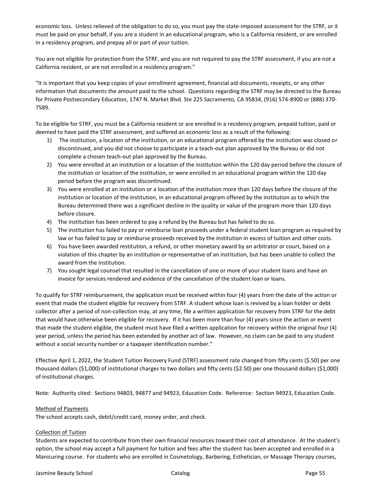economic loss. Unless relieved of the obligation to do so, you must pay the state-imposed assessment for the STRF, or it must be paid on your behalf, if you are a student in an educational program, who is a California resident, or are enrolled in a residency program, and prepay all or part of your tuition.

You are not eligible for protection from the STRF, and you are not required to pay the STRF assessment, if you are not a California resident, or are not enrolled in a residency program."

"It is important that you keep copies of your enrollment agreement, financial aid documents, receipts, or any other information that documents the amount paid to the school. Questions regarding the STRF may be directed to the Bureau for Private Postsecondary Education, 1747 N. Market Blvd. Ste 225 Sacramento, CA 95834, (916) 574-8900 or (888) 370- 7589.

To be eligible for STRF, you must be a California resident or are enrolled in a residency program, prepaid tuition, paid or deemed to have paid the STRF assessment, and suffered an economic loss as a result of the following:

- 1) The institution, a location of the institution, or an educational program offered by the institution was closed or discontinued, and you did not choose to participate in a teach-out plan approved by the Bureau or did not complete a chosen teach-out plan approved by the Bureau.
- 2) You were enrolled at an institution or a location of the institution within the 120 day period before the closure of the institution or location of the institution, or were enrolled in an educational program within the 120 day period before the program was discontinued.
- 3) You were enrolled at an institution or a location of the institution more than 120 days before the closure of the institution or location of the institution, in an educational program offered by the institution as to which the Bureau determined there was a significant decline in the quality or value of the program more than 120 days before closure.
- 4) The institution has been ordered to pay a refund by the Bureau but has failed to do so.
- 5) The institution has failed to pay or reimburse loan proceeds under a federal student loan program as required by law or has failed to pay or reimburse proceeds received by the institution in excess of tuition and other costs.
- 6) You have been awarded restitution, a refund, or other monetary award by an arbitrator or court, based on a violation of this chapter by an institution or representative of an institution, but has been unable to collect the award from the institution.
- 7) You sought legal counsel that resulted in the cancellation of one or more of your student loans and have an invoice for services rendered and evidence of the cancellation of the student loan or loans.

To qualify for STRF reimbursement, the application must be received within four (4) years from the date of the action or event that made the student eligible for recovery from STRF. A student whose loan is revived by a loan holder or debt collector after a period of non-collection may, at any time, file a written application for recovery from STRF for the debt that would have otherwise been eligible for recovery. If it has been more than four (4) years since the action or event that made the student eligible, the student must have filed a written application for recovery within the original four (4) year period, unless the period has been extended by another act of law. However, no claim can be paid to any student without a social security number or a taxpayer identification number."

Effective April 1, 2022, the Student Tuition Recovery Fund (STRF) assessment rate changed from fifty cents (\$.50) per one thousand dollars (\$1,000) of institutional charges to two dollars and fifty cents (\$2.50) per one thousand dollars (\$1,000) of institutional charges.

Note: Authority cited: Sections 94803, 94877 and 94923, Education Code. Reference: Section 94923, Education Code.

## Method of Payments

The school accepts cash, debit/credit card, money order, and check.

## Collection of Tuition

Students are expected to contribute from their own financial resources toward their cost of attendance. At the student's option, the school may accept a full payment for tuition and fees after the student has been accepted and enrolled in a Manicuring course. For students who are enrolled in Cosmetology, Barbering, Esthetician, or Massage Therapy courses,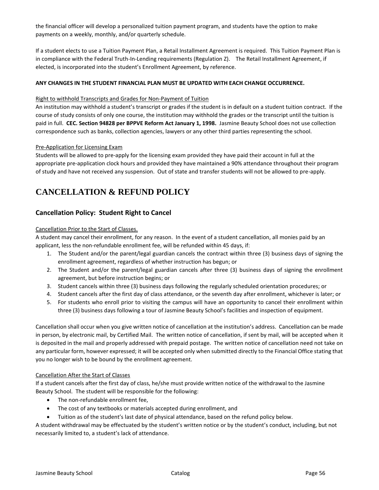the financial officer will develop a personalized tuition payment program, and students have the option to make payments on a weekly, monthly, and/or quarterly schedule.

If a student elects to use a Tuition Payment Plan, a Retail Installment Agreement is required. This Tuition Payment Plan is in compliance with the Federal Truth-In-Lending requirements (Regulation Z). The Retail Installment Agreement, if elected, is incorporated into the student's Enrollment Agreement, by reference.

## **ANY CHANGES IN THE STUDENT FINANCIAL PLAN MUST BE UPDATED WITH EACH CHANGE OCCURRENCE.**

## Right to withhold Transcripts and Grades for Non-Payment of Tuition

An institution may withhold a student's transcript or grades if the student is in default on a student tuition contract. If the course of study consists of only one course, the institution may withhold the grades or the transcript until the tuition is paid in full. **CEC. Section 94828 per BPPVE Reform Act January 1, 1998.** Jasmine Beauty School does not use collection correspondence such as banks, collection agencies, lawyers or any other third parties representing the school.

#### Pre-Application for Licensing Exam

Students will be allowed to pre-apply for the licensing exam provided they have paid their account in full at the appropriate pre-application clock hours and provided they have maintained a 90% attendance throughout their program of study and have not received any suspension. Out of state and transfer students will not be allowed to pre-apply.

# **CANCELLATION & REFUND POLICY**

## **Cancellation Policy: Student Right to Cancel**

#### Cancellation Prior to the Start of Classes.

A student may cancel their enrollment, for any reason. In the event of a student cancellation, all monies paid by an applicant, less the non-refundable enrollment fee, will be refunded within 45 days, if:

- 1. The Student and/or the parent/legal guardian cancels the contract within three (3) business days of signing the enrollment agreement, regardless of whether instruction has begun; or
- 2. The Student and/or the parent/legal guardian cancels after three (3) business days of signing the enrollment agreement, but before instruction begins; or
- 3. Student cancels within three (3) business days following the regularly scheduled orientation procedures; or
- 4. Student cancels after the first day of class attendance, or the seventh day after enrollment, whichever is later; or
- 5. For students who enroll prior to visiting the campus will have an opportunity to cancel their enrollment within three (3) business days following a tour of Jasmine Beauty School's facilities and inspection of equipment.

Cancellation shall occur when you give written notice of cancellation at the institution's address. Cancellation can be made in person, by electronic mail, by Certified Mail. The written notice of cancellation, if sent by mail, will be accepted when it is deposited in the mail and properly addressed with prepaid postage. The written notice of cancellation need not take on any particular form, however expressed; it will be accepted only when submitted directly to the Financial Office stating that you no longer wish to be bound by the enrollment agreement.

## Cancellation After the Start of Classes

If a student cancels after the first day of class, he/she must provide written notice of the withdrawal to the Jasmine Beauty School. The student will be responsible for the following:

- The non-refundable enrollment fee,
- The cost of any textbooks or materials accepted during enrollment, and
- Tuition as of the student's last date of physical attendance, based on the refund policy below.

A student withdrawal may be effectuated by the student's written notice or by the student's conduct, including, but not necessarily limited to, a student's lack of attendance.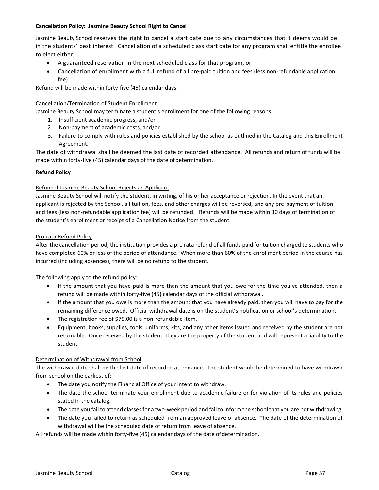## **Cancellation Policy: Jasmine Beauty School Right to Cancel**

Jasmine Beauty School reserves the right to cancel a start date due to any circumstances that it deems would be in the students' best interest. Cancellation of a scheduled class start date for any program shall entitle the enrollee to elect either:

- A guaranteed reservation in the next scheduled class for that program, or
- Cancellation of enrollment with a full refund of all pre-paid tuition and fees (less non-refundable application fee).

Refund will be made within forty-five (45) calendar days.

## Cancellation/Termination of Student Enrollment

Jasmine Beauty School may terminate a student's enrollment for one of the following reasons:

- 1. Insufficient academic progress, and/or
- 2. Non-payment of academic costs, and/or
- 3. Failure to comply with rules and policies established by the school as outlined in the Catalog and this Enrollment Agreement.

The date of withdrawal shall be deemed the last date of recorded attendance. All refunds and return of funds will be made within forty-five (45) calendar days of the date ofdetermination.

## **Refund Policy**

## Refund if Jasmine Beauty School Rejects an Applicant

Jasmine Beauty School will notify the student, in writing, of his or her acceptance or rejection. In the event that an applicant is rejected by the School, all tuition, fees, and other charges will be reversed, and any pre-payment of tuition and fees (less non-refundable application fee) will be refunded. Refunds will be made within 30 days of termination of the student's enrollment or receipt of a Cancellation Notice from the student.

## Pro-rata Refund Policy

After the cancellation period, the institution provides a pro rata refund of all funds paid for tuition charged to students who have completed 60% or less of the period of attendance. When more than 60% of the enrollment period in the course has incurred (including absences), there will be no refund to the student.

The following apply to the refund policy:

- If the amount that you have paid is more than the amount that you owe for the time you've attended, then a refund will be made within forty-five (45) calendar days of the official withdrawal.
- If the amount that you owe is more than the amount that you have already paid, then you will have to pay for the remaining difference owed. Official withdrawal date is on the student's notification or school's determination.
- The registration fee of \$75.00 is a non-refundable item.
- Equipment, books, supplies, tools, uniforms, kits, and any other items issued and received by the student are not returnable. Once received by the student, they are the property of the student and will represent a liability to the student.

## Determination of Withdrawal from School

The withdrawal date shall be the last date of recorded attendance. The student would be determined to have withdrawn from school on the earliest of:

- The date you notify the Financial Office of your intent to withdraw.
- The date the school terminate your enrollment due to academic failure or for violation of its rules and policies stated in the catalog.
- The date you fail to attend classes for a two-week period and fail to inform the school that you are not withdrawing.
- The date you failed to return as scheduled from an approved leave of absence. The date of the determination of withdrawal will be the scheduled date of return from leave of absence.

All refunds will be made within forty-five (45) calendar days of the date ofdetermination.